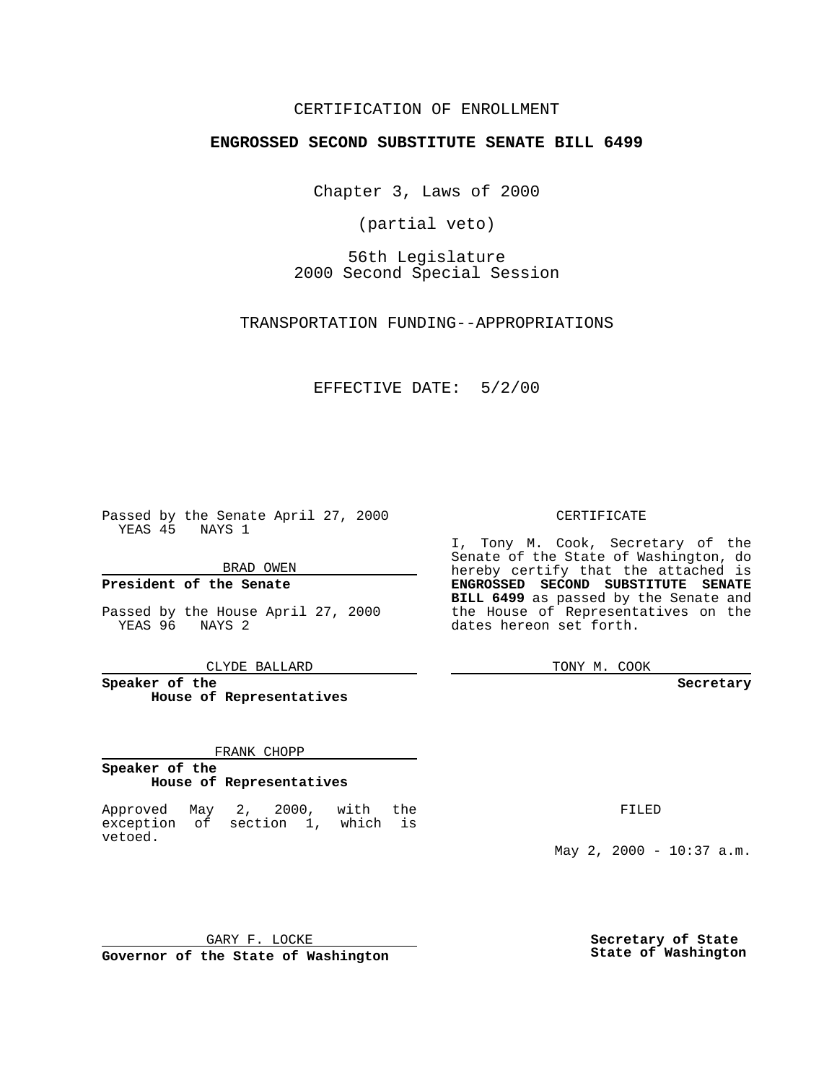## CERTIFICATION OF ENROLLMENT

## **ENGROSSED SECOND SUBSTITUTE SENATE BILL 6499**

Chapter 3, Laws of 2000

(partial veto)

56th Legislature 2000 Second Special Session

TRANSPORTATION FUNDING--APPROPRIATIONS

### EFFECTIVE DATE: 5/2/00

Passed by the Senate April 27, 2000 YEAS 45 NAYS 1

BRAD OWEN

**President of the Senate**

Passed by the House April 27, 2000 YEAS 96 NAYS 2

CLYDE BALLARD

**Speaker of the House of Representatives**

#### FRANK CHOPP

#### **Speaker of the House of Representatives**

Approved May 2, 2000, with the exception of section 1, which is vetoed.

CERTIFICATE

I, Tony M. Cook, Secretary of the Senate of the State of Washington, do hereby certify that the attached is **ENGROSSED SECOND SUBSTITUTE SENATE BILL 6499** as passed by the Senate and the House of Representatives on the dates hereon set forth.

TONY M. COOK

#### **Secretary**

FILED

May 2, 2000 - 10:37 a.m.

GARY F. LOCKE

**Governor of the State of Washington**

**Secretary of State State of Washington**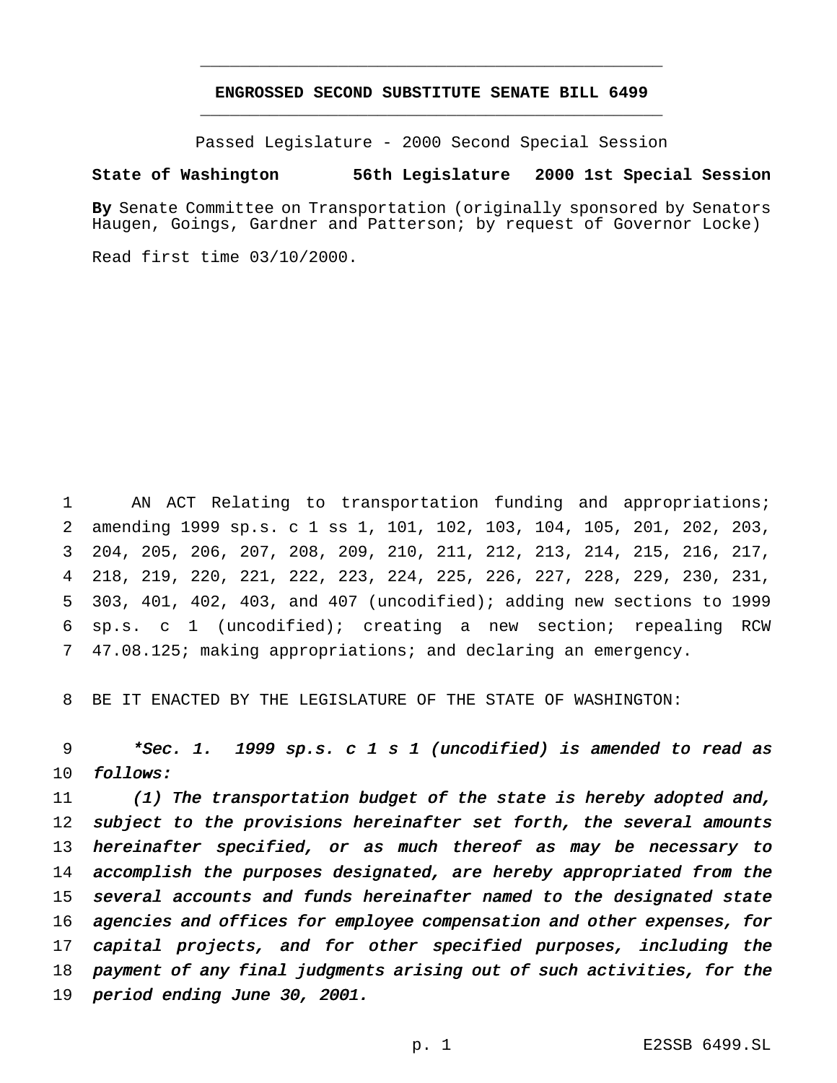## **ENGROSSED SECOND SUBSTITUTE SENATE BILL 6499** \_\_\_\_\_\_\_\_\_\_\_\_\_\_\_\_\_\_\_\_\_\_\_\_\_\_\_\_\_\_\_\_\_\_\_\_\_\_\_\_\_\_\_\_\_\_\_

\_\_\_\_\_\_\_\_\_\_\_\_\_\_\_\_\_\_\_\_\_\_\_\_\_\_\_\_\_\_\_\_\_\_\_\_\_\_\_\_\_\_\_\_\_\_\_

Passed Legislature - 2000 Second Special Session

### **State of Washington 56th Legislature 2000 1st Special Session**

**By** Senate Committee on Transportation (originally sponsored by Senators Haugen, Goings, Gardner and Patterson; by request of Governor Locke)

Read first time 03/10/2000.

 AN ACT Relating to transportation funding and appropriations; amending 1999 sp.s. c 1 ss 1, 101, 102, 103, 104, 105, 201, 202, 203, 204, 205, 206, 207, 208, 209, 210, 211, 212, 213, 214, 215, 216, 217, 218, 219, 220, 221, 222, 223, 224, 225, 226, 227, 228, 229, 230, 231, 303, 401, 402, 403, and 407 (uncodified); adding new sections to 1999 sp.s. c 1 (uncodified); creating a new section; repealing RCW 47.08.125; making appropriations; and declaring an emergency.

BE IT ENACTED BY THE LEGISLATURE OF THE STATE OF WASHINGTON:

 \*Sec. 1. <sup>1999</sup> sp.s. <sup>c</sup> <sup>1</sup> <sup>s</sup> <sup>1</sup> (uncodified) is amended to read as follows:

 (1) The transportation budget of the state is hereby adopted and, 12 subject to the provisions hereinafter set forth, the several amounts 13 hereinafter specified, or as much thereof as may be necessary to accomplish the purposes designated, are hereby appropriated from the several accounts and funds hereinafter named to the designated state agencies and offices for employee compensation and other expenses, for capital projects, and for other specified purposes, including the payment of any final judgments arising out of such activities, for the period ending June 30, 2001.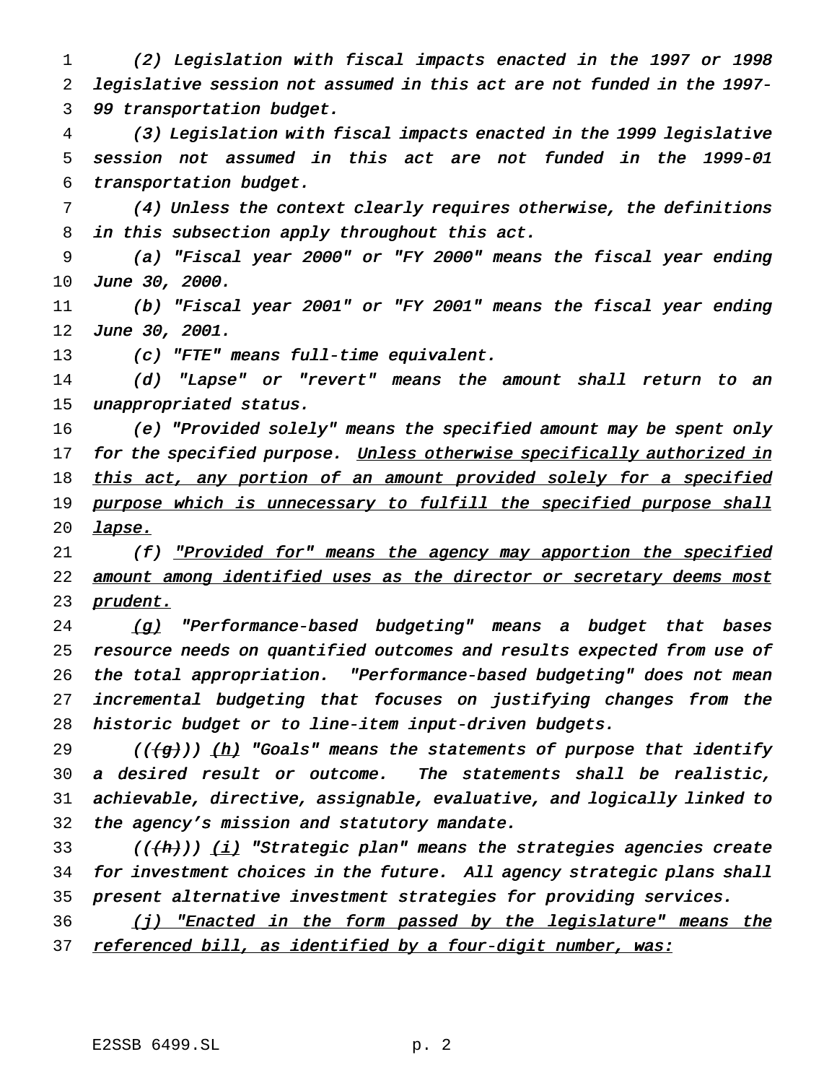(2) Legislation with fiscal impacts enacted in the <sup>1997</sup> or <sup>1998</sup> legislative session not assumed in this act are not funded in the 1997- <sup>99</sup> transportation budget.

 (3) Legislation with fiscal impacts enacted in the <sup>1999</sup> legislative session not assumed in this act are not funded in the 1999-01 transportation budget.

 (4) Unless the context clearly requires otherwise, the definitions in this subsection apply throughout this act.

 (a) "Fiscal year 2000" or "FY 2000" means the fiscal year ending June 30, 2000.

 (b) "Fiscal year 2001" or "FY 2001" means the fiscal year ending 12 June 30, 2001.

(c) "FTE" means full-time equivalent.

 (d) "Lapse" or "revert" means the amount shall return to an 15 unappropriated status.

 (e) "Provided solely" means the specified amount may be spent only 17 for the specified purpose. Unless otherwise specifically authorized in 18 this act, any portion of an amount provided solely for a specified 19 purpose which is unnecessary to fulfill the specified purpose shall *lapse.* 

21 (f) <u>"Provided for" means the agency may apportion the specified</u> 22 amount among identified uses as the director or secretary deems most 23 prudent.

24 (g) "Performance-based budgeting" means a budget that bases resource needs on quantified outcomes and results expected from use of the total appropriation. "Performance-based budgeting" does not mean incremental budgeting that focuses on justifying changes from the historic budget or to line-item input-driven budgets.

29 (( $\frac{1}{2}$ )) (h) "Goals" means the statements of purpose that identify <sup>a</sup> desired result or outcome. The statements shall be realistic, achievable, directive, assignable, evaluative, and logically linked to the agency's mission and statutory mandate.

33 (( $(\{h\})$ ) (i) "Strategic plan" means the strategies agencies create for investment choices in the future. All agency strategic plans shall present alternative investment strategies for providing services.

36 (j) "Enacted in the form passed by the legislature" means the 37 referenced bill, as identified by a four-digit number, was: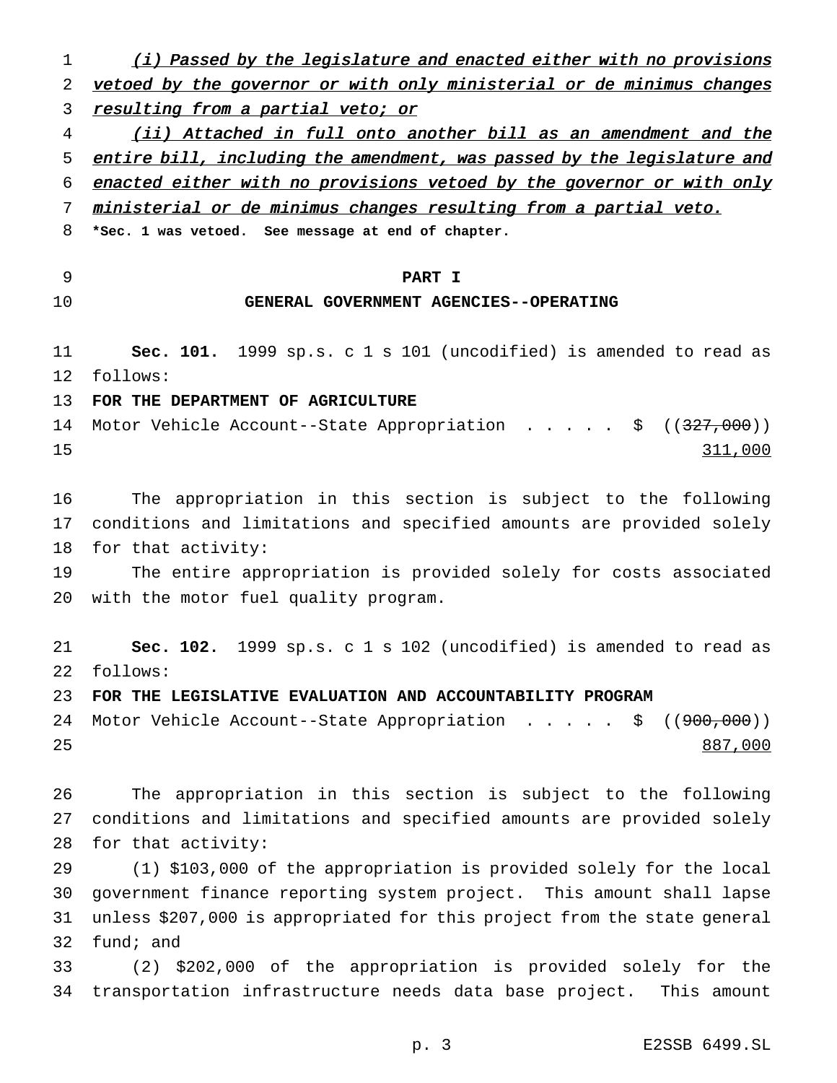1 (i) Passed by the legislature and enacted either with no provisions 2 vetoed by the governor or with only ministerial or de minimus changes 3 resulting from a partial veto; or (ii) Attached in full onto another bill as an amendment and the 5 entire bill, including the amendment, was passed by the legislature and enacted either with no provisions vetoed by the governor or with only ministerial or de minimus changes resulting from <sup>a</sup> partial veto. **\*Sec. 1 was vetoed. See message at end of chapter. PART I GENERAL GOVERNMENT AGENCIES--OPERATING Sec. 101.** 1999 sp.s. c 1 s 101 (uncodified) is amended to read as follows: **FOR THE DEPARTMENT OF AGRICULTURE** 14 Motor Vehicle Account--State Appropriation . . . . \$ ((<del>327,000</del>)) 15 311,000 The appropriation in this section is subject to the following conditions and limitations and specified amounts are provided solely for that activity: The entire appropriation is provided solely for costs associated with the motor fuel quality program. **Sec. 102.** 1999 sp.s. c 1 s 102 (uncodified) is amended to read as follows: **FOR THE LEGISLATIVE EVALUATION AND ACCOUNTABILITY PROGRAM** 24 Motor Vehicle Account--State Appropriation . . . . . \$ ((<del>900,000</del>)) 25 and 25 and 26 and 26 and 26 and 26 and 26 and 26 and 26 and 26 and 26 and 26 and 26 and 26 and 26 and 26 and 26 and 26 and 26 and 26 and 26 and 26 and 26 and 26 and 26 and 26 and 26 and 26 and 26 and 26 and 26 and 26 an The appropriation in this section is subject to the following conditions and limitations and specified amounts are provided solely for that activity: (1) \$103,000 of the appropriation is provided solely for the local government finance reporting system project. This amount shall lapse unless \$207,000 is appropriated for this project from the state general fund; and (2) \$202,000 of the appropriation is provided solely for the transportation infrastructure needs data base project. This amount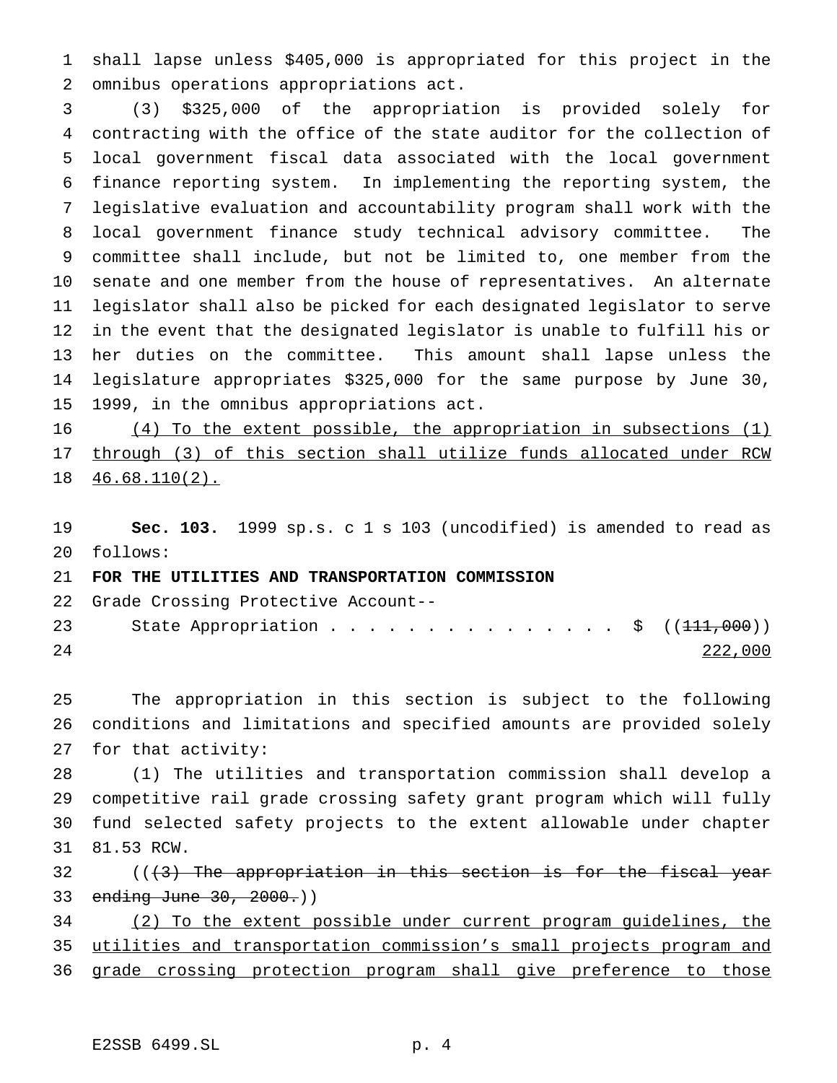shall lapse unless \$405,000 is appropriated for this project in the omnibus operations appropriations act.

 (3) \$325,000 of the appropriation is provided solely for contracting with the office of the state auditor for the collection of local government fiscal data associated with the local government finance reporting system. In implementing the reporting system, the legislative evaluation and accountability program shall work with the local government finance study technical advisory committee. The committee shall include, but not be limited to, one member from the senate and one member from the house of representatives. An alternate legislator shall also be picked for each designated legislator to serve in the event that the designated legislator is unable to fulfill his or her duties on the committee. This amount shall lapse unless the legislature appropriates \$325,000 for the same purpose by June 30, 1999, in the omnibus appropriations act.

 (4) To the extent possible, the appropriation in subsections (1) through (3) of this section shall utilize funds allocated under RCW 46.68.110(2).

 **Sec. 103.** 1999 sp.s. c 1 s 103 (uncodified) is amended to read as follows:

**FOR THE UTILITIES AND TRANSPORTATION COMMISSION**

Grade Crossing Protective Account--

| 23 | State Appropriation \$ $((111,000))$ |  |  |  |  |  |  |  |  |         |
|----|--------------------------------------|--|--|--|--|--|--|--|--|---------|
| 24 |                                      |  |  |  |  |  |  |  |  | 222,000 |

 The appropriation in this section is subject to the following conditions and limitations and specified amounts are provided solely for that activity:

 (1) The utilities and transportation commission shall develop a competitive rail grade crossing safety grant program which will fully fund selected safety projects to the extent allowable under chapter 81.53 RCW.

 $($   $($   $($   $\frac{1}{3}$  The appropriation in this section is for the fiscal year 33 ending June 30, 2000.))

 (2) To the extent possible under current program guidelines, the utilities and transportation commission's small projects program and

36 grade crossing protection program shall give preference to those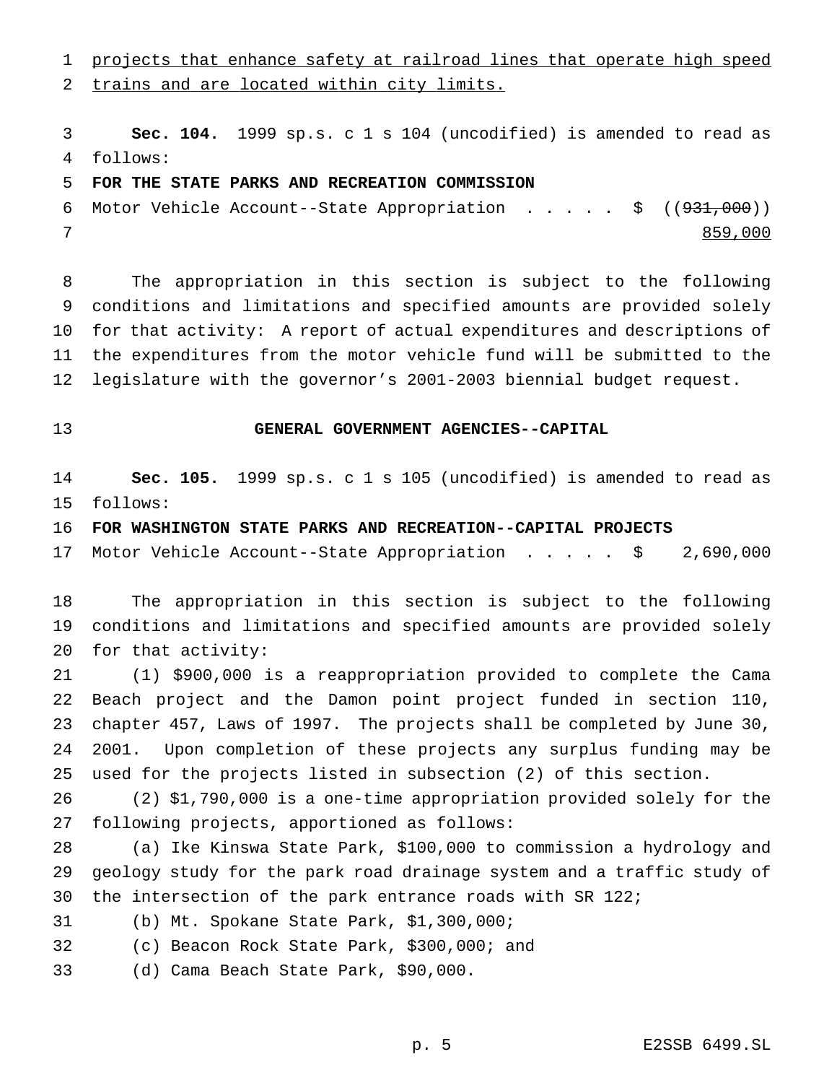projects that enhance safety at railroad lines that operate high speed

trains and are located within city limits.

 **Sec. 104.** 1999 sp.s. c 1 s 104 (uncodified) is amended to read as follows:

## **FOR THE STATE PARKS AND RECREATION COMMISSION**

6 Motor Vehicle Account--State Appropriation . . . . \$ ((<del>931,000</del>)) 7 and 1980 and 1980 and 1980 and 1980 and 1980 and 1980 and 1980 and 1980 and 1980 and 1980 and 1980 and 1980

 The appropriation in this section is subject to the following conditions and limitations and specified amounts are provided solely for that activity: A report of actual expenditures and descriptions of the expenditures from the motor vehicle fund will be submitted to the legislature with the governor's 2001-2003 biennial budget request.

# **GENERAL GOVERNMENT AGENCIES--CAPITAL**

 **Sec. 105.** 1999 sp.s. c 1 s 105 (uncodified) is amended to read as follows:

**FOR WASHINGTON STATE PARKS AND RECREATION--CAPITAL PROJECTS**

Motor Vehicle Account--State Appropriation ..... \$ 2,690,000

 The appropriation in this section is subject to the following conditions and limitations and specified amounts are provided solely for that activity:

 (1) \$900,000 is a reappropriation provided to complete the Cama Beach project and the Damon point project funded in section 110, chapter 457, Laws of 1997. The projects shall be completed by June 30, 2001. Upon completion of these projects any surplus funding may be used for the projects listed in subsection (2) of this section.

 (2) \$1,790,000 is a one-time appropriation provided solely for the following projects, apportioned as follows:

 (a) Ike Kinswa State Park, \$100,000 to commission a hydrology and geology study for the park road drainage system and a traffic study of the intersection of the park entrance roads with SR 122;

(b) Mt. Spokane State Park, \$1,300,000;

(c) Beacon Rock State Park, \$300,000; and

(d) Cama Beach State Park, \$90,000.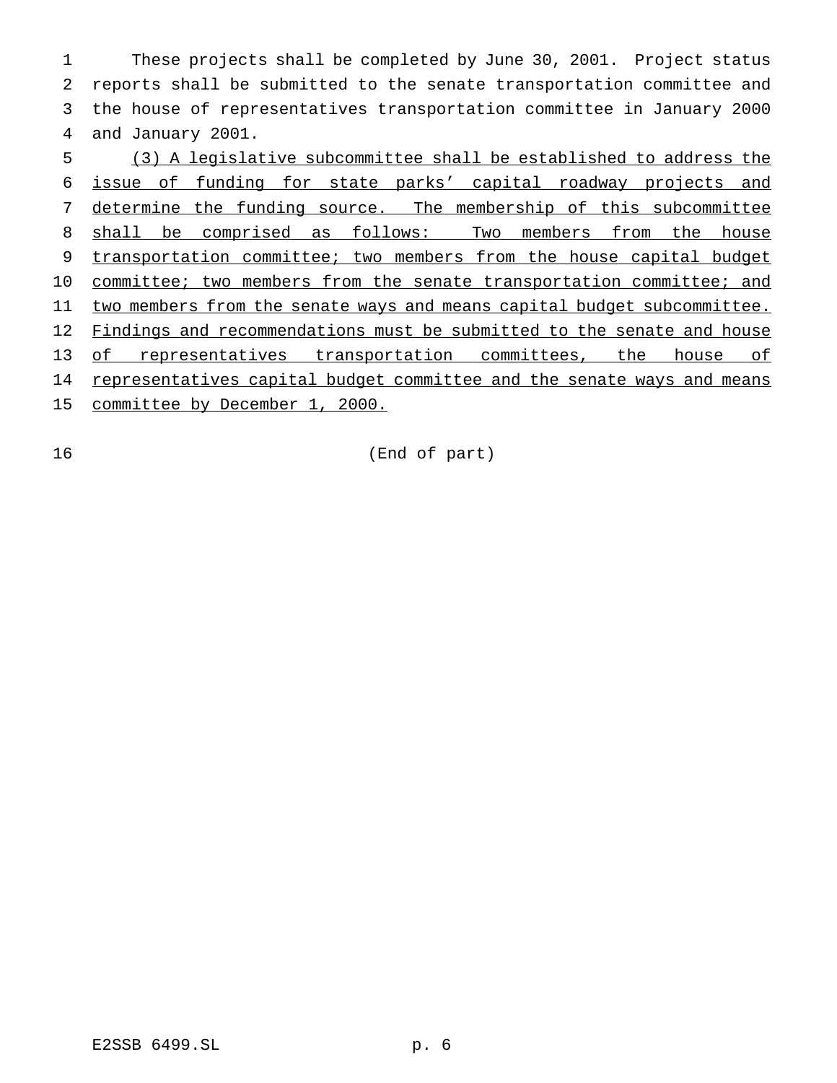These projects shall be completed by June 30, 2001. Project status reports shall be submitted to the senate transportation committee and the house of representatives transportation committee in January 2000 and January 2001.

5 (3) A legislative subcommittee shall be established to address the 6 issue of funding for state parks' capital roadway projects and 7 determine the funding source. The membership of this subcommittee 8 shall be comprised as follows: Two members from the house 9 transportation committee; two members from the house capital budget 10 committee; two members from the senate transportation committee; and 11 two members from the senate ways and means capital budget subcommittee. 12 Findings and recommendations must be submitted to the senate and house 13 of representatives transportation committees, the house of 14 representatives capital budget committee and the senate ways and means 15 committee by December 1, 2000.

16 (End of part)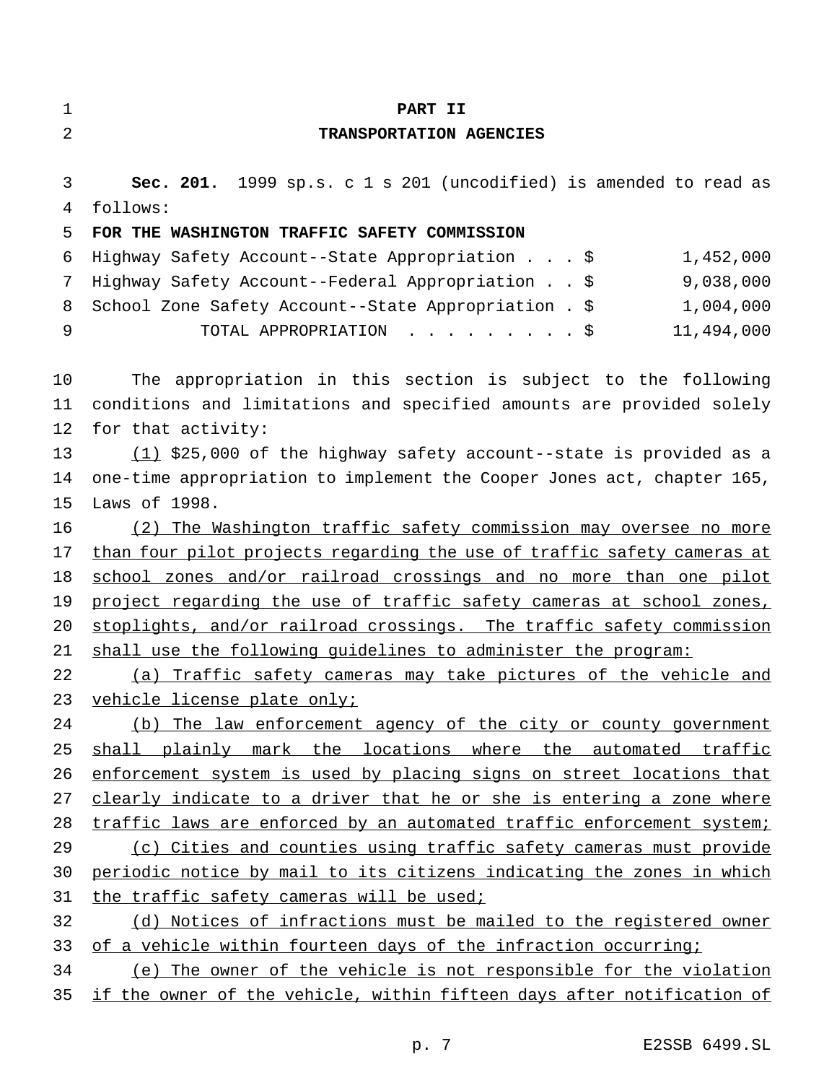| 1  | PART II                                                                 |
|----|-------------------------------------------------------------------------|
| 2  | TRANSPORTATION AGENCIES                                                 |
| 3  | Sec. 201. 1999 sp.s. c 1 s 201 (uncodified) is amended to read as       |
| 4  | follows:                                                                |
| 5  | FOR THE WASHINGTON TRAFFIC SAFETY COMMISSION                            |
| 6  | 1,452,000<br>Highway Safety Account--State Appropriation \$             |
| 7  | 9,038,000<br>Highway Safety Account--Federal Appropriation \$           |
| 8  | School Zone Safety Account--State Appropriation . \$<br>1,004,000       |
| 9  | 11,494,000<br>TOTAL APPROPRIATION \$                                    |
| 10 | The appropriation in this section is subject to the following           |
| 11 | conditions and limitations and specified amounts are provided solely    |
| 12 | for that activity:                                                      |
| 13 | $(1)$ \$25,000 of the highway safety account--state is provided as a    |
| 14 | one-time appropriation to implement the Cooper Jones act, chapter 165,  |
| 15 | Laws of 1998.                                                           |
| 16 | (2) The Washington traffic safety commission may oversee no more        |
| 17 | than four pilot projects regarding the use of traffic safety cameras at |
| 18 | school zones and/or railroad crossings and no more than one pilot       |
| 19 | project regarding the use of traffic safety cameras at school zones,    |
| 20 | stoplights, and/or railroad crossings. The traffic safety commission    |
| 21 | shall use the following quidelines to administer the program:           |
| 22 | (a) Traffic safety cameras may take pictures of the vehicle and         |
| 23 | vehicle license plate only;                                             |
| 24 | (b) The law enforcement agency of the city or county government         |
| 25 | shall plainly mark the locations where the automated traffic            |
| 26 | enforcement system is used by placing signs on street locations that    |
| 27 | clearly indicate to a driver that he or she is entering a zone where    |
| 28 | traffic laws are enforced by an automated traffic enforcement system;   |
| 29 | (c) Cities and counties using traffic safety cameras must provide       |
| 30 | periodic notice by mail to its citizens indicating the zones in which   |
| 31 | the traffic safety cameras will be used;                                |
| 32 | (d) Notices of infractions must be mailed to the registered owner       |
| 33 | of a vehicle within fourteen days of the infraction occurring;          |
| 34 | (e) The owner of the vehicle is not responsible for the violation       |
| 35 | if the owner of the vehicle, within fifteen days after notification of  |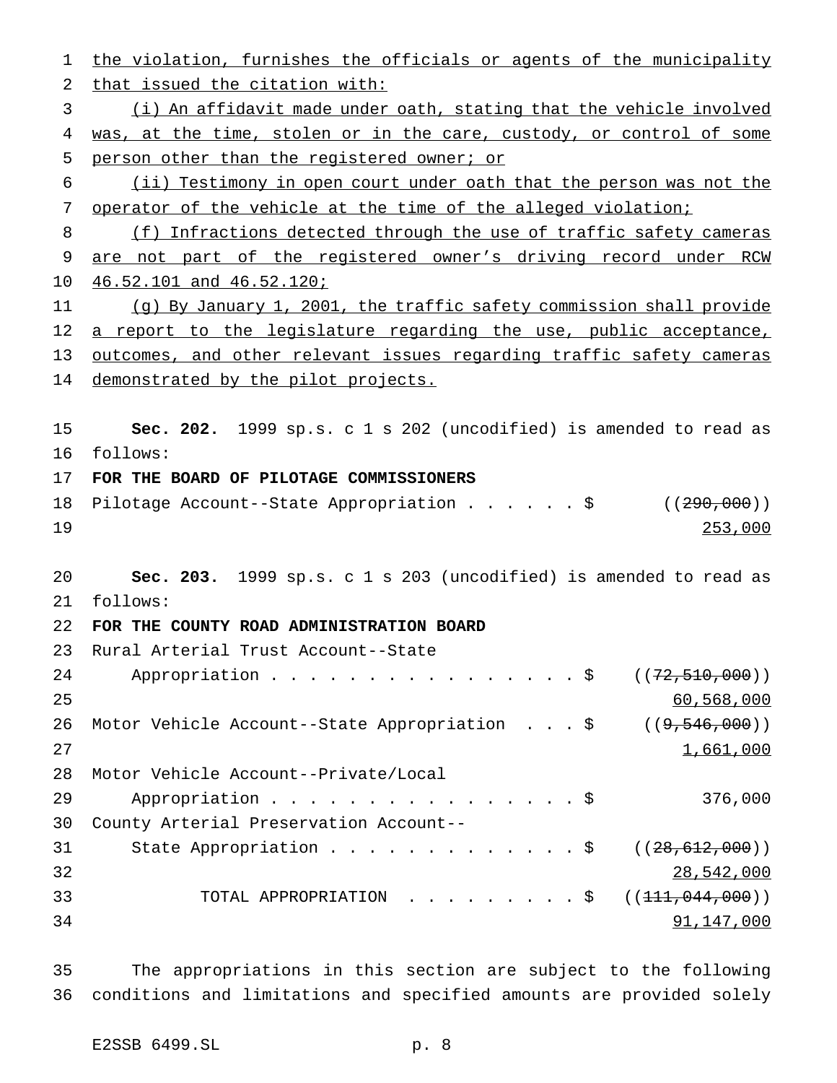the violation, furnishes the officials or agents of the municipality that issued the citation with: (i) An affidavit made under oath, stating that the vehicle involved 4 was, at the time, stolen or in the care, custody, or control of some person other than the registered owner; or (ii) Testimony in open court under oath that the person was not the operator of the vehicle at the time of the alleged violation; (f) Infractions detected through the use of traffic safety cameras are not part of the registered owner's driving record under RCW 46.52.101 and 46.52.120; (g) By January 1, 2001, the traffic safety commission shall provide 12 a report to the legislature regarding the use, public acceptance, outcomes, and other relevant issues regarding traffic safety cameras 14 demonstrated by the pilot projects. **Sec. 202.** 1999 sp.s. c 1 s 202 (uncodified) is amended to read as follows: **FOR THE BOARD OF PILOTAGE COMMISSIONERS** 18 Pilotage Account--State Appropriation . . . . . \$ ((290,000)) 253,000 **Sec. 203.** 1999 sp.s. c 1 s 203 (uncodified) is amended to read as follows: **FOR THE COUNTY ROAD ADMINISTRATION BOARD** Rural Arterial Trust Account--State 24 Appropriation . . . . . . . . . . . . . . . \$ ((72,510,000)) 60,568,000 26 Motor Vehicle Account--State Appropriation . . . \$ ((9,546,000)) and  $1,661,000$  Motor Vehicle Account--Private/Local 29 Appropriation . . . . . . . . . . . . . . . \$ 376,000 County Arterial Preservation Account-- 31 State Appropriation . . . . . . . . . . . . \$ ((28,612,000)) 28,542,000 33 TOTAL APPROPRIATION . . . . . . . . \$ ((<del>111,044,000</del>)) 91,147,000

 The appropriations in this section are subject to the following conditions and limitations and specified amounts are provided solely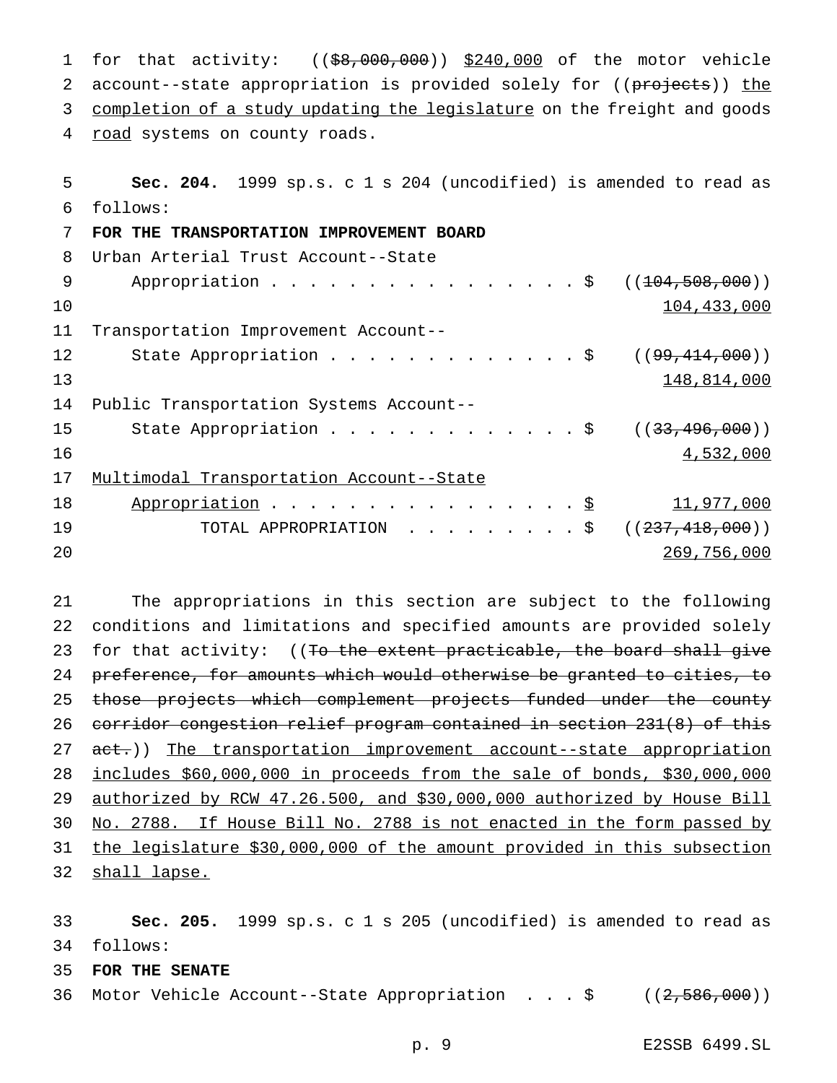1 for that activity: ((\$8,000,000)) \$240,000 of the motor vehicle 2 account--state appropriation is provided solely for ((projects)) the 3 completion of a study updating the legislature on the freight and goods 4 road systems on county roads.

| 5  | Sec. 204. 1999 sp.s. c 1 s 204 (uncodified) is amended to read as |
|----|-------------------------------------------------------------------|
| 6  | follows:                                                          |
| 7  | FOR THE TRANSPORTATION IMPROVEMENT BOARD                          |
| 8  | Urban Arterial Trust Account--State                               |
| 9  | Appropriation $\frac{1}{2}$<br>((104, 508, 000))                  |
| 10 | 104,433,000                                                       |
| 11 | Transportation Improvement Account--                              |
| 12 | State Appropriation \$<br>( (99, 414, 000) )                      |
| 13 | 148,814,000                                                       |
| 14 | Public Transportation Systems Account--                           |
| 15 | State Appropriation \$<br>((33, 496, 000))                        |
| 16 | 4,532,000                                                         |
| 17 | Multimodal Transportation Account--State                          |
| 18 | Appropriation \$<br>11,977,000                                    |
| 19 | TOTAL APPROPRIATION \$<br>((237, 418, 000))                       |
| 20 | 269,756,000                                                       |

 The appropriations in this section are subject to the following conditions and limitations and specified amounts are provided solely 23 for that activity: ((<del>To the extent practicable, the board shall give</del> preference, for amounts which would otherwise be granted to cities, to 25 those projects which complement projects funded under the county corridor congestion relief program contained in section 231(8) of this 27 act.)) The transportation improvement account--state appropriation includes \$60,000,000 in proceeds from the sale of bonds, \$30,000,000 authorized by RCW 47.26.500, and \$30,000,000 authorized by House Bill No. 2788. If House Bill No. 2788 is not enacted in the form passed by the legislature \$30,000,000 of the amount provided in this subsection 32 shall lapse.

 **Sec. 205.** 1999 sp.s. c 1 s 205 (uncodified) is amended to read as follows:

**FOR THE SENATE**

Motor Vehicle Account--State Appropriation ...\$ ((2,586,000))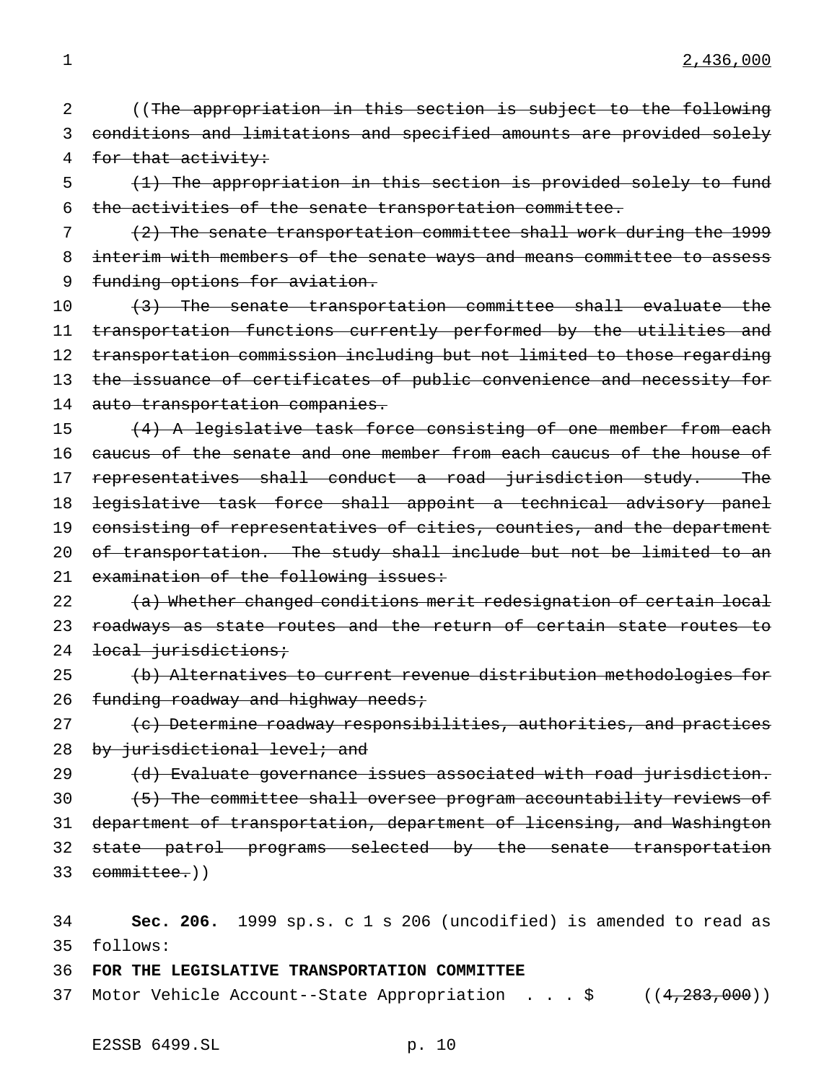2 ((The appropriation in this section is subject to the following 3 conditions and limitations and specified amounts are provided solely 4 for that activity:

5 (1) The appropriation in this section is provided solely to fund 6 the activities of the senate transportation committee.

7 (2) The senate transportation committee shall work during the 1999 8 interim with members of the senate ways and means committee to assess 9 funding options for aviation.

10 (3) The senate transportation committee shall evaluate the 11 transportation functions currently performed by the utilities and 12 transportation commission including but not limited to those regarding 13 the issuance of certificates of public convenience and necessity for 14 auto transportation companies.

15 (4) A legislative task force consisting of one member from each 16 caucus of the senate and one member from each caucus of the house of 17 representatives shall conduct a road jurisdiction study. The 18 legislative task force shall appoint a technical advisory panel 19 consisting of representatives of cities, counties, and the department 20 of transportation. The study shall include but not be limited to an 21 examination of the following issues:

22 (a) Whether changed conditions merit redesignation of certain local 23 roadways as state routes and the return of certain state routes to 24 <del>local jurisdictions;</del>

25 (b) Alternatives to current revenue distribution methodologies for 26  $f$ unding roadway and highway needs;

27 (c) Determine roadway responsibilities, authorities, and practices 28 by jurisdictional level; and

29 (d) Evaluate governance issues associated with road jurisdiction. 30 (5) The committee shall oversee program accountability reviews of 31 department of transportation, department of licensing, and Washington 32 state patrol programs selected by the senate transportation 33 committee.))

34 **Sec. 206.** 1999 sp.s. c 1 s 206 (uncodified) is amended to read as 35 follows:

36 **FOR THE LEGISLATIVE TRANSPORTATION COMMITTEE**

37 Motor Vehicle Account--State Appropriation . . . \$ ((4,283,000))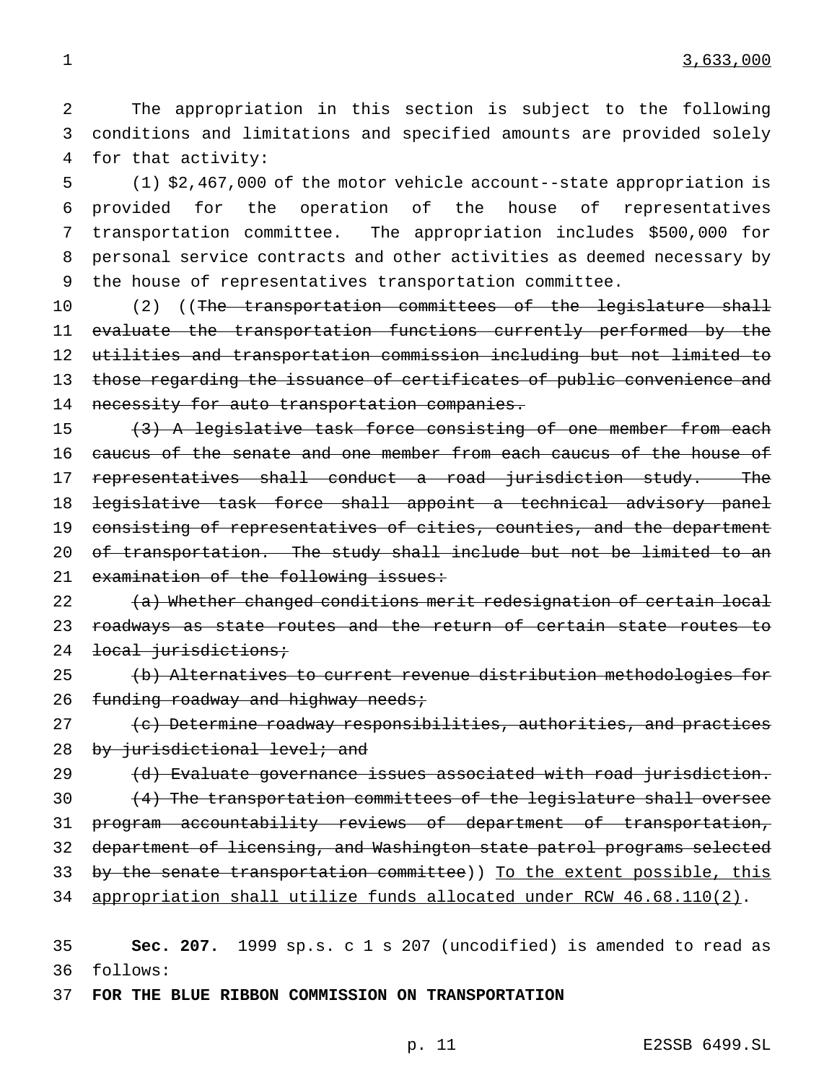2 The appropriation in this section is subject to the following 3 conditions and limitations and specified amounts are provided solely 4 for that activity:

 (1) \$2,467,000 of the motor vehicle account--state appropriation is provided for the operation of the house of representatives transportation committee. The appropriation includes \$500,000 for personal service contracts and other activities as deemed necessary by the house of representatives transportation committee.

10 (2) ((The transportation committees of the legislature shall 11 evaluate the transportation functions currently performed by the 12 utilities and transportation commission including but not limited to 13 those regarding the issuance of certificates of public convenience and 14 necessity for auto transportation companies.

15 (3) A legislative task force consisting of one member from each 16 caucus of the senate and one member from each caucus of the house of 17 representatives shall conduct a road jurisdiction study. The 18 legislative task force shall appoint a technical advisory panel 19 consisting of representatives of cities, counties, and the department 20 of transportation. The study shall include but not be limited to an 21 examination of the following issues:

22 (a) Whether changed conditions merit redesignation of certain local 23 roadways as state routes and the return of certain state routes to 24 <del>local jurisdictions;</del>

25 (b) Alternatives to current revenue distribution methodologies for 26  $f$ unding roadway and highway needs;

27 (c) Determine roadway responsibilities, authorities, and practices 28 by jurisdictional level; and

29 (d) Evaluate governance issues associated with road jurisdiction. (4) The transportation committees of the legislature shall oversee program accountability reviews of department of transportation, department of licensing, and Washington state patrol programs selected 33 by the senate transportation committee)) To the extent possible, this appropriation shall utilize funds allocated under RCW 46.68.110(2).

35 **Sec. 207.** 1999 sp.s. c 1 s 207 (uncodified) is amended to read as 36 follows:

37 **FOR THE BLUE RIBBON COMMISSION ON TRANSPORTATION**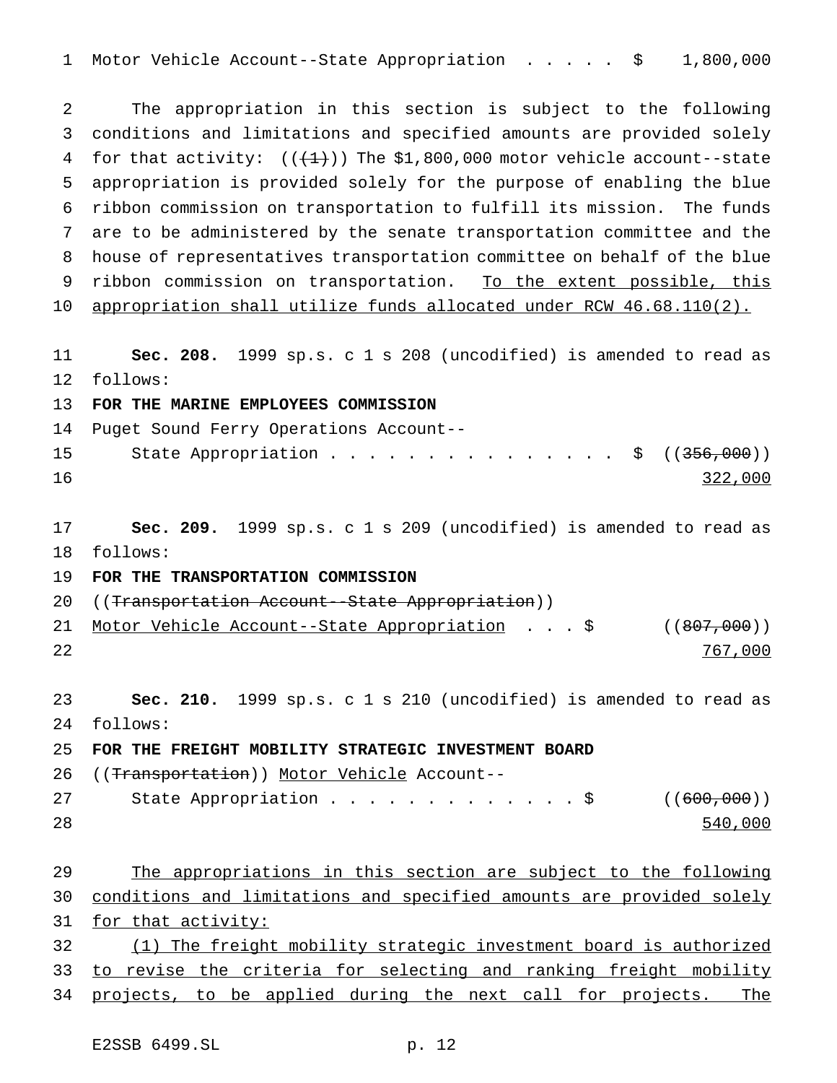1 Motor Vehicle Account--State Appropriation . . . . . \$ 1,800,000

 The appropriation in this section is subject to the following conditions and limitations and specified amounts are provided solely 4 for that activity:  $((+1))$  The \$1,800,000 motor vehicle account--state appropriation is provided solely for the purpose of enabling the blue ribbon commission on transportation to fulfill its mission. The funds are to be administered by the senate transportation committee and the house of representatives transportation committee on behalf of the blue 9 ribbon commission on transportation. To the extent possible, this appropriation shall utilize funds allocated under RCW 46.68.110(2).

 **Sec. 208.** 1999 sp.s. c 1 s 208 (uncodified) is amended to read as follows:

**FOR THE MARINE EMPLOYEES COMMISSION**

 Puget Sound Ferry Operations Account-- 15 State Appropriation . . . . . . . . . . . . . . \$ ((<del>356,000</del>)) 16 322,000

 **Sec. 209.** 1999 sp.s. c 1 s 209 (uncodified) is amended to read as follows:

**FOR THE TRANSPORTATION COMMISSION**

20 ((Transportation Account--State Appropriation))

21 Motor Vehicle Account--State Appropriation . . . \$ ((807,000)) 22 767,000

 **Sec. 210.** 1999 sp.s. c 1 s 210 (uncodified) is amended to read as follows:

**FOR THE FREIGHT MOBILITY STRATEGIC INVESTMENT BOARD**

26 ((Transportation)) Motor Vehicle Account--

| 27 |  |  |  |  |  |  |  |  | State Appropriation \$ $((600,000))$ |
|----|--|--|--|--|--|--|--|--|--------------------------------------|
| 28 |  |  |  |  |  |  |  |  | 540,000                              |

 The appropriations in this section are subject to the following conditions and limitations and specified amounts are provided solely 31 for that activity: (1) The freight mobility strategic investment board is authorized 33 to revise the criteria for selecting and ranking freight mobility 34 projects, to be applied during the next call for projects. The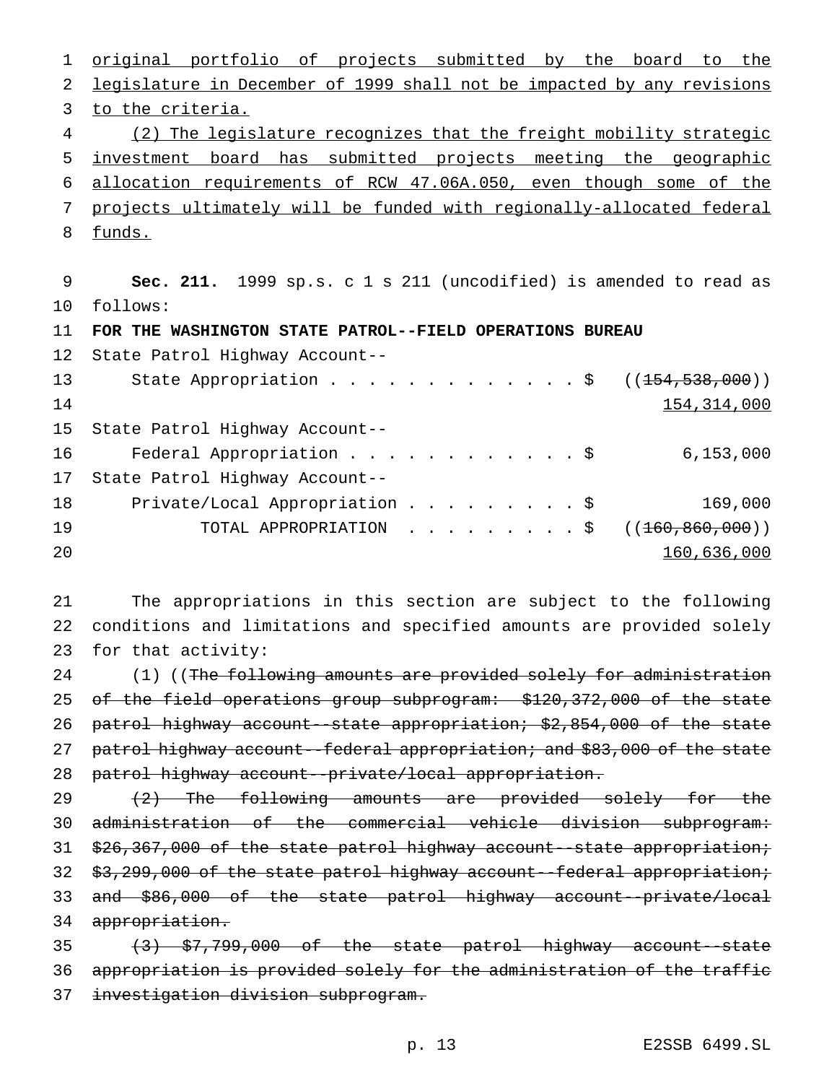1 <u>original portfolio of projects submitted by the board to the</u> legislature in December of 1999 shall not be impacted by any revisions to the criteria. (2) The legislature recognizes that the freight mobility strategic investment board has submitted projects meeting the geographic allocation requirements of RCW 47.06A.050, even though some of the projects ultimately will be funded with regionally-allocated federal funds.

 **Sec. 211.** 1999 sp.s. c 1 s 211 (uncodified) is amended to read as follows:

**FOR THE WASHINGTON STATE PATROL--FIELD OPERATIONS BUREAU**

|    | 12 State Patrol Highway Account--          |  |  |  |  |  |               |
|----|--------------------------------------------|--|--|--|--|--|---------------|
| 13 |                                            |  |  |  |  |  |               |
| 14 |                                            |  |  |  |  |  | 154, 314, 000 |
|    | 15 State Patrol Highway Account--          |  |  |  |  |  |               |
| 16 | Federal Appropriation \$                   |  |  |  |  |  | 6, 153, 000   |
| 17 | State Patrol Highway Account--             |  |  |  |  |  |               |
| 18 | Private/Local Appropriation \$             |  |  |  |  |  | 169,000       |
| 19 | TOTAL APPROPRIATION \$ $((160, 860, 000))$ |  |  |  |  |  |               |
| 20 |                                            |  |  |  |  |  | 160,636,000   |

 The appropriations in this section are subject to the following conditions and limitations and specified amounts are provided solely for that activity:

24 (1) ((The following amounts are provided solely for administration 25 of the field operations group subprogram: \$120,372,000 of the state patrol highway account--state appropriation; \$2,854,000 of the state 27 patrol highway account--federal appropriation; and \$83,000 of the state patrol highway account--private/local appropriation.

29 (2) The following amounts are provided solely for the administration of the commercial vehicle division subprogram: 31 \$26,367,000 of the state patrol highway account--state appropriation; \$3,299,000 of the state patrol highway account--federal appropriation; and \$86,000 of the state patrol highway account--private/local 34 appropriation.

 (3) \$7,799,000 of the state patrol highway account--state appropriation is provided solely for the administration of the traffic investigation division subprogram.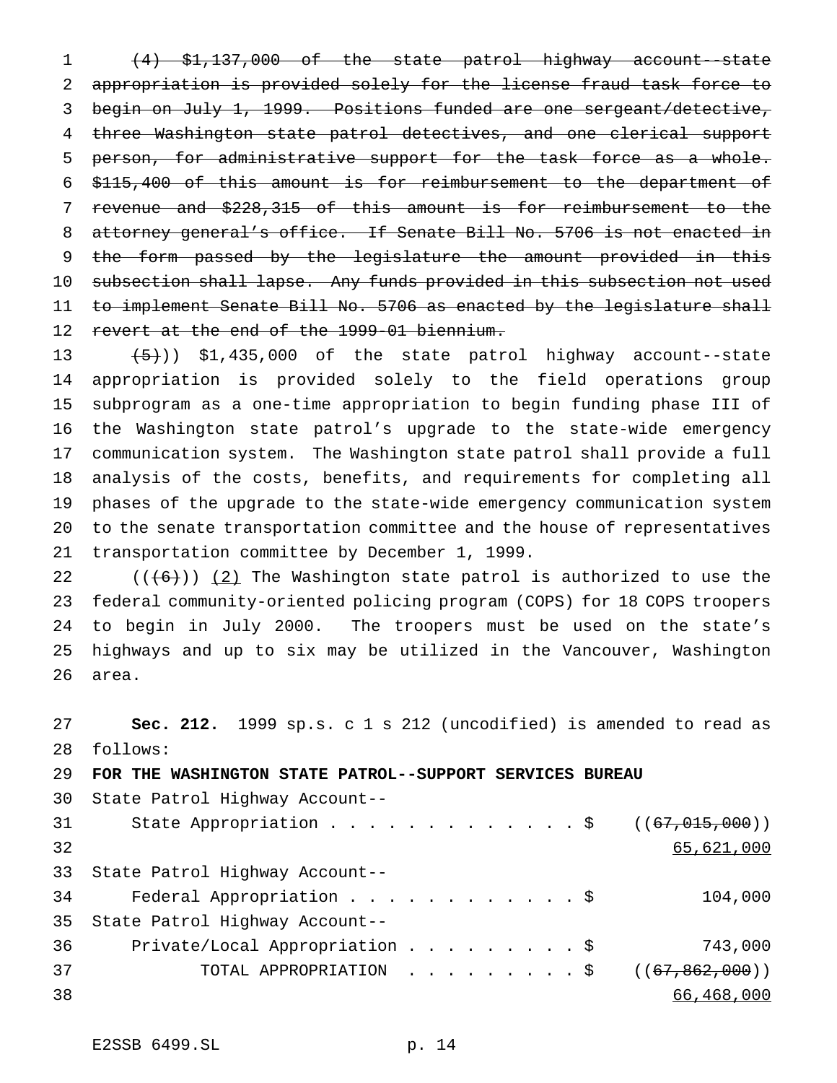(4) \$1,137,000 of the state patrol highway account--state appropriation is provided solely for the license fraud task force to begin on July 1, 1999. Positions funded are one sergeant/detective, three Washington state patrol detectives, and one clerical support person, for administrative support for the task force as a whole. \$115,400 of this amount is for reimbursement to the department of revenue and \$228,315 of this amount is for reimbursement to the attorney general's office. If Senate Bill No. 5706 is not enacted in 9 the form passed by the legislature the amount provided in this subsection shall lapse. Any funds provided in this subsection not used 11 t<del>o implement Senate Bill No. 5706 as enacted by the legislature shall</del> revert at the end of the 1999-01 biennium.

 $(5)$ ) \$1,435,000 of the state patrol highway account--state appropriation is provided solely to the field operations group subprogram as a one-time appropriation to begin funding phase III of the Washington state patrol's upgrade to the state-wide emergency communication system. The Washington state patrol shall provide a full analysis of the costs, benefits, and requirements for completing all phases of the upgrade to the state-wide emergency communication system to the senate transportation committee and the house of representatives transportation committee by December 1, 1999.

 $((+6))$   $(2)$  The Washington state patrol is authorized to use the federal community-oriented policing program (COPS) for 18 COPS troopers to begin in July 2000. The troopers must be used on the state's highways and up to six may be utilized in the Vancouver, Washington area.

 **Sec. 212.** 1999 sp.s. c 1 s 212 (uncodified) is amended to read as follows: **FOR THE WASHINGTON STATE PATROL--SUPPORT SERVICES BUREAU** State Patrol Highway Account--

| 31 |                                        |  |  |  |  |  |            |
|----|----------------------------------------|--|--|--|--|--|------------|
| 32 |                                        |  |  |  |  |  | 65,621,000 |
|    | 33 State Patrol Highway Account--      |  |  |  |  |  |            |
| 34 | Federal Appropriation \$               |  |  |  |  |  | 104,000    |
|    | 35 State Patrol Highway Account--      |  |  |  |  |  |            |
| 36 | Private/Local Appropriation \$         |  |  |  |  |  | 743,000    |
| 37 | TOTAL APPROPRIATION ( $(67,862,000)$ ) |  |  |  |  |  |            |
| 38 |                                        |  |  |  |  |  | 66,468,000 |
|    |                                        |  |  |  |  |  |            |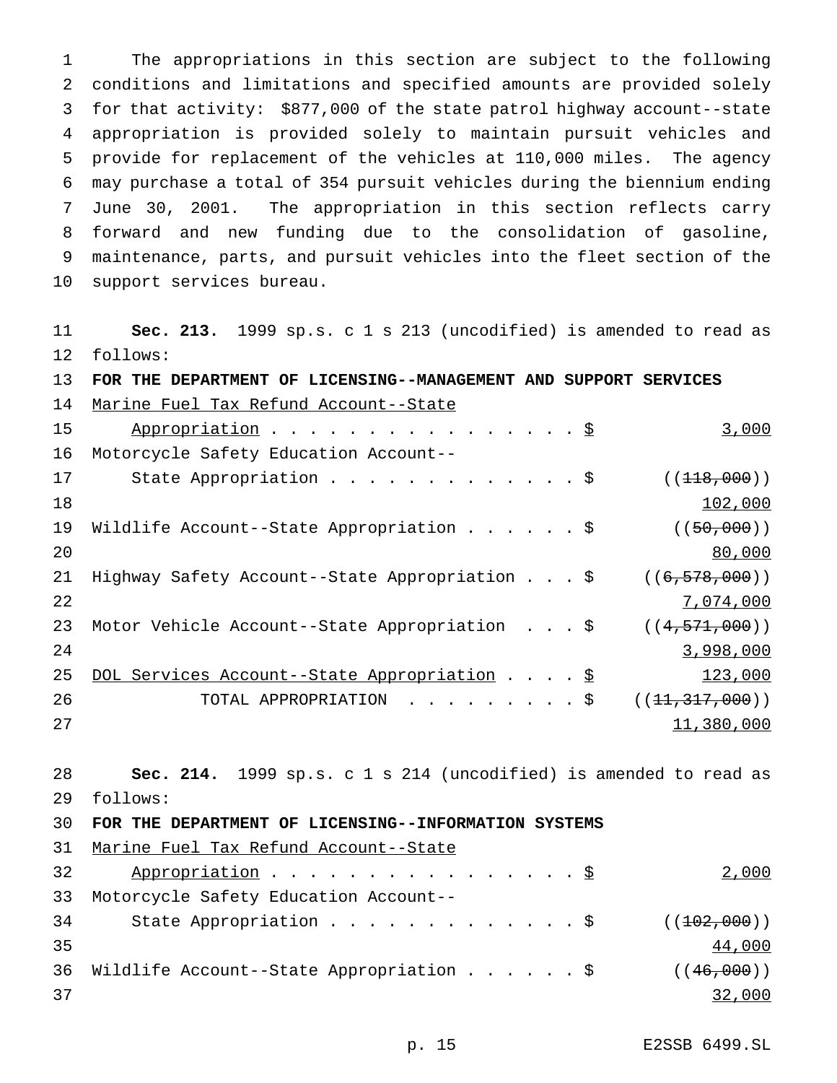The appropriations in this section are subject to the following conditions and limitations and specified amounts are provided solely for that activity: \$877,000 of the state patrol highway account--state appropriation is provided solely to maintain pursuit vehicles and provide for replacement of the vehicles at 110,000 miles. The agency may purchase a total of 354 pursuit vehicles during the biennium ending June 30, 2001. The appropriation in this section reflects carry forward and new funding due to the consolidation of gasoline, maintenance, parts, and pursuit vehicles into the fleet section of the support services bureau.

 **Sec. 213.** 1999 sp.s. c 1 s 213 (uncodified) is amended to read as follows:

| 13 <sup>°</sup> | FOR THE DEPARTMENT OF LICENSING--MANAGEMENT AND SUPPORT SERVICES |  |                  |
|-----------------|------------------------------------------------------------------|--|------------------|
| 14              | Marine Fuel Tax Refund Account--State                            |  |                  |
| 15              | Appropriation \$                                                 |  | 3,000            |
| 16              | Motorcycle Safety Education Account--                            |  |                  |
| 17              | State Appropriation $\frac{1}{5}$                                |  | ((118,000))      |
| 18              |                                                                  |  | 102,000          |
| 19              | Wildlife Account--State Appropriation \$                         |  | ((50,000))       |
| 20              |                                                                  |  | 80,000           |
| 21              | Highway Safety Account--State Appropriation \$                   |  | ((6, 578, 000))  |
| 22              |                                                                  |  | 7,074,000        |
| 23              | Motor Vehicle Account--State Appropriation \$                    |  | ((4, 571, 000))  |
| 24              |                                                                  |  | 3,998,000        |
| 25              | DOL Services Account--State Appropriation \$                     |  | 123,000          |
| 26              | TOTAL APPROPRIATION \$                                           |  | ((11, 317, 000)) |
| 27              |                                                                  |  | 11,380,000       |

 **Sec. 214.** 1999 sp.s. c 1 s 214 (uncodified) is amended to read as follows:

**FOR THE DEPARTMENT OF LICENSING--INFORMATION SYSTEMS**

Marine Fuel Tax Refund Account--State

| 32 | Appropriation $\S$                          | 2,000        |
|----|---------------------------------------------|--------------|
| 33 | Motorcycle Safety Education Account--       |              |
| 34 | State Appropriation \$ $((102,000))$        |              |
| 35 |                                             | 44,000       |
|    | 36 Wildlife Account--State Appropriation \$ | ( (46, 000)) |
| 37 |                                             | 32,000       |

p. 15 E2SSB 6499.SL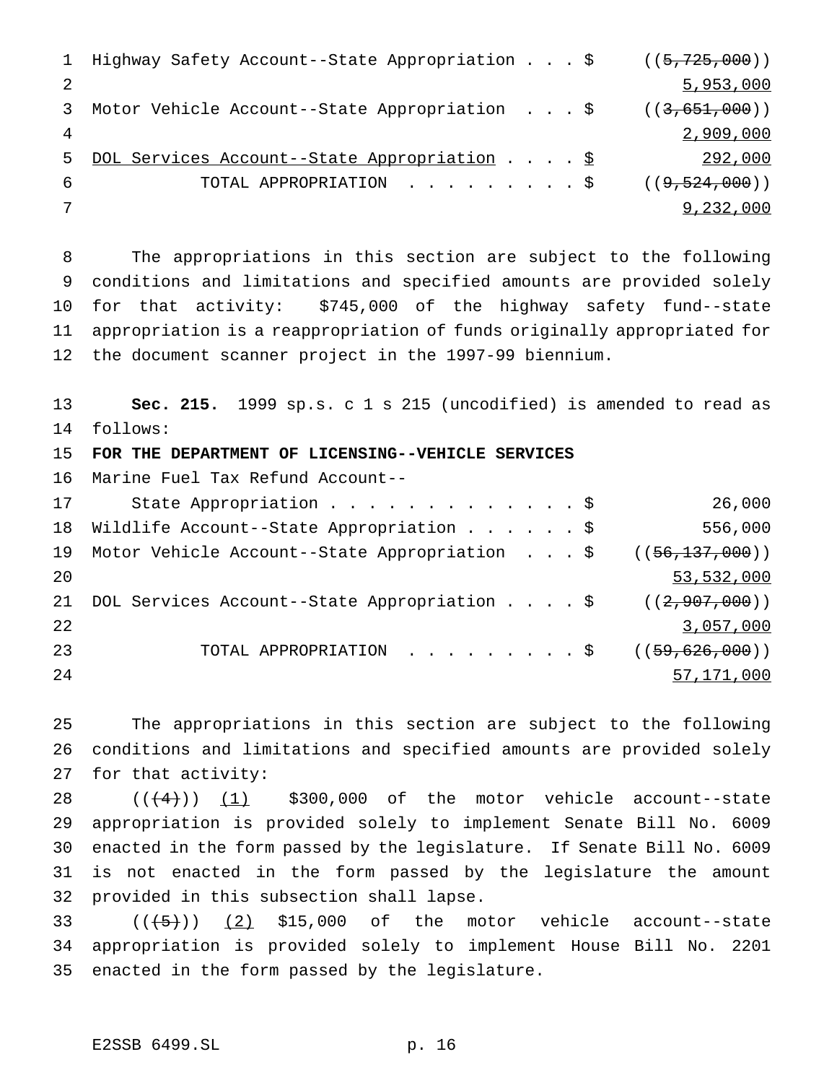|                | 1 Highway Safety Account--State Appropriation \$ ((5,725,000)) |  |  |           |
|----------------|----------------------------------------------------------------|--|--|-----------|
| 2              |                                                                |  |  | 5,953,000 |
|                | 3 Motor Vehicle Account--State Appropriation \$ ((3,651,000))  |  |  |           |
| $\overline{4}$ |                                                                |  |  | 2,909,000 |
|                | 5 DOL Services Account--State Appropriation \$                 |  |  | 292,000   |
| -6             | TOTAL APPROPRIATION $\frac{1}{5}$ ((9,524,000))                |  |  |           |
|                |                                                                |  |  | 9,232,000 |

 The appropriations in this section are subject to the following conditions and limitations and specified amounts are provided solely for that activity: \$745,000 of the highway safety fund--state appropriation is a reappropriation of funds originally appropriated for the document scanner project in the 1997-99 biennium.

 **Sec. 215.** 1999 sp.s. c 1 s 215 (uncodified) is amended to read as follows:

**FOR THE DEPARTMENT OF LICENSING--VEHICLE SERVICES**

Marine Fuel Tax Refund Account--

| 17 | State Appropriation \$                                          | 26,000       |
|----|-----------------------------------------------------------------|--------------|
| 18 | Wildlife Account--State Appropriation \$                        | 556,000      |
|    | 19 Motor Vehicle Account--State Appropriation \$ ((56,137,000)) |              |
| 20 |                                                                 | 53,532,000   |
| 21 | DOL Services Account--State Appropriation $\zeta$ ((2,907,000)) |              |
| 22 |                                                                 | 3,057,000    |
| 23 | TOTAL APPROPRIATION ( $(59,626,000)$ )                          |              |
| 24 |                                                                 | 57, 171, 000 |

 The appropriations in this section are subject to the following conditions and limitations and specified amounts are provided solely for that activity:

 $((+4))$  (1) \$300,000 of the motor vehicle account--state appropriation is provided solely to implement Senate Bill No. 6009 enacted in the form passed by the legislature. If Senate Bill No. 6009 is not enacted in the form passed by the legislature the amount provided in this subsection shall lapse.

33  $((\frac{1}{5})$   $(2)$  \$15,000 of the motor vehicle account--state appropriation is provided solely to implement House Bill No. 2201 enacted in the form passed by the legislature.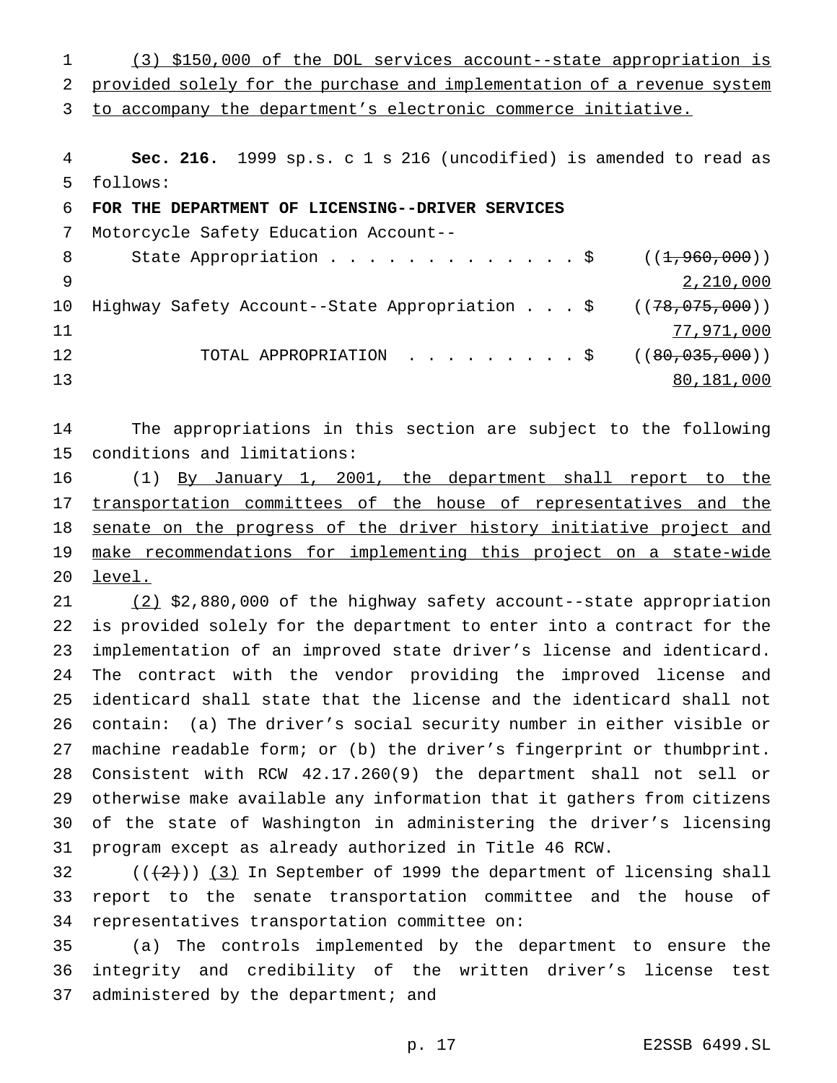(3) \$150,000 of the DOL services account--state appropriation is provided solely for the purchase and implementation of a revenue system

to accompany the department's electronic commerce initiative.

 **Sec. 216.** 1999 sp.s. c 1 s 216 (uncodified) is amended to read as follows:

**FOR THE DEPARTMENT OF LICENSING--DRIVER SERVICES**

Motorcycle Safety Education Account--

| - 8 | State Appropriation \$ $((1, 960, 000))$                                      |            |
|-----|-------------------------------------------------------------------------------|------------|
|     |                                                                               | 2,210,000  |
|     | 10 Highway Safety Account--State Appropriation \$ (( <del>78,075,000</del> )) |            |
| 11  |                                                                               | 77,971,000 |
| 12  | TOTAL APPROPRIATION $\ldots$ , \$ ((80,035,000))                              |            |
| 13  |                                                                               | 80,181,000 |

 The appropriations in this section are subject to the following conditions and limitations:

 (1) By January 1, 2001, the department shall report to the 17 transportation committees of the house of representatives and the 18 senate on the progress of the driver history initiative project and make recommendations for implementing this project on a state-wide 20 level.

 (2) \$2,880,000 of the highway safety account--state appropriation is provided solely for the department to enter into a contract for the implementation of an improved state driver's license and identicard. The contract with the vendor providing the improved license and identicard shall state that the license and the identicard shall not contain: (a) The driver's social security number in either visible or machine readable form; or (b) the driver's fingerprint or thumbprint. Consistent with RCW 42.17.260(9) the department shall not sell or otherwise make available any information that it gathers from citizens of the state of Washington in administering the driver's licensing program except as already authorized in Title 46 RCW.

32  $((+2))$   $(3)$  In September of 1999 the department of licensing shall report to the senate transportation committee and the house of representatives transportation committee on:

 (a) The controls implemented by the department to ensure the integrity and credibility of the written driver's license test 37 administered by the department; and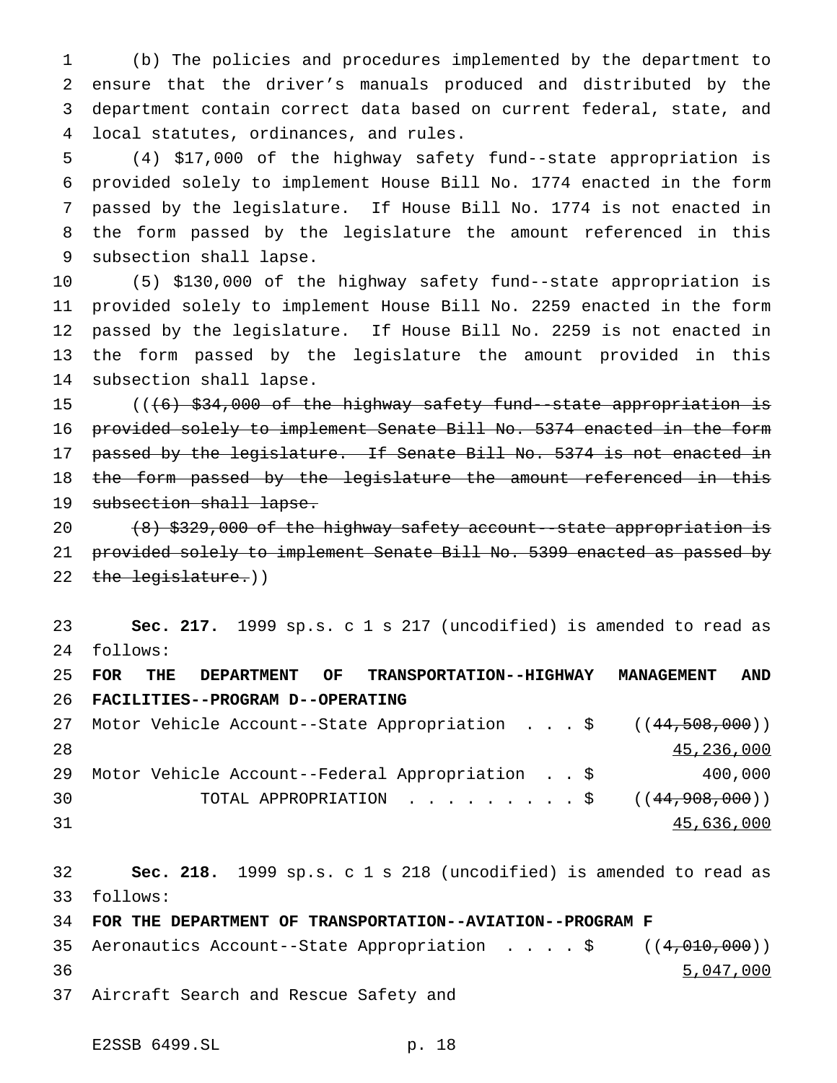(b) The policies and procedures implemented by the department to ensure that the driver's manuals produced and distributed by the department contain correct data based on current federal, state, and local statutes, ordinances, and rules.

 (4) \$17,000 of the highway safety fund--state appropriation is provided solely to implement House Bill No. 1774 enacted in the form passed by the legislature. If House Bill No. 1774 is not enacted in the form passed by the legislature the amount referenced in this subsection shall lapse.

 (5) \$130,000 of the highway safety fund--state appropriation is provided solely to implement House Bill No. 2259 enacted in the form passed by the legislature. If House Bill No. 2259 is not enacted in the form passed by the legislature the amount provided in this subsection shall lapse.

 (((6) \$34,000 of the highway safety fund--state appropriation is provided solely to implement Senate Bill No. 5374 enacted in the form 17 passed by the legislature. If Senate Bill No. 5374 is not enacted in 18 the form passed by the legislature the amount referenced in this 19 subsection shall lapse.

 (8) \$329,000 of the highway safety account--state appropriation is provided solely to implement Senate Bill No. 5399 enacted as passed by 22 the legislature.))

 **Sec. 217.** 1999 sp.s. c 1 s 217 (uncodified) is amended to read as follows:

 **FOR THE DEPARTMENT OF TRANSPORTATION--HIGHWAY MANAGEMENT AND FACILITIES--PROGRAM D--OPERATING** 27 Motor Vehicle Account--State Appropriation . . . \$ ((44,508,000)) 45,236,000 Motor Vehicle Account--Federal Appropriation . . \$ 400,000 30 TOTAL APPROPRIATION . . . . . . . . \$ ((44,908,000)) 45,636,000

 **Sec. 218.** 1999 sp.s. c 1 s 218 (uncodified) is amended to read as follows:

**FOR THE DEPARTMENT OF TRANSPORTATION--AVIATION--PROGRAM F**

35 Aeronautics Account--State Appropriation . . . \$ ((4,010,000)) 5,047,000

Aircraft Search and Rescue Safety and

E2SSB 6499.SL p. 18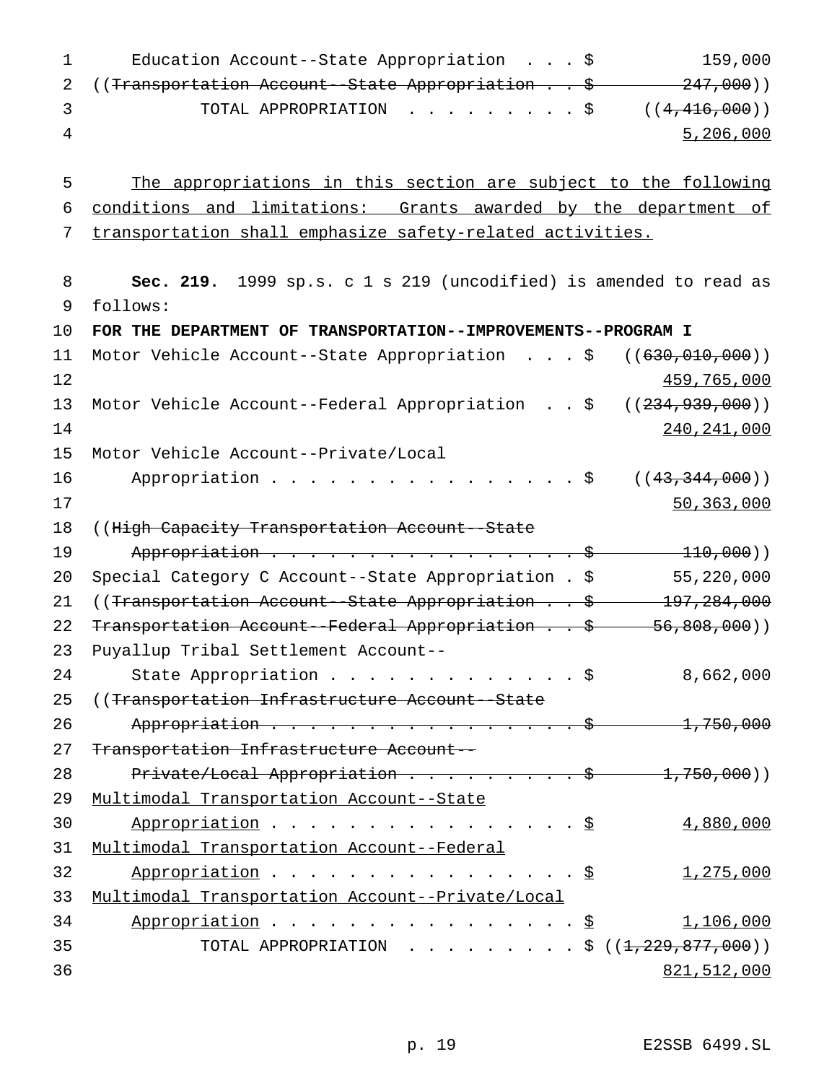| Education Account--State Appropriation $\ldots$ \$                     | 159,000   |
|------------------------------------------------------------------------|-----------|
| 2 ((Transportation Account--State Appropriation \$ 247,000))           |           |
| TOTAL APPROPRIATION $\ldots$ , , , , , , , $\frac{1}{5}$ ((4,416,000)) |           |
|                                                                        | 5,206,000 |
|                                                                        |           |

5 The appropriations in this section are subject to the following 6 conditions and limitations: Grants awarded by the department of 7 transportation shall emphasize safety-related activities.

8 **Sec. 219.** 1999 sp.s. c 1 s 219 (uncodified) is amended to read as 9 follows: 10 **FOR THE DEPARTMENT OF TRANSPORTATION--IMPROVEMENTS--PROGRAM I** 11 Motor Vehicle Account--State Appropriation . . . \$ ((<del>630,010,000</del>))  $12$  and  $459,765,000$ 13 Motor Vehicle Account--Federal Appropriation . . \$ ((234,939,000)) 14 240,241,000 15 Motor Vehicle Account--Private/Local 16 Appropriation . . . . . . . . . . . . . . \$ ((43,344,000))  $17$  50,363,000 18 ((High Capacity Transportation Account--State 19 Appropriation . . . . . . . . . . . . . . . . \$ 110,000)) 20 Special Category C Account--State Appropriation . \$ 55,220,000 21 ((Transportation Account--State Appropriation . . \$ 197,284,000 22 Transportation Account--Federal Appropriation . . \$ 56,808,000)) 23 Puyallup Tribal Settlement Account-- 24 State Appropriation . . . . . . . . . . . . \$ 8,662,000 25 ((Transportation Infrastructure Account - State 26 Appropriation . . . . . . . . . . . . . . . \$ 1,750,000 27 Transportation Infrastructure Account-- 28 Private/Local Appropriation . . . . . . . . \$ 1,750,000)) 29 Multimodal Transportation Account--State 30 Appropriation . . . . . . . . . . . . . . . \$ 4,880,000 31 Multimodal Transportation Account--Federal 32 Appropriation . . . . . . . . . . . . . . \$ 1,275,000 33 Multimodal Transportation Account--Private/Local 34 Appropriation . . . . . . . . . . . . . . . <u>\$</u> 1,106,000 35 TOTAL APPROPRIATION . . . . . . . . \$ ((<del>1,229,877,000</del>)) 36 821,512,000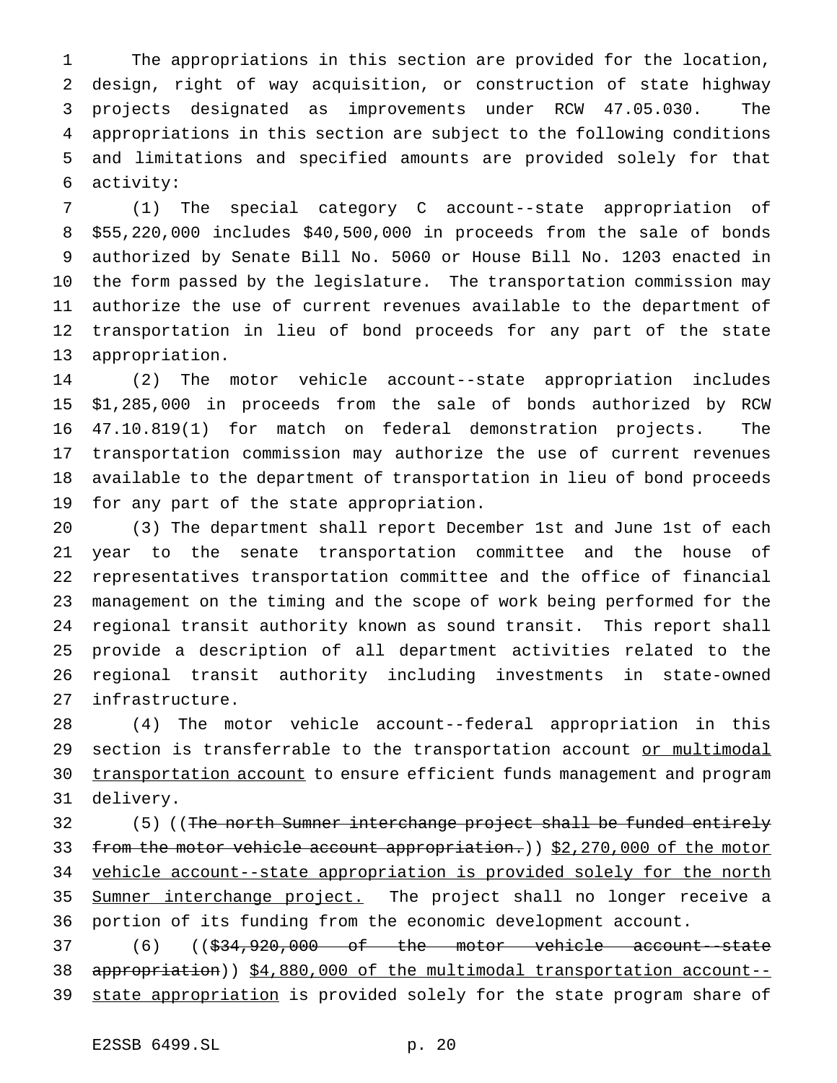The appropriations in this section are provided for the location, design, right of way acquisition, or construction of state highway projects designated as improvements under RCW 47.05.030. The appropriations in this section are subject to the following conditions and limitations and specified amounts are provided solely for that activity:

 (1) The special category C account--state appropriation of \$55,220,000 includes \$40,500,000 in proceeds from the sale of bonds authorized by Senate Bill No. 5060 or House Bill No. 1203 enacted in the form passed by the legislature. The transportation commission may authorize the use of current revenues available to the department of transportation in lieu of bond proceeds for any part of the state appropriation.

 (2) The motor vehicle account--state appropriation includes \$1,285,000 in proceeds from the sale of bonds authorized by RCW 47.10.819(1) for match on federal demonstration projects. The transportation commission may authorize the use of current revenues available to the department of transportation in lieu of bond proceeds for any part of the state appropriation.

 (3) The department shall report December 1st and June 1st of each year to the senate transportation committee and the house of representatives transportation committee and the office of financial management on the timing and the scope of work being performed for the regional transit authority known as sound transit. This report shall provide a description of all department activities related to the regional transit authority including investments in state-owned infrastructure.

 (4) The motor vehicle account--federal appropriation in this 29 section is transferrable to the transportation account or multimodal 30 transportation account to ensure efficient funds management and program delivery.

32 (5) ((<del>The north Sumner interchange project shall be funded entirely</del> 33 from the motor vehicle account appropriation.)) \$2,270,000 of the motor vehicle account--state appropriation is provided solely for the north 35 Sumner interchange project. The project shall no longer receive a portion of its funding from the economic development account.

 (6) ((\$34,920,000 of the motor vehicle account--state 38 appropriation)) \$4,880,000 of the multimodal transportation account--39 state appropriation is provided solely for the state program share of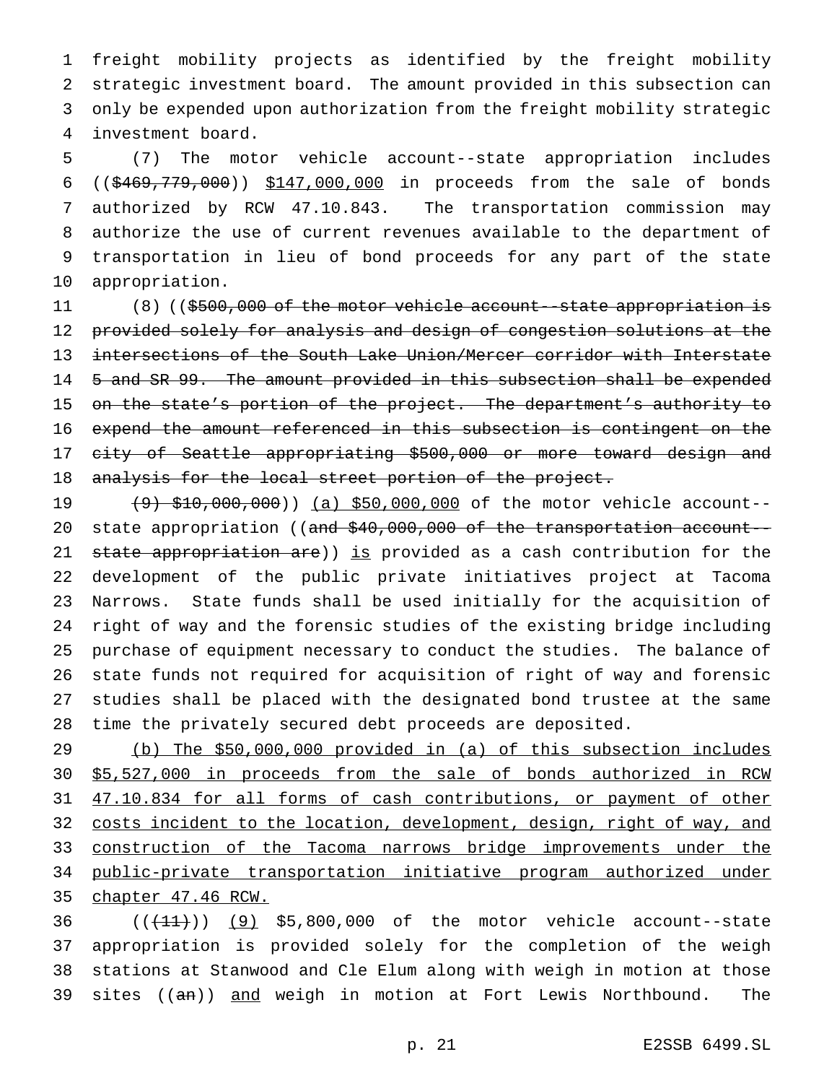freight mobility projects as identified by the freight mobility strategic investment board. The amount provided in this subsection can only be expended upon authorization from the freight mobility strategic investment board.

 (7) The motor vehicle account--state appropriation includes ((\$469,779,000)) \$147,000,000 in proceeds from the sale of bonds authorized by RCW 47.10.843. The transportation commission may authorize the use of current revenues available to the department of transportation in lieu of bond proceeds for any part of the state appropriation.

11 (8) ((\$500,000 of the motor vehicle account--state appropriation is provided solely for analysis and design of congestion solutions at the intersections of the South Lake Union/Mercer corridor with Interstate 5 and SR 99. The amount provided in this subsection shall be expended 15 on the state's portion of the project. The department's authority to expend the amount referenced in this subsection is contingent on the city of Seattle appropriating \$500,000 or more toward design and 18 analysis for the local street portion of the project.

19 (9) \$10,000,000)) (a) \$50,000,000 of the motor vehicle account--20 state appropriation ((and \$40,000,000 of the transportation account--21 state appropriation are)) is provided as a cash contribution for the development of the public private initiatives project at Tacoma Narrows. State funds shall be used initially for the acquisition of right of way and the forensic studies of the existing bridge including purchase of equipment necessary to conduct the studies. The balance of state funds not required for acquisition of right of way and forensic studies shall be placed with the designated bond trustee at the same time the privately secured debt proceeds are deposited.

 (b) The \$50,000,000 provided in (a) of this subsection includes \$5,527,000 in proceeds from the sale of bonds authorized in RCW 47.10.834 for all forms of cash contributions, or payment of other 32 costs incident to the location, development, design, right of way, and 33 construction of the Tacoma narrows bridge improvements under the public-private transportation initiative program authorized under chapter 47.46 RCW.

 $((+11))$   $(9)$  \$5,800,000 of the motor vehicle account--state appropriation is provided solely for the completion of the weigh stations at Stanwood and Cle Elum along with weigh in motion at those 39 sites ((an)) and weigh in motion at Fort Lewis Northbound. The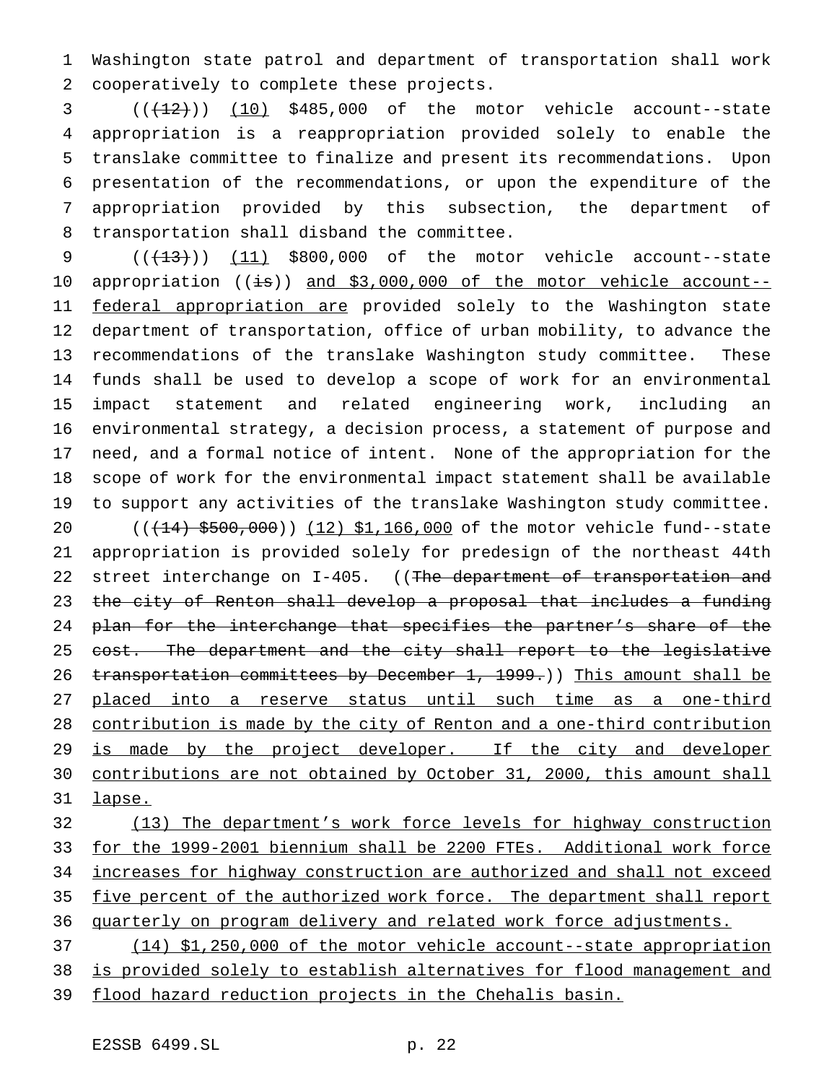Washington state patrol and department of transportation shall work cooperatively to complete these projects.

  $((+12))$   $(10)$  \$485,000 of the motor vehicle account--state appropriation is a reappropriation provided solely to enable the translake committee to finalize and present its recommendations. Upon presentation of the recommendations, or upon the expenditure of the appropriation provided by this subsection, the department of transportation shall disband the committee.

 $((+13))$   $(11)$  \$800,000 of the motor vehicle account--state 10 appropriation ((is)) and \$3,000,000 of the motor vehicle account--11 federal appropriation are provided solely to the Washington state department of transportation, office of urban mobility, to advance the recommendations of the translake Washington study committee. These funds shall be used to develop a scope of work for an environmental impact statement and related engineering work, including an environmental strategy, a decision process, a statement of purpose and need, and a formal notice of intent. None of the appropriation for the scope of work for the environmental impact statement shall be available to support any activities of the translake Washington study committee.

20 (( $(14)$  \$500,000)) (12) \$1,166,000 of the motor vehicle fund--state appropriation is provided solely for predesign of the northeast 44th 22 street interchange on I-405. ((The department of transportation and the city of Renton shall develop a proposal that includes a funding 24 plan for the interchange that specifies the partner's share of the 25 cost. The department and the city shall report to the legislative 26 transportation committees by December 1, 1999.)) This amount shall be placed into a reserve status until such time as a one-third contribution is made by the city of Renton and a one-third contribution 29 is made by the project developer. If the city and developer contributions are not obtained by October 31, 2000, this amount shall lapse.

 (13) The department's work force levels for highway construction for the 1999-2001 biennium shall be 2200 FTEs. Additional work force increases for highway construction are authorized and shall not exceed five percent of the authorized work force. The department shall report 36 quarterly on program delivery and related work force adjustments. (14) \$1,250,000 of the motor vehicle account--state appropriation

 is provided solely to establish alternatives for flood management and flood hazard reduction projects in the Chehalis basin.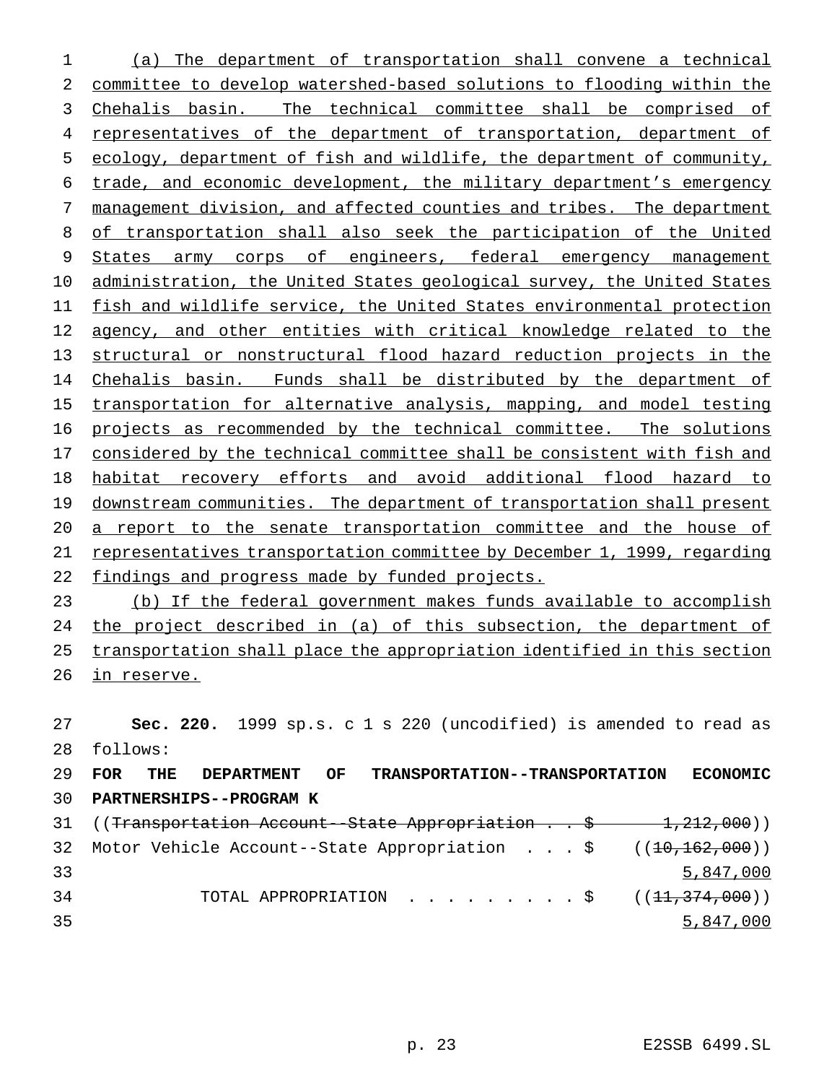(a) The department of transportation shall convene a technical committee to develop watershed-based solutions to flooding within the 3 Chehalis basin. The technical committee shall be comprised of 4 representatives of the department of transportation, department of ecology, department of fish and wildlife, the department of community, trade, and economic development, the military department's emergency management division, and affected counties and tribes. The department of transportation shall also seek the participation of the United 9 States army corps of engineers, federal emergency management administration, the United States geological survey, the United States fish and wildlife service, the United States environmental protection 12 agency, and other entities with critical knowledge related to the structural or nonstructural flood hazard reduction projects in the Chehalis basin. Funds shall be distributed by the department of transportation for alternative analysis, mapping, and model testing projects as recommended by the technical committee. The solutions considered by the technical committee shall be consistent with fish and habitat recovery efforts and avoid additional flood hazard to 19 downstream communities. The department of transportation shall present 20 a report to the senate transportation committee and the house of representatives transportation committee by December 1, 1999, regarding 22 findings and progress made by funded projects.

 (b) If the federal government makes funds available to accomplish 24 the project described in (a) of this subsection, the department of transportation shall place the appropriation identified in this section in reserve.

 **Sec. 220.** 1999 sp.s. c 1 s 220 (uncodified) is amended to read as follows: **FOR THE DEPARTMENT OF TRANSPORTATION--TRANSPORTATION ECONOMIC PARTNERSHIPS--PROGRAM K**

| 31 ((Transportation Account-State Appropriation \$ 1,212,000))      |           |
|---------------------------------------------------------------------|-----------|
| 32 Motor Vehicle Account--State Appropriation \$ $((10, 162, 000))$ |           |
|                                                                     | 5,847,000 |
| TOTAL APPROPRIATION \$ $((11,374,000))$                             |           |
|                                                                     | 5,847,000 |
|                                                                     |           |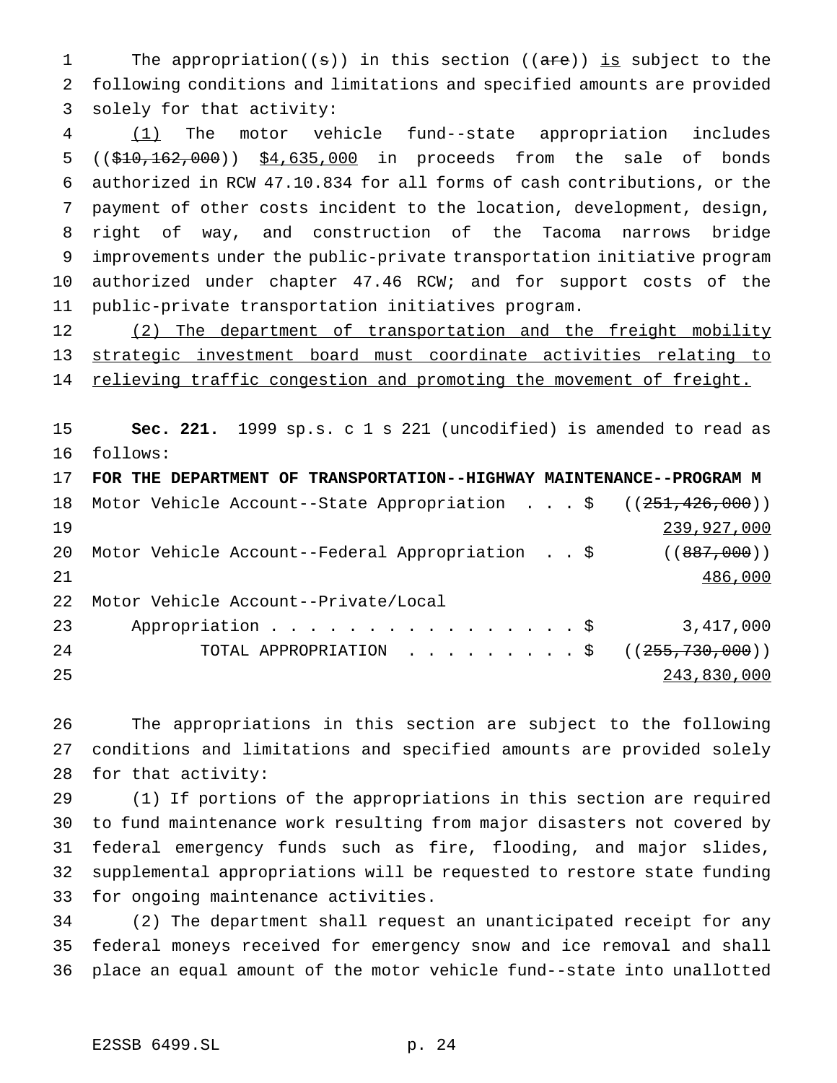1 The appropriation((s)) in this section ((are)) is subject to the following conditions and limitations and specified amounts are provided solely for that activity:

 (1) The motor vehicle fund--state appropriation includes 5 ((\$10,162,000)) \$4,635,000 in proceeds from the sale of bonds authorized in RCW 47.10.834 for all forms of cash contributions, or the payment of other costs incident to the location, development, design, right of way, and construction of the Tacoma narrows bridge improvements under the public-private transportation initiative program authorized under chapter 47.46 RCW; and for support costs of the public-private transportation initiatives program.

12 (2) The department of transportation and the freight mobility strategic investment board must coordinate activities relating to 14 relieving traffic congestion and promoting the movement of freight.

 **Sec. 221.** 1999 sp.s. c 1 s 221 (uncodified) is amended to read as follows:

|    | 17 FOR THE DEPARTMENT OF TRANSPORTATION--HIGHWAY MAINTENANCE--PROGRAM M |  |             |
|----|-------------------------------------------------------------------------|--|-------------|
| 18 | Motor Vehicle Account--State Appropriation \$ $((251, 426, 000))$       |  |             |
| 19 |                                                                         |  | 239,927,000 |
| 20 | Motor Vehicle Account--Federal Appropriation \$ ((887,000))             |  |             |
| 21 |                                                                         |  | 486,000     |
| 22 | Motor Vehicle Account--Private/Local                                    |  |             |
| 23 | Appropriation \$                                                        |  | 3,417,000   |
| 24 | TOTAL APPROPRIATION ( $(255,730,000)$ )                                 |  |             |
| 25 |                                                                         |  | 243,830,000 |

 The appropriations in this section are subject to the following conditions and limitations and specified amounts are provided solely for that activity:

 (1) If portions of the appropriations in this section are required to fund maintenance work resulting from major disasters not covered by federal emergency funds such as fire, flooding, and major slides, supplemental appropriations will be requested to restore state funding for ongoing maintenance activities.

 (2) The department shall request an unanticipated receipt for any federal moneys received for emergency snow and ice removal and shall place an equal amount of the motor vehicle fund--state into unallotted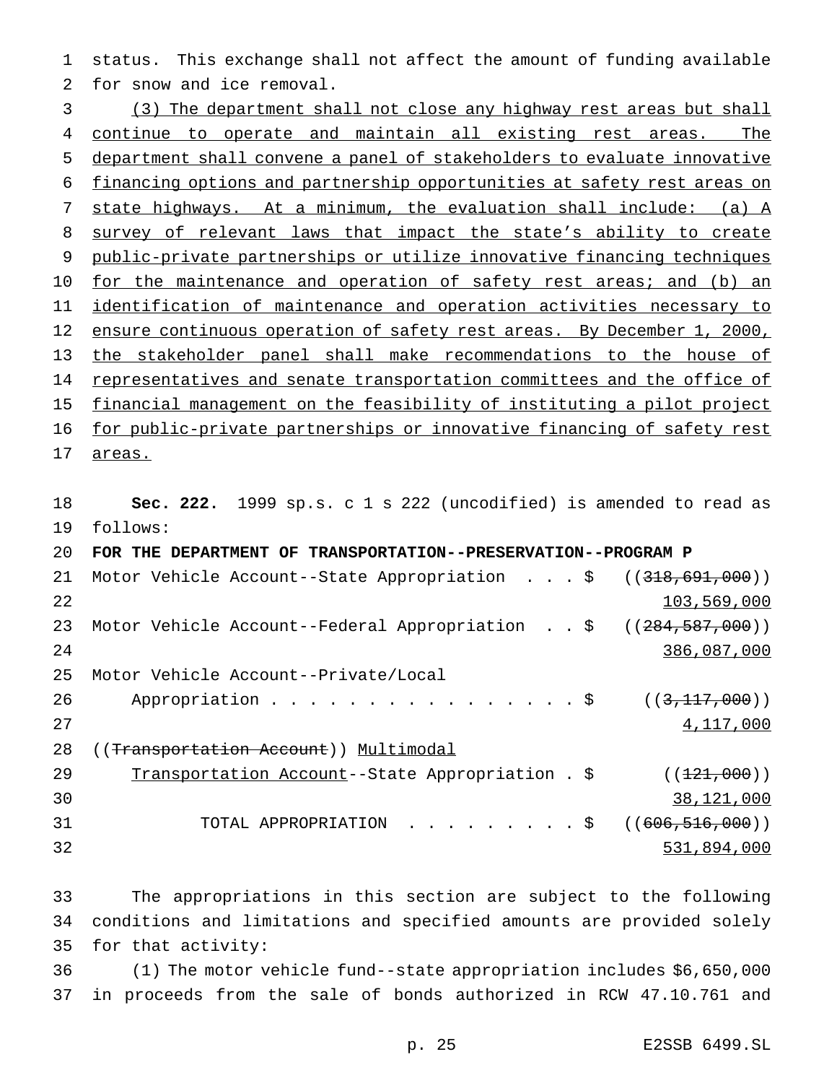status. This exchange shall not affect the amount of funding available for snow and ice removal.

 (3) The department shall not close any highway rest areas but shall continue to operate and maintain all existing rest areas. The department shall convene a panel of stakeholders to evaluate innovative financing options and partnership opportunities at safety rest areas on state highways. At a minimum, the evaluation shall include: (a) A 8 survey of relevant laws that impact the state's ability to create public-private partnerships or utilize innovative financing techniques 10 for the maintenance and operation of safety rest areas; and (b) an identification of maintenance and operation activities necessary to 12 ensure continuous operation of safety rest areas. By December 1, 2000, the stakeholder panel shall make recommendations to the house of 14 representatives and senate transportation committees and the office of financial management on the feasibility of instituting a pilot project for public-private partnerships or innovative financing of safety rest

areas.

 **Sec. 222.** 1999 sp.s. c 1 s 222 (uncodified) is amended to read as follows: **FOR THE DEPARTMENT OF TRANSPORTATION--PRESERVATION--PROGRAM P** 21 Motor Vehicle Account--State Appropriation . . . \$ ((<del>318,691,000</del>)) and  $103,569,000$ 23 Motor Vehicle Account--Federal Appropriation . . \$ ((284,587,000)) 386,087,000 Motor Vehicle Account--Private/Local 26 Appropriation . . . . . . . . . . . . . . \$ ((3,117,000)) and  $4,117,000$ 28 ((Transportation Account)) Multimodal 29 Transportation Account--State Appropriation . \$ ((121,000)) 38,121,000 31 TOTAL APPROPRIATION . . . . . . . . \$ ((606,516,000)) 531,894,000

 The appropriations in this section are subject to the following conditions and limitations and specified amounts are provided solely for that activity:

 (1) The motor vehicle fund--state appropriation includes \$6,650,000 in proceeds from the sale of bonds authorized in RCW 47.10.761 and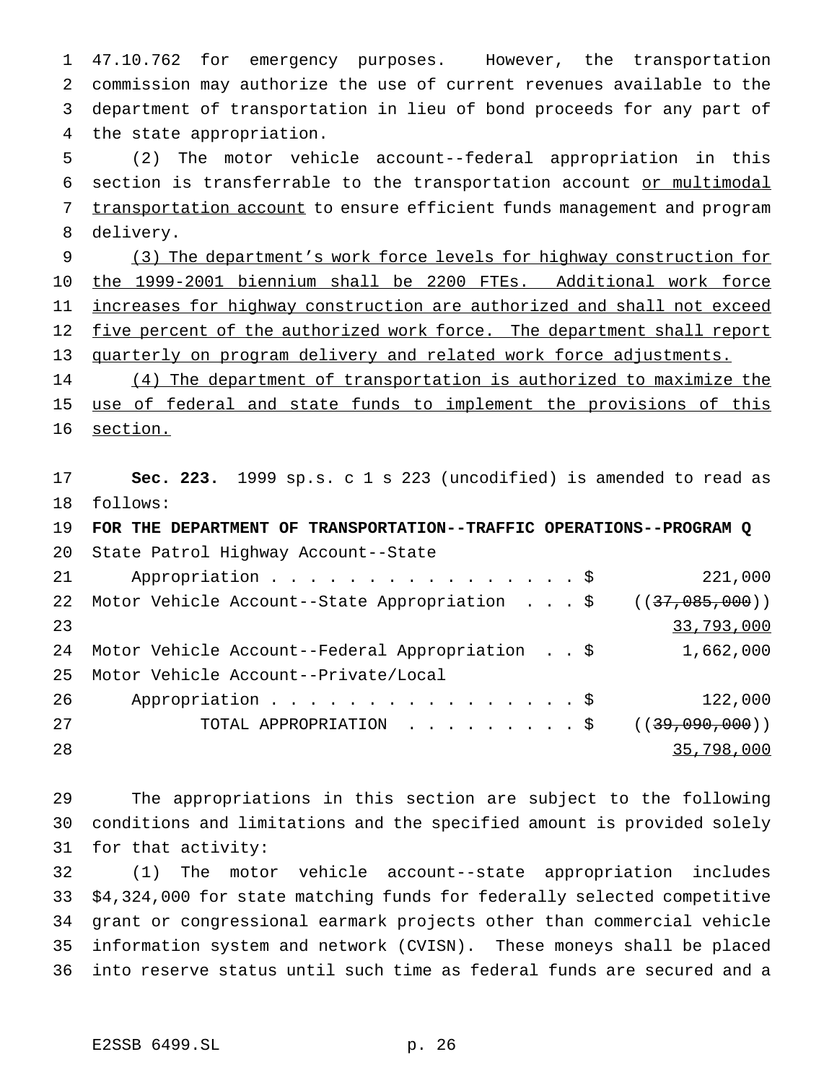47.10.762 for emergency purposes. However, the transportation commission may authorize the use of current revenues available to the department of transportation in lieu of bond proceeds for any part of the state appropriation.

 (2) The motor vehicle account--federal appropriation in this section is transferrable to the transportation account or multimodal 7 transportation account to ensure efficient funds management and program delivery.

 (3) The department's work force levels for highway construction for the 1999-2001 biennium shall be 2200 FTEs. Additional work force increases for highway construction are authorized and shall not exceed 12 five percent of the authorized work force. The department shall report quarterly on program delivery and related work force adjustments.

 (4) The department of transportation is authorized to maximize the 15 use of federal and state funds to implement the provisions of this 16 section.

 **Sec. 223.** 1999 sp.s. c 1 s 223 (uncodified) is amended to read as follows:

 **FOR THE DEPARTMENT OF TRANSPORTATION--TRAFFIC OPERATIONS--PROGRAM Q** State Patrol Highway Account--State 21 Appropriation . . . . . . . . . . . . . . . \$ 221,000 22 Motor Vehicle Account--State Appropriation . . . \$ ((37,085,000)) 33,793,000 Motor Vehicle Account--Federal Appropriation . . \$ 1,662,000 Motor Vehicle Account--Private/Local 26 Appropriation . . . . . . . . . . . . . . . \$ 122,000 TOTAL APPROPRIATION .........\$ ((39,090,000)) 35,798,000

 The appropriations in this section are subject to the following conditions and limitations and the specified amount is provided solely for that activity:

 (1) The motor vehicle account--state appropriation includes \$4,324,000 for state matching funds for federally selected competitive grant or congressional earmark projects other than commercial vehicle information system and network (CVISN). These moneys shall be placed into reserve status until such time as federal funds are secured and a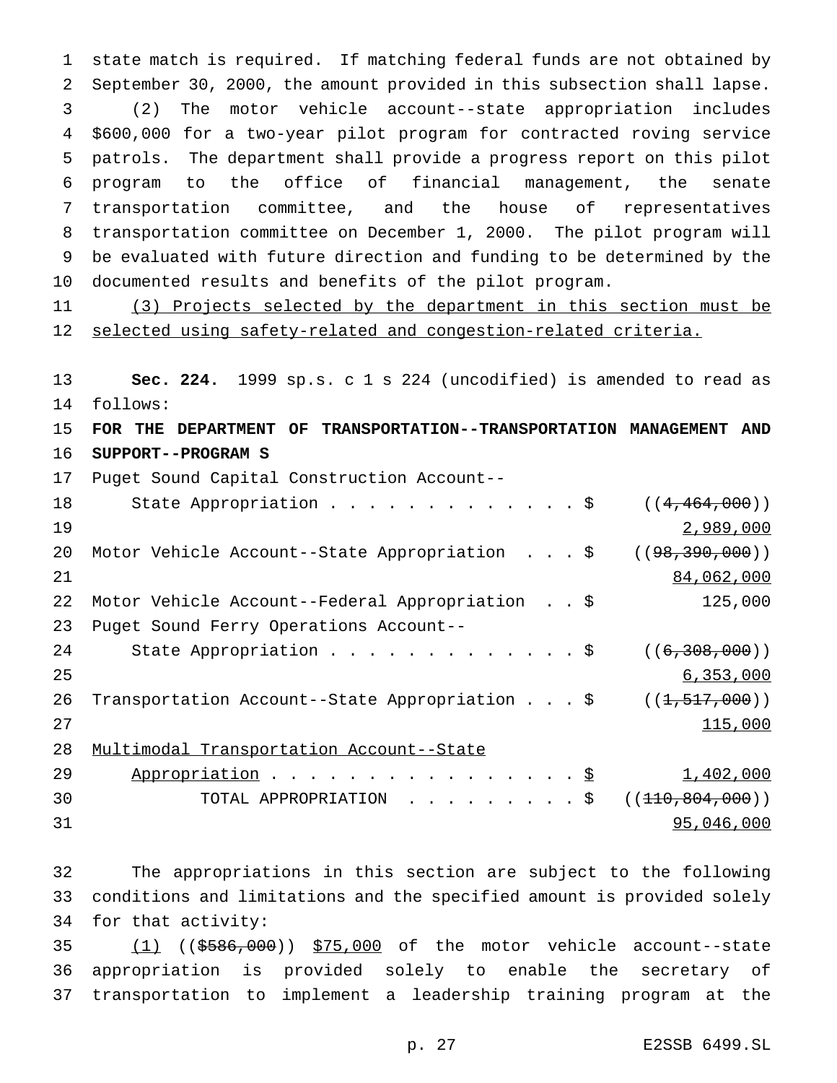state match is required. If matching federal funds are not obtained by September 30, 2000, the amount provided in this subsection shall lapse. (2) The motor vehicle account--state appropriation includes \$600,000 for a two-year pilot program for contracted roving service patrols. The department shall provide a progress report on this pilot program to the office of financial management, the senate transportation committee, and the house of representatives transportation committee on December 1, 2000. The pilot program will be evaluated with future direction and funding to be determined by the documented results and benefits of the pilot program.

 (3) Projects selected by the department in this section must be 12 selected using safety-related and congestion-related criteria.

 **Sec. 224.** 1999 sp.s. c 1 s 224 (uncodified) is amended to read as follows:

 **FOR THE DEPARTMENT OF TRANSPORTATION--TRANSPORTATION MANAGEMENT AND SUPPORT--PROGRAM S**

Puget Sound Capital Construction Account--

| 18 | State Appropriation $\frac{1}{5}$               | ((4, 464, 000))    |
|----|-------------------------------------------------|--------------------|
| 19 |                                                 | 2,989,000          |
| 20 | Motor Vehicle Account--State Appropriation \$   | ( (98, 390, 000) ) |
| 21 |                                                 | 84,062,000         |
| 22 | Motor Vehicle Account--Federal Appropriation \$ | 125,000            |
| 23 | Puget Sound Ferry Operations Account--          |                    |
| 24 | State Appropriation \$                          | ((6, 308, 000))    |
| 25 |                                                 | 6,353,000          |
| 26 | Transportation Account--State Appropriation \$  | ((1, 517, 000))    |
| 27 |                                                 | 115,000            |
| 28 | Multimodal Transportation Account--State        |                    |
| 29 | Appropriation \$                                | 1,402,000          |
| 30 | TOTAL APPROPRIATION \$                          | ((110, 804, 000))  |
|    |                                                 |                    |

95,046,000

 The appropriations in this section are subject to the following conditions and limitations and the specified amount is provided solely for that activity:

 (1) ((\$586,000)) \$75,000 of the motor vehicle account--state appropriation is provided solely to enable the secretary of transportation to implement a leadership training program at the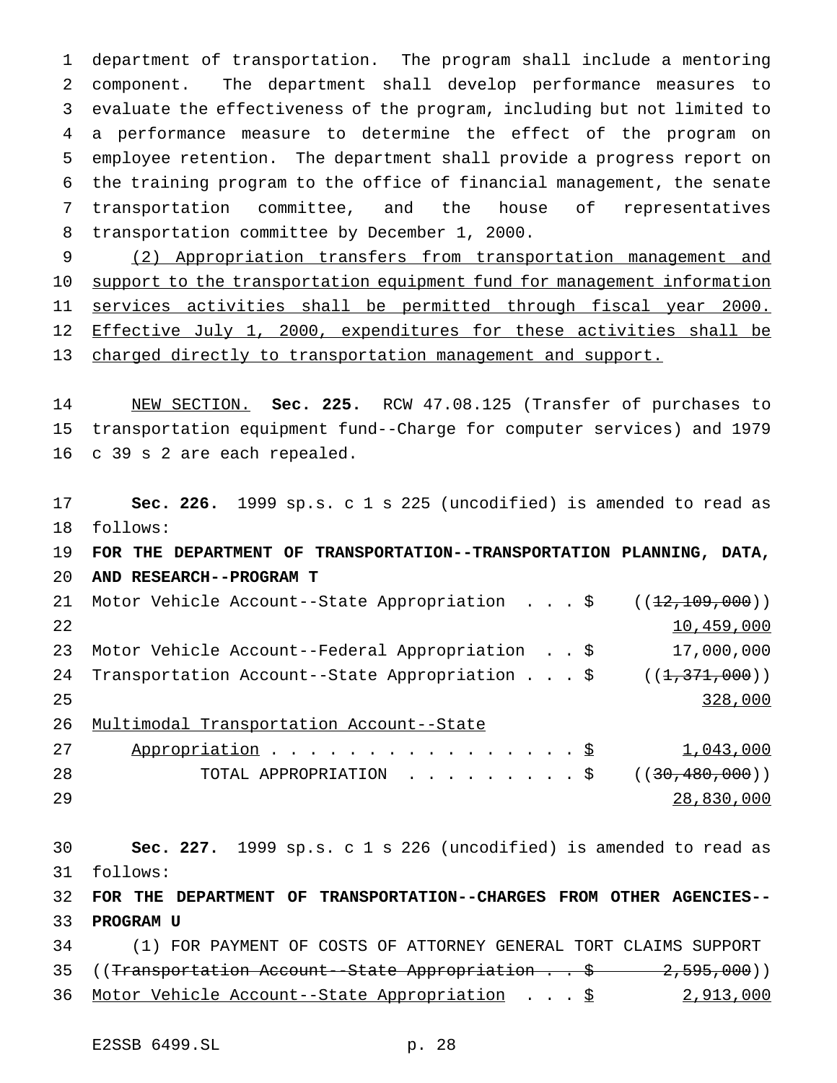department of transportation. The program shall include a mentoring component. The department shall develop performance measures to evaluate the effectiveness of the program, including but not limited to a performance measure to determine the effect of the program on employee retention. The department shall provide a progress report on the training program to the office of financial management, the senate transportation committee, and the house of representatives transportation committee by December 1, 2000.

 (2) Appropriation transfers from transportation management and 10 support to the transportation equipment fund for management information services activities shall be permitted through fiscal year 2000. 12 Effective July 1, 2000, expenditures for these activities shall be 13 charged directly to transportation management and support.

 NEW SECTION. **Sec. 225.** RCW 47.08.125 (Transfer of purchases to transportation equipment fund--Charge for computer services) and 1979 c 39 s 2 are each repealed.

 **Sec. 226.** 1999 sp.s. c 1 s 225 (uncodified) is amended to read as follows: **FOR THE DEPARTMENT OF TRANSPORTATION--TRANSPORTATION PLANNING, DATA, AND RESEARCH--PROGRAM T** 21 Motor Vehicle Account--State Appropriation . . . \$ ((<del>12,109,000</del>)) 10,459,000 Motor Vehicle Account--Federal Appropriation . . \$ 17,000,000 24 Transportation Account--State Appropriation . . . \$ ((1,371,000)) 25 328,000 Multimodal Transportation Account--State 27 Appropriation . . . . . . . . . . . . . . . \$ 1,043,000 28 TOTAL APPROPRIATION . . . . . . . . \$ ((<del>30,480,000</del>)) 28,830,000 **Sec. 227.** 1999 sp.s. c 1 s 226 (uncodified) is amended to read as follows: **FOR THE DEPARTMENT OF TRANSPORTATION--CHARGES FROM OTHER AGENCIES-- PROGRAM U** (1) FOR PAYMENT OF COSTS OF ATTORNEY GENERAL TORT CLAIMS SUPPORT 35 ((Transportation Account--State Appropriation . . \$ 2,595,000)) 36 Motor Vehicle Account--State Appropriation . . . \$ 2,913,000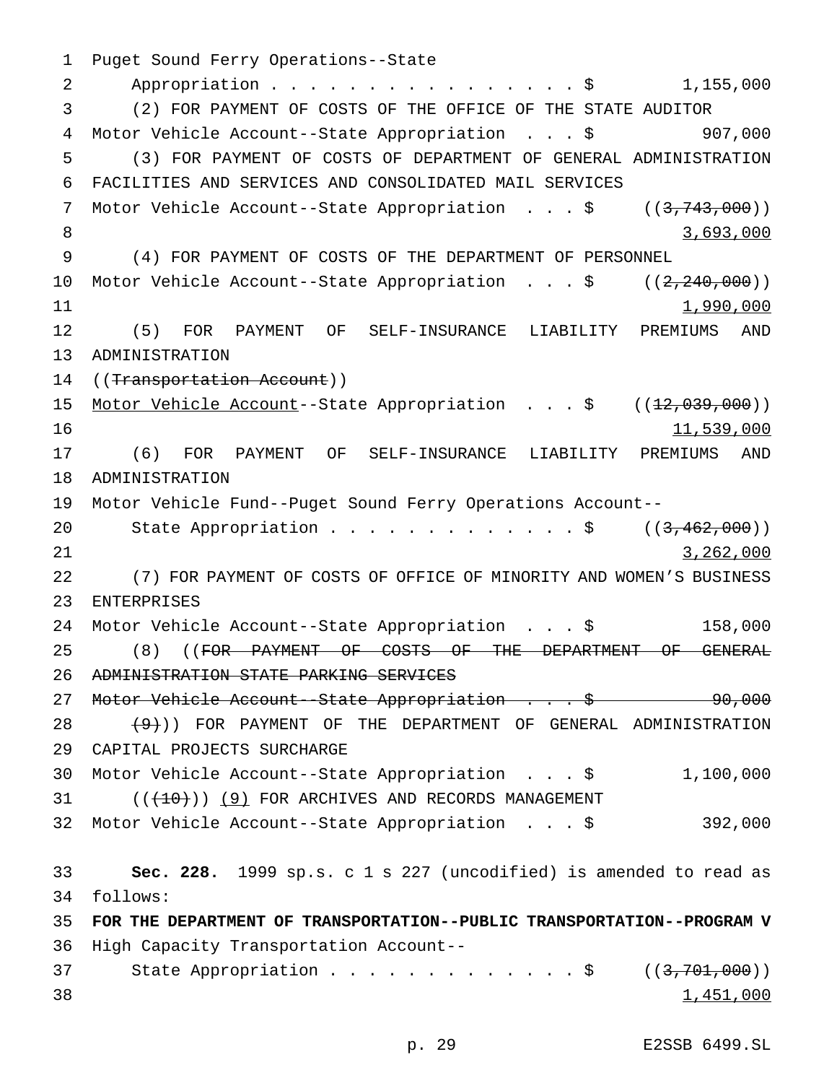Puget Sound Ferry Operations--State Appropriation................\$ 1,155,000 (2) FOR PAYMENT OF COSTS OF THE OFFICE OF THE STATE AUDITOR Motor Vehicle Account--State Appropriation ...\$ 907,000 (3) FOR PAYMENT OF COSTS OF DEPARTMENT OF GENERAL ADMINISTRATION FACILITIES AND SERVICES AND CONSOLIDATED MAIL SERVICES 7 Motor Vehicle Account--State Appropriation . . . \$ ((3,743,000)) 8 3,693,000 (4) FOR PAYMENT OF COSTS OF THE DEPARTMENT OF PERSONNEL 10 Motor Vehicle Account--State Appropriation . . . \$ ((2,240,000))  $1,990,000$  (5) FOR PAYMENT OF SELF-INSURANCE LIABILITY PREMIUMS AND ADMINISTRATION 14 ((Transportation Account)) 15 Motor Vehicle Account--State Appropriation . . . \$ ((12,039,000)) 11,539,000 (6) FOR PAYMENT OF SELF-INSURANCE LIABILITY PREMIUMS AND ADMINISTRATION Motor Vehicle Fund--Puget Sound Ferry Operations Account-- 20 State Appropriation . . . . . . . . . . . \$ ((3,462,000)) 3,262,000 (7) FOR PAYMENT OF COSTS OF OFFICE OF MINORITY AND WOMEN'S BUSINESS ENTERPRISES Motor Vehicle Account--State Appropriation ...\$ 158,000 (8) ((FOR PAYMENT OF COSTS OF THE DEPARTMENT OF GENERAL ADMINISTRATION STATE PARKING SERVICES 27 Motor Vehicle Account--State Appropriation . . . \$ 90,000  $(9+)$ ) FOR PAYMENT OF THE DEPARTMENT OF GENERAL ADMINISTRATION CAPITAL PROJECTS SURCHARGE Motor Vehicle Account--State Appropriation ...\$ 1,100,000 31 (( $\left(\frac{(10)}{10}\right)$ ) (9) FOR ARCHIVES AND RECORDS MANAGEMENT Motor Vehicle Account--State Appropriation ...\$ 392,000 **Sec. 228.** 1999 sp.s. c 1 s 227 (uncodified) is amended to read as follows: **FOR THE DEPARTMENT OF TRANSPORTATION--PUBLIC TRANSPORTATION--PROGRAM V** High Capacity Transportation Account-- 37 State Appropriation . . . . . . . . . . . . \$ ((3,701,000))  $\frac{1}{451,000}$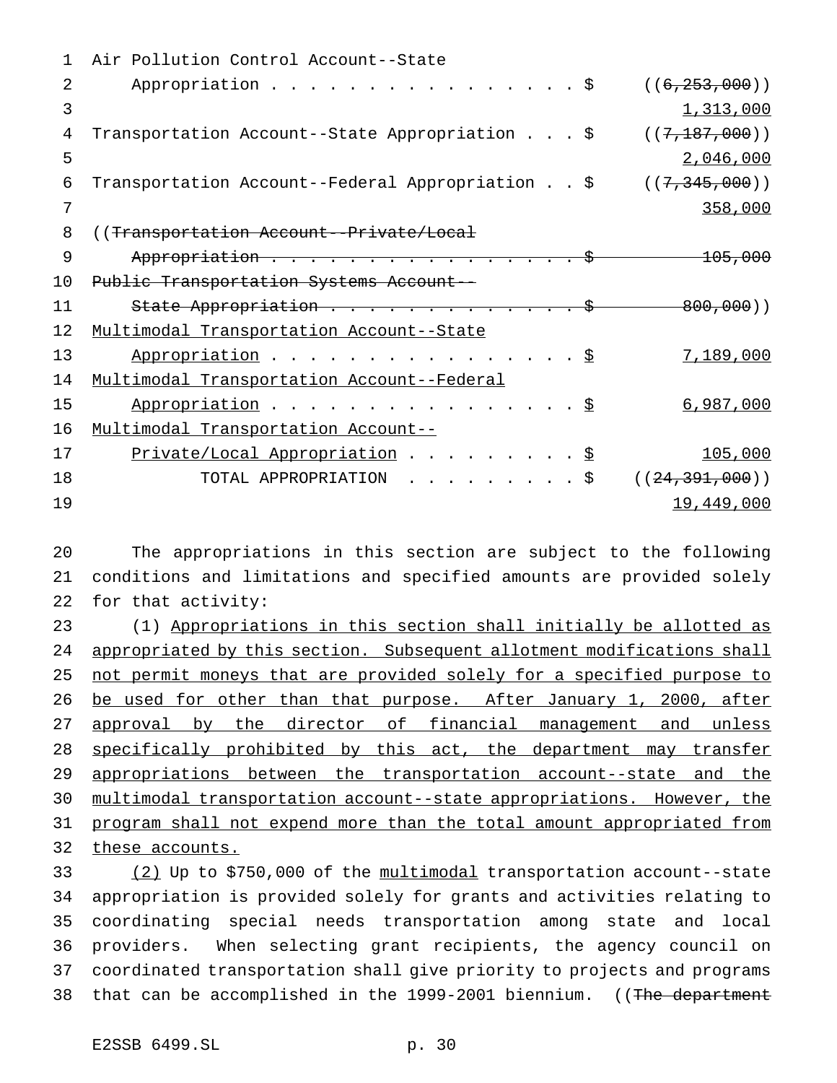| 1  | Air Pollution Control Account--State                                                   |                    |
|----|----------------------------------------------------------------------------------------|--------------------|
| 2. | Appropriation \$                                                                       | ((6, 253, 000))    |
| 3  |                                                                                        | 1,313,000          |
| 4  | Transportation Account--State Appropriation \$                                         | ((7, 187, 000))    |
| 5  |                                                                                        | 2,046,000          |
| 6  | Transportation Account--Federal Appropriation \$                                       | ((7, 345, 000))    |
| 7  |                                                                                        | 358,000            |
| 8  | ((Transportation Account--Private/Local                                                |                    |
| 9  | Appropriation                                                                          | <del>105,000</del> |
| 10 | Public Transportation Systems Account--                                                |                    |
| 11 | State Appropriation                                                                    | 800,000)           |
| 12 | Multimodal Transportation Account--State                                               |                    |
| 13 | Appropriation \$                                                                       | 7,189,000          |
| 14 | Multimodal Transportation Account--Federal                                             |                    |
| 15 | Appropriation                                                                          | 6,987,000          |
| 16 | Multimodal Transportation Account--                                                    |                    |
| 17 | Private/Local Appropriation \$                                                         | 105,000            |
| 18 | TOTAL APPROPRIATION<br>$\cdot$ $\cdot$ $\cdot$ $\cdot$ $\cdot$ $\cdot$ $\cdot$ $\cdot$ | ((24, 391, 000))   |
| 19 |                                                                                        | 19,449,000         |

 The appropriations in this section are subject to the following conditions and limitations and specified amounts are provided solely for that activity:

 (1) Appropriations in this section shall initially be allotted as 24 appropriated by this section. Subsequent allotment modifications shall not permit moneys that are provided solely for a specified purpose to be used for other than that purpose. After January 1, 2000, after approval by the director of financial management and unless 28 specifically prohibited by this act, the department may transfer appropriations between the transportation account--state and the multimodal transportation account--state appropriations. However, the program shall not expend more than the total amount appropriated from these accounts.

 (2) Up to \$750,000 of the multimodal transportation account--state appropriation is provided solely for grants and activities relating to coordinating special needs transportation among state and local providers. When selecting grant recipients, the agency council on coordinated transportation shall give priority to projects and programs 38 that can be accomplished in the 1999-2001 biennium. ((The department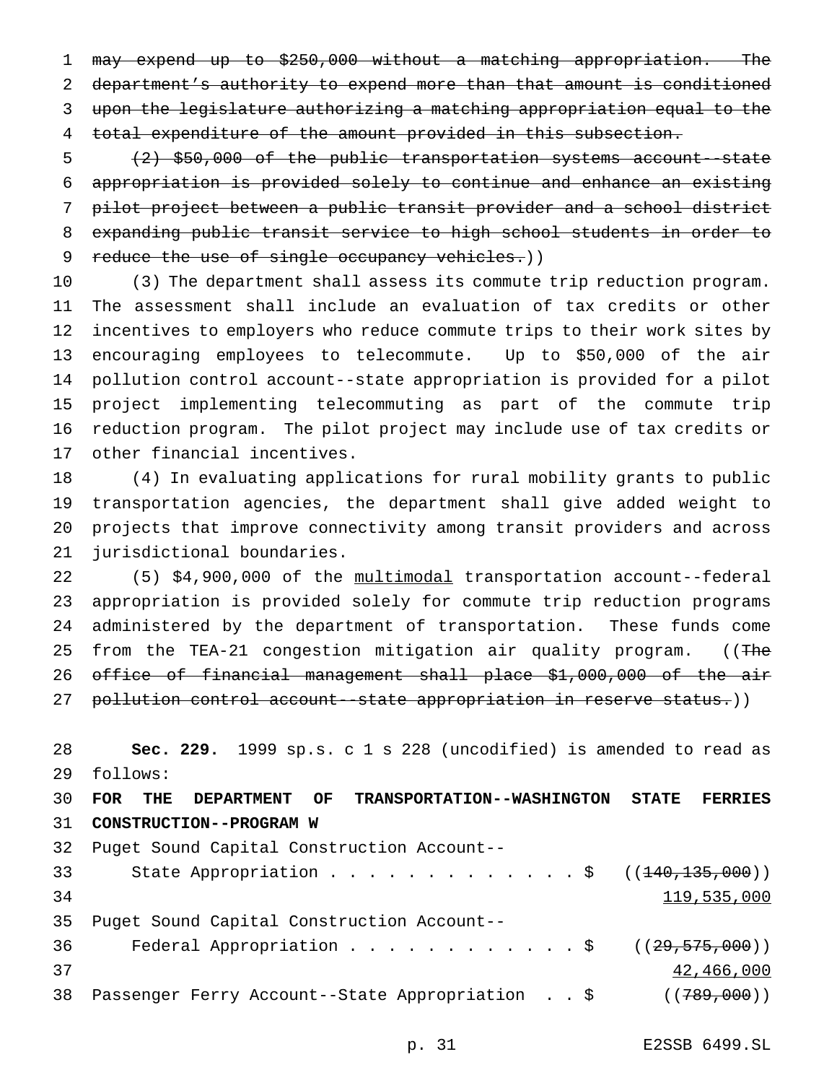may expend up to \$250,000 without a matching appropriation. The department's authority to expend more than that amount is conditioned upon the legislature authorizing a matching appropriation equal to the total expenditure of the amount provided in this subsection.

 (2) \$50,000 of the public transportation systems account--state appropriation is provided solely to continue and enhance an existing pilot project between a public transit provider and a school district expanding public transit service to high school students in order to 9 reduce the use of single occupancy vehicles.))

 (3) The department shall assess its commute trip reduction program. The assessment shall include an evaluation of tax credits or other incentives to employers who reduce commute trips to their work sites by encouraging employees to telecommute. Up to \$50,000 of the air pollution control account--state appropriation is provided for a pilot project implementing telecommuting as part of the commute trip reduction program. The pilot project may include use of tax credits or other financial incentives.

 (4) In evaluating applications for rural mobility grants to public transportation agencies, the department shall give added weight to projects that improve connectivity among transit providers and across jurisdictional boundaries.

 (5) \$4,900,000 of the multimodal transportation account--federal appropriation is provided solely for commute trip reduction programs administered by the department of transportation. These funds come 25 from the TEA-21 congestion mitigation air quality program. ((The office of financial management shall place \$1,000,000 of the air 27 pollution control account--state appropriation in reserve status.))

 **Sec. 229.** 1999 sp.s. c 1 s 228 (uncodified) is amended to read as follows:

 **FOR THE DEPARTMENT OF TRANSPORTATION--WASHINGTON STATE FERRIES CONSTRUCTION--PROGRAM W** Puget Sound Capital Construction Account-- 33 State Appropriation . . . . . . . . . . . . \$ ((<del>140,135,000</del>)) 119,535,000 Puget Sound Capital Construction Account-- 36 Federal Appropriation . . . . . . . . . . . \$ ((<del>29,575,000</del>)) and  $42,466,000$ 38 Passenger Ferry Account--State Appropriation . . \$ ((789,000))

p. 31 E2SSB 6499.SL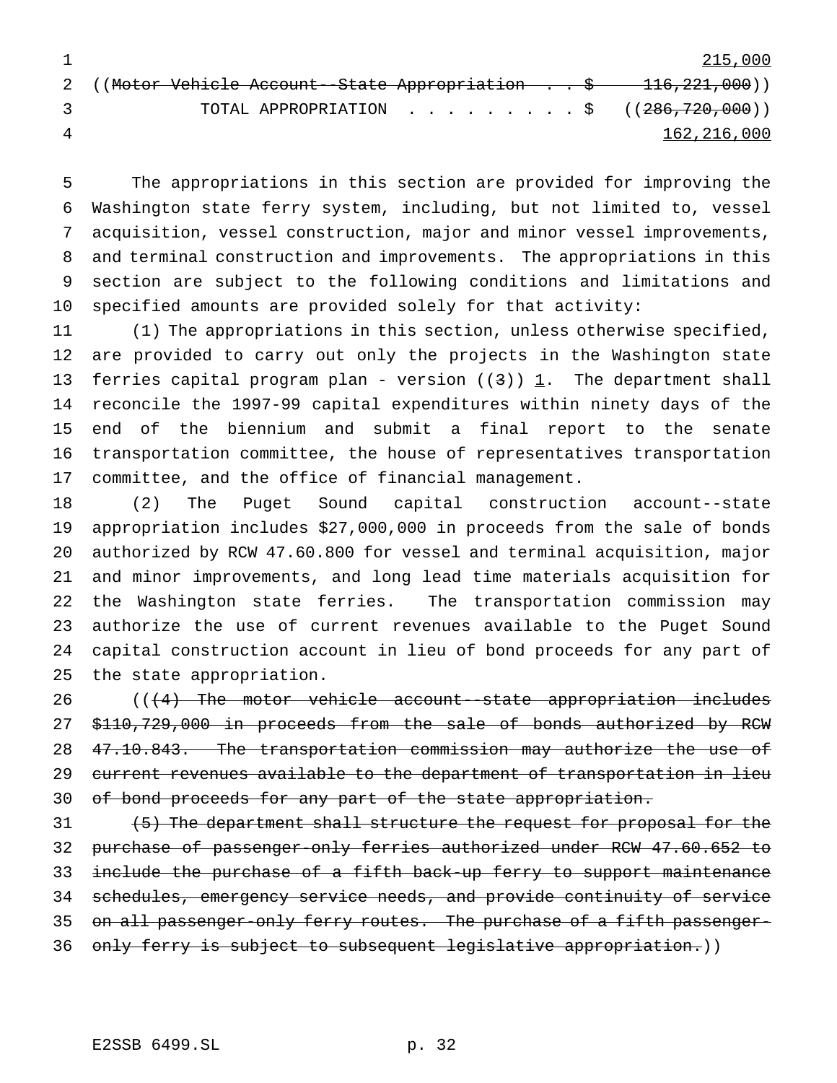1 215,000 2 ((Motor Vehicle Account--State Appropriation . . \$ 116,221,000)) 3 TOTAL APPROPRIATION . . . . . . . . \$ ((<del>286,720,000</del>)) 162,216,000

 The appropriations in this section are provided for improving the Washington state ferry system, including, but not limited to, vessel acquisition, vessel construction, major and minor vessel improvements, and terminal construction and improvements. The appropriations in this section are subject to the following conditions and limitations and specified amounts are provided solely for that activity:

 (1) The appropriations in this section, unless otherwise specified, are provided to carry out only the projects in the Washington state 13 ferries capital program plan - version  $((3))$  1. The department shall reconcile the 1997-99 capital expenditures within ninety days of the end of the biennium and submit a final report to the senate transportation committee, the house of representatives transportation committee, and the office of financial management.

 (2) The Puget Sound capital construction account--state appropriation includes \$27,000,000 in proceeds from the sale of bonds authorized by RCW 47.60.800 for vessel and terminal acquisition, major and minor improvements, and long lead time materials acquisition for the Washington state ferries. The transportation commission may authorize the use of current revenues available to the Puget Sound capital construction account in lieu of bond proceeds for any part of the state appropriation.

26 (((4) The motor vehicle account--state appropriation includes \$110,729,000 in proceeds from the sale of bonds authorized by RCW 28 47.10.843. The transportation commission may authorize the use of current revenues available to the department of transportation in lieu 30 of bond proceeds for any part of the state appropriation.

31 (5) The department shall structure the request for proposal for the purchase of passenger-only ferries authorized under RCW 47.60.652 to 33 include the purchase of a fifth back-up ferry to support maintenance schedules, emergency service needs, and provide continuity of service 35 on all passenger-only ferry routes. The purchase of a fifth passenger-36 only ferry is subject to subsequent legislative appropriation.))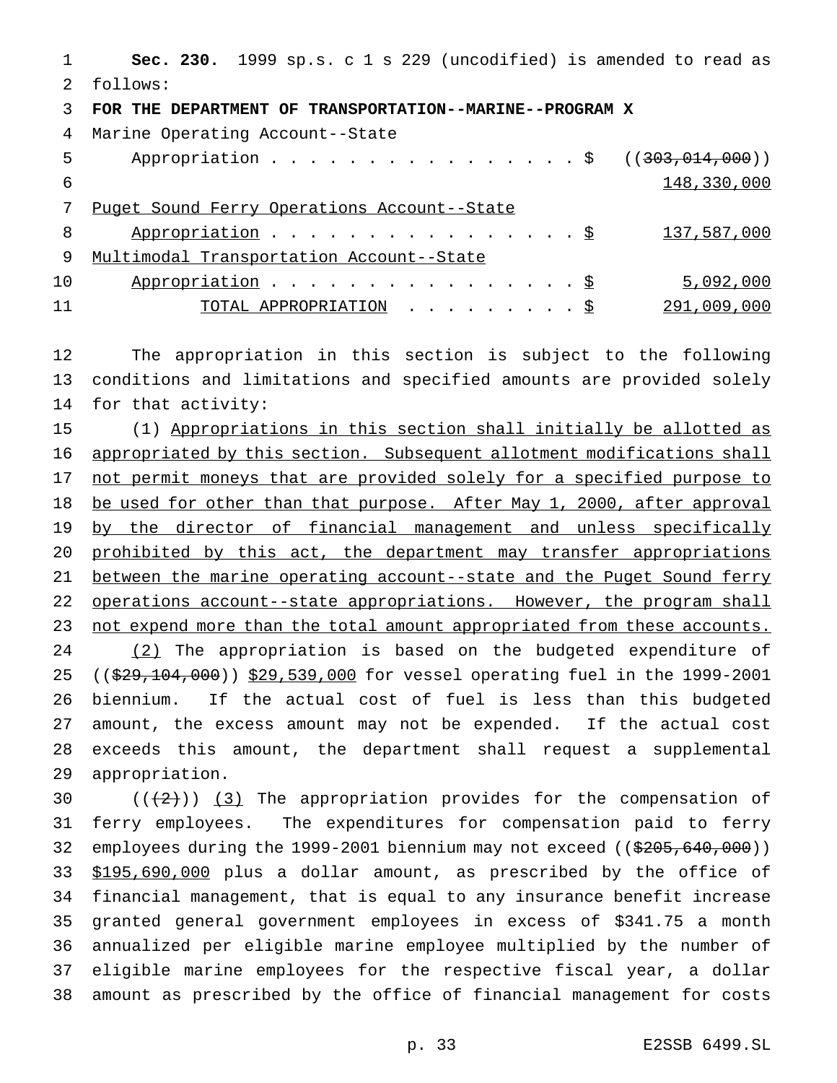**Sec. 230.** 1999 sp.s. c 1 s 229 (uncodified) is amended to read as follows: **FOR THE DEPARTMENT OF TRANSPORTATION--MARINE--PROGRAM X** Marine Operating Account--State 5 Appropriation . . . . . . . . . . . . . . . \$ ((303,014,000)) 148,330,000 Puget Sound Ferry Operations Account--State 8 Appropriation . . . . . . . . . . . . . . . <u>\$ 137,587,000</u> Multimodal Transportation Account--State 10 Appropriation . . . . . . . . . . . . . . . \$ 5,092,000 11 TOTAL APPROPRIATION . . . . . . . . . <u>\$</u> 291,009,000

 The appropriation in this section is subject to the following conditions and limitations and specified amounts are provided solely for that activity:

 (1) Appropriations in this section shall initially be allotted as appropriated by this section. Subsequent allotment modifications shall 17 not permit moneys that are provided solely for a specified purpose to 18 be used for other than that purpose. After May 1, 2000, after approval 19 by the director of financial management and unless specifically 20 prohibited by this act, the department may transfer appropriations between the marine operating account--state and the Puget Sound ferry operations account--state appropriations. However, the program shall 23 not expend more than the total amount appropriated from these accounts. 24 (2) The appropriation is based on the budgeted expenditure of 25 ((\$29,104,000)) \$29,539,000 for vessel operating fuel in the 1999-2001 biennium. If the actual cost of fuel is less than this budgeted amount, the excess amount may not be expended. If the actual cost exceeds this amount, the department shall request a supplemental appropriation.

 $((+2))$   $(3)$  The appropriation provides for the compensation of ferry employees. The expenditures for compensation paid to ferry employees during the 1999-2001 biennium may not exceed ((\$205,640,000)) 33 \$195,690,000 plus a dollar amount, as prescribed by the office of financial management, that is equal to any insurance benefit increase granted general government employees in excess of \$341.75 a month annualized per eligible marine employee multiplied by the number of eligible marine employees for the respective fiscal year, a dollar amount as prescribed by the office of financial management for costs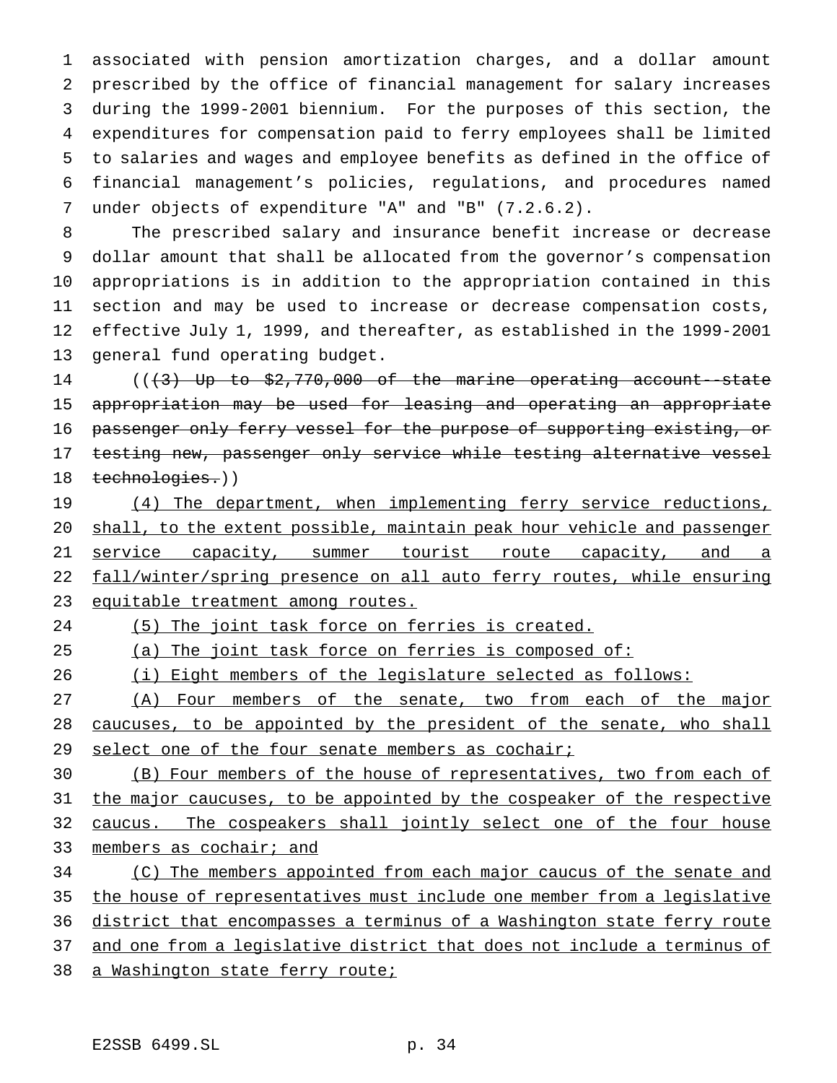associated with pension amortization charges, and a dollar amount prescribed by the office of financial management for salary increases during the 1999-2001 biennium. For the purposes of this section, the expenditures for compensation paid to ferry employees shall be limited to salaries and wages and employee benefits as defined in the office of financial management's policies, regulations, and procedures named under objects of expenditure "A" and "B" (7.2.6.2).

 The prescribed salary and insurance benefit increase or decrease dollar amount that shall be allocated from the governor's compensation appropriations is in addition to the appropriation contained in this section and may be used to increase or decrease compensation costs, effective July 1, 1999, and thereafter, as established in the 1999-2001 general fund operating budget.

14 (( $\{3\}$  Up to \$2,770,000 of the marine operating account--state appropriation may be used for leasing and operating an appropriate 16 passenger only ferry vessel for the purpose of supporting existing, or 17 testing new, passenger only service while testing alternative vessel technologies.))

19 (4) The department, when implementing ferry service reductions, 20 shall, to the extent possible, maintain peak hour vehicle and passenger 21 service capacity, summer tourist route capacity, and a fall/winter/spring presence on all auto ferry routes, while ensuring equitable treatment among routes.

# (5) The joint task force on ferries is created.

# 25 (a) The joint task force on ferries is composed of:

(i) Eight members of the legislature selected as follows:

27 (A) Four members of the senate, two from each of the major caucuses, to be appointed by the president of the senate, who shall 29 select one of the four senate members as cochair;

 (B) Four members of the house of representatives, two from each of the major caucuses, to be appointed by the cospeaker of the respective 32 caucus. The cospeakers shall jointly select one of the four house members as cochair; and

34 (C) The members appointed from each major caucus of the senate and the house of representatives must include one member from a legislative 36 district that encompasses a terminus of a Washington state ferry route and one from a legislative district that does not include a terminus of a Washington state ferry route;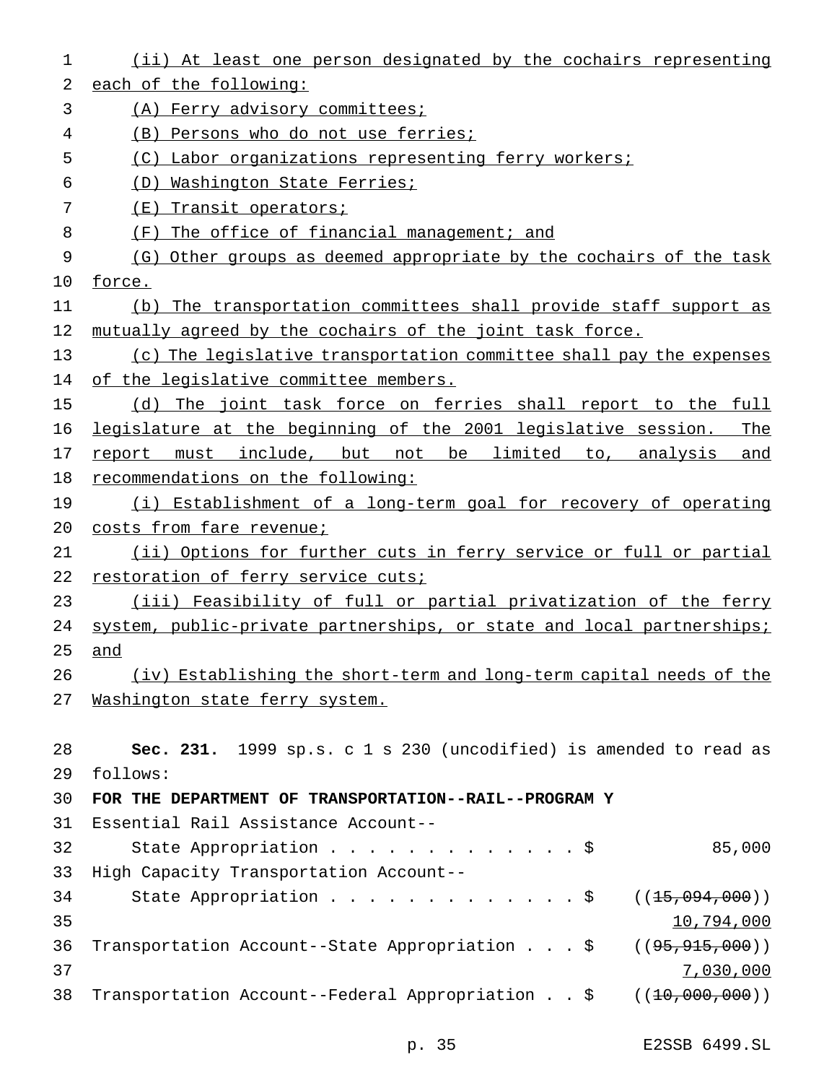| 1  | (ii) At least one person designated by the cochairs representing         |
|----|--------------------------------------------------------------------------|
| 2  | each of the following:                                                   |
| 3  | (A) Ferry advisory committees;                                           |
| 4  | (B) Persons who do not use ferries;                                      |
| 5  | (C) Labor organizations representing ferry workers;                      |
| 6  | (D) Washington State Ferries;                                            |
| 7  | (E) Transit operators;                                                   |
| 8  | (F) The office of financial management; and                              |
| 9  | (G) Other groups as deemed appropriate by the cochairs of the task       |
| 10 | force.                                                                   |
| 11 | (b) The transportation committees shall provide staff support as         |
| 12 | mutually agreed by the cochairs of the joint task force.                 |
| 13 | (c) The legislative transportation committee shall pay the expenses      |
| 14 | of the legislative committee members.                                    |
| 15 | (d) The joint task force on ferries shall report to the full             |
| 16 | legislature at the beginning of the 2001 legislative session. The        |
| 17 | report must include, but not be limited to, analysis and                 |
| 18 | recommendations on the following:                                        |
| 19 | (i) Establishment of a long-term goal for recovery of operating          |
| 20 | costs from fare revenue;                                                 |
| 21 | (ii) Options for further cuts in ferry service or full or partial        |
| 22 | restoration of ferry service cuts;                                       |
| 23 | (iii) Feasibility of full or partial privatization of the ferry          |
| 24 | system, public-private partnerships, or state and local partnerships;    |
| 25 | and                                                                      |
| 26 | (iv) Establishing the short-term and long-term capital needs of the      |
| 27 | Washington state ferry system.                                           |
|    |                                                                          |
| 28 | Sec. 231. 1999 sp.s. c 1 s 230 (uncodified) is amended to read as        |
| 29 | follows:                                                                 |
| 30 | FOR THE DEPARTMENT OF TRANSPORTATION--RAIL--PROGRAM Y                    |
| 31 | Essential Rail Assistance Account--                                      |
| 32 | 85,000<br>State Appropriation \$                                         |
| 33 | High Capacity Transportation Account--                                   |
| 34 | State Appropriation \$<br>((15,094,000))                                 |
| 35 | 10,794,000                                                               |
| 36 | Transportation Account--State Appropriation \$<br>((95, 915, 000))       |
| 37 | 7,030,000                                                                |
| 38 | Transportation Account--Federal Appropriation $\zeta$ ( $(10,000,000)$ ) |
|    |                                                                          |

p. 35 E2SSB 6499.SL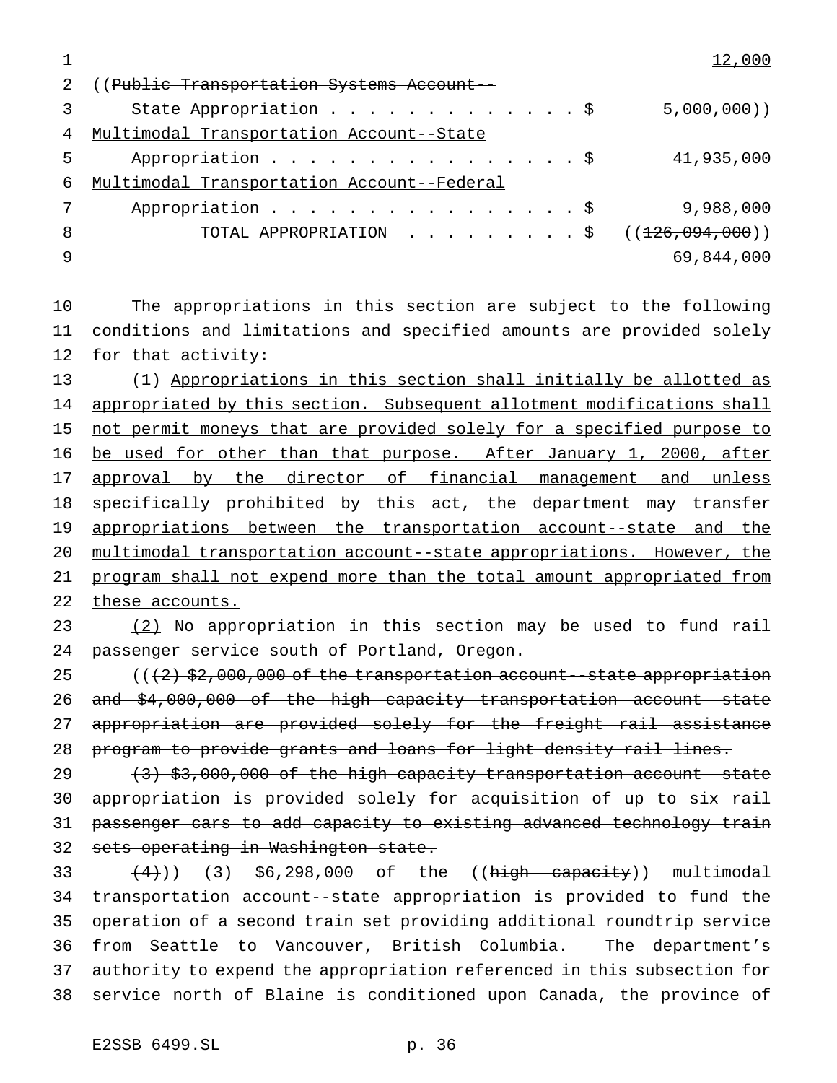|    | 2 ((Public Transportation Systems Account -- |
|----|----------------------------------------------|
|    | State Appropriation $\ldots$ \$ 5,000,000)   |
| 4  | Multimodal Transportation Account--State     |
| 5  | Appropriation $\S$<br>41,935,000             |
| 6  | Multimodal Transportation Account--Federal   |
|    | Appropriation $\frac{S}{2}$<br>9,988,000     |
| -8 | TOTAL APPROPRIATION ( $(126,094,000)$ )      |
|    | 69,844,000                                   |
|    |                                              |

 The appropriations in this section are subject to the following conditions and limitations and specified amounts are provided solely for that activity:

 (1) Appropriations in this section shall initially be allotted as 14 appropriated by this section. Subsequent allotment modifications shall 15 not permit moneys that are provided solely for a specified purpose to 16 be used for other than that purpose. After January 1, 2000, after 17 approval by the director of financial management and unless 18 specifically prohibited by this act, the department may transfer appropriations between the transportation account--state and the multimodal transportation account--state appropriations. However, the 21 program shall not expend more than the total amount appropriated from 22 these accounts.

 (2) No appropriation in this section may be used to fund rail passenger service south of Portland, Oregon.

 $((2)$   $$2,000,000$  of the transportation account--state appropriation 26 and \$4,000,000 of the high capacity transportation account-state 27 appropriation are provided solely for the freight rail assistance 28 program to provide grants and loans for light density rail lines.

 (3) \$3,000,000 of the high capacity transportation account--state appropriation is provided solely for acquisition of up to six rail 31 passenger cars to add capacity to existing advanced technology train sets operating in Washington state.

 $(4)$ ))  $(3)$  \$6,298,000 of the ((high capacity)) multimodal transportation account--state appropriation is provided to fund the operation of a second train set providing additional roundtrip service from Seattle to Vancouver, British Columbia. The department's authority to expend the appropriation referenced in this subsection for service north of Blaine is conditioned upon Canada, the province of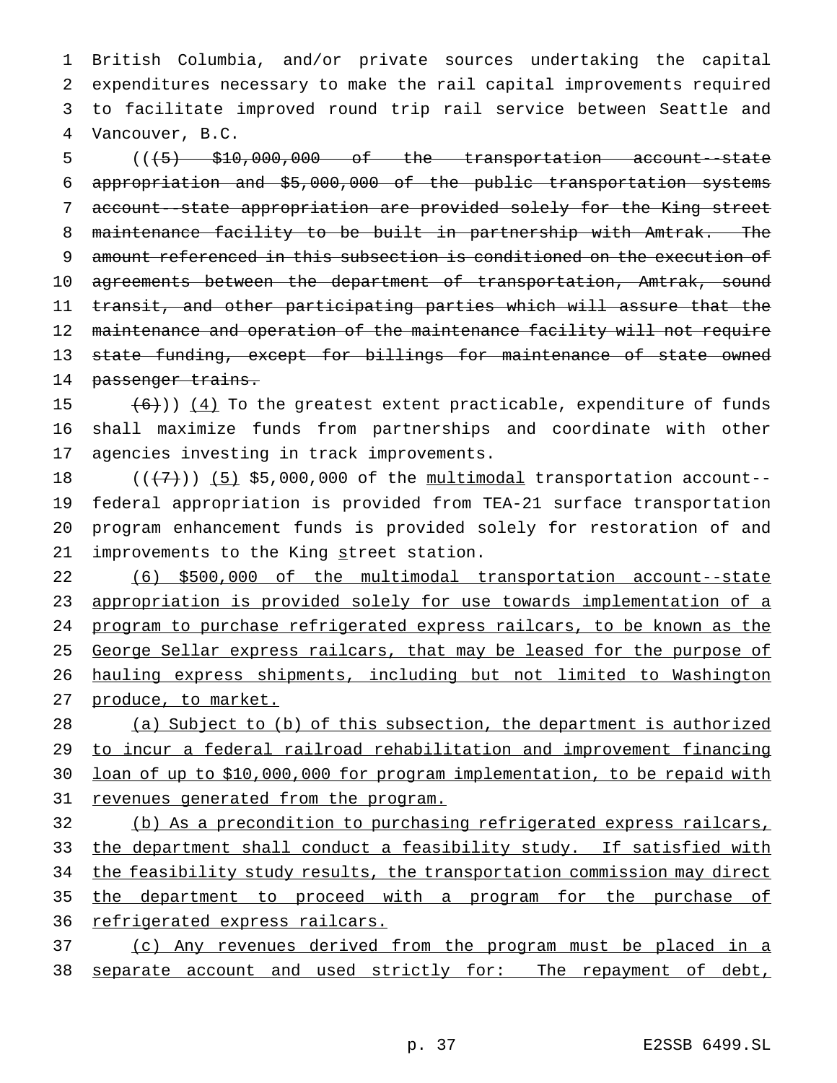British Columbia, and/or private sources undertaking the capital expenditures necessary to make the rail capital improvements required to facilitate improved round trip rail service between Seattle and Vancouver, B.C.

 $((+5)$   $$10,000,000$  of the transportation account-state appropriation and \$5,000,000 of the public transportation systems account--state appropriation are provided solely for the King street maintenance facility to be built in partnership with Amtrak. The amount referenced in this subsection is conditioned on the execution of 10 agreements between the department of transportation, Amtrak, sound transit, and other participating parties which will assure that the 12 maintenance and operation of the maintenance facility will not require 13 state funding, except for billings for maintenance of state owned passenger trains.

15  $(6)$ )) (4) To the greatest extent practicable, expenditure of funds shall maximize funds from partnerships and coordinate with other agencies investing in track improvements.

 $((+7))$   $(5)$  \$5,000,000 of the multimodal transportation account-- federal appropriation is provided from TEA-21 surface transportation program enhancement funds is provided solely for restoration of and 21 improvements to the King street station.

 (6) \$500,000 of the multimodal transportation account--state appropriation is provided solely for use towards implementation of a program to purchase refrigerated express railcars, to be known as the 25 George Sellar express railcars, that may be leased for the purpose of hauling express shipments, including but not limited to Washington produce, to market.

 (a) Subject to (b) of this subsection, the department is authorized to incur a federal railroad rehabilitation and improvement financing loan of up to \$10,000,000 for program implementation, to be repaid with revenues generated from the program.

 (b) As a precondition to purchasing refrigerated express railcars, 33 the department shall conduct a feasibility study. If satisfied with 34 the feasibility study results, the transportation commission may direct the department to proceed with a program for the purchase of 36 refrigerated express railcars.

 (c) Any revenues derived from the program must be placed in a 38 separate account and used strictly for: The repayment of debt,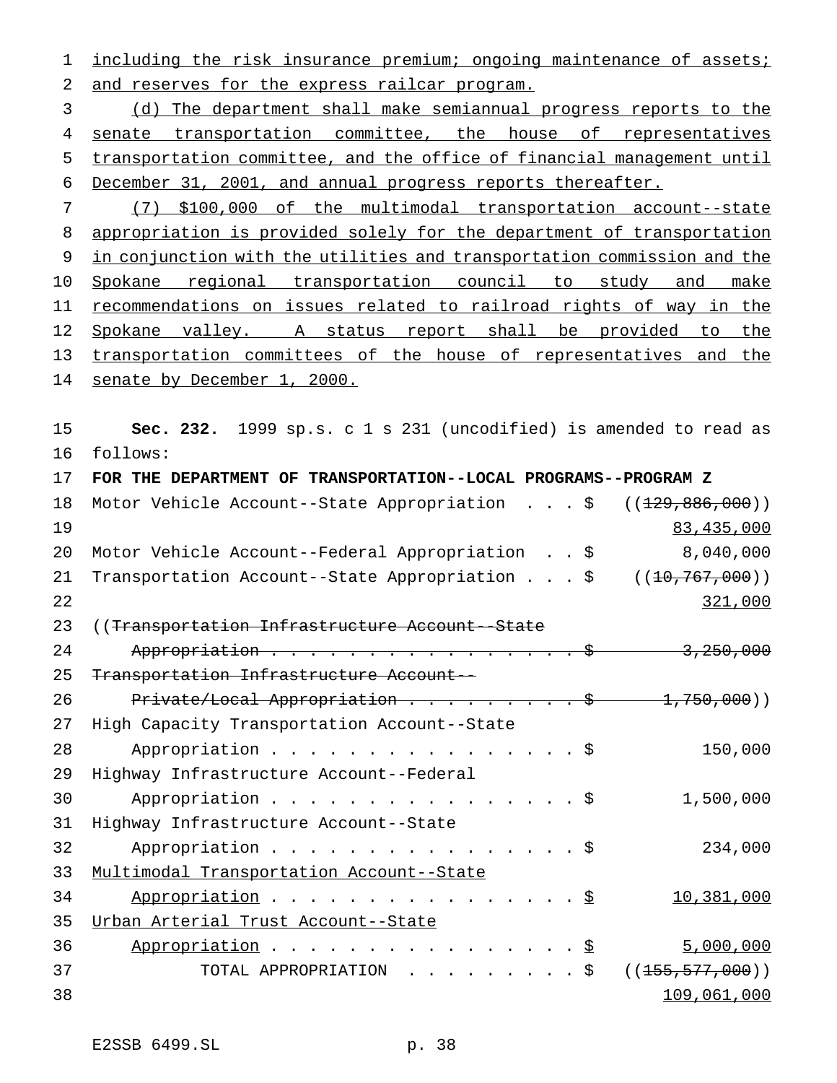1 including the risk insurance premium; ongoing maintenance of assets; and reserves for the express railcar program.

 (d) The department shall make semiannual progress reports to the 4 senate transportation committee, the house of representatives transportation committee, and the office of financial management until December 31, 2001, and annual progress reports thereafter.

 (7) \$100,000 of the multimodal transportation account--state appropriation is provided solely for the department of transportation in conjunction with the utilities and transportation commission and the Spokane regional transportation council to study and make 11 recommendations on issues related to railroad rights of way in the Spokane valley. A status report shall be provided to the 13 transportation committees of the house of representatives and the senate by December 1, 2000.

 **Sec. 232.** 1999 sp.s. c 1 s 231 (uncodified) is amended to read as follows:

| 17 | FOR THE DEPARTMENT OF TRANSPORTATION--LOCAL PROGRAMS--PROGRAM Z    |
|----|--------------------------------------------------------------------|
| 18 | Motor Vehicle Account--State Appropriation \$<br>((129, 886, 000)) |
| 19 | 83,435,000                                                         |
| 20 | 8,040,000<br>Motor Vehicle Account--Federal Appropriation \$       |
| 21 | Transportation Account--State Appropriation \$<br>((10, 767, 000)) |
| 22 | 321,000                                                            |
| 23 | ((Transportation Infrastructure Account--State)                    |
| 24 | Appropriation \$ 3,250,000                                         |
| 25 | Transportation Infrastructure Account--                            |
| 26 | Private/Local Appropriation $\frac{1}{750}$ , 000)                 |
| 27 | High Capacity Transportation Account--State                        |
| 28 | 150,000<br>Appropriation $\frac{1}{5}$                             |
| 29 | Highway Infrastructure Account--Federal                            |
| 30 | Appropriation \$<br>1,500,000                                      |
| 31 | Highway Infrastructure Account--State                              |
| 32 | 234,000<br>Appropriation \$                                        |
| 33 | Multimodal Transportation Account--State                           |
| 34 | 10,381,000<br>Appropriation \$                                     |
| 35 | Urban Arterial Trust Account--State                                |
| 36 | Appropriation \$<br>5,000,000                                      |
| 37 | TOTAL APPROPRIATION \$<br>( (155, 577, 000))                       |
| 38 | 109,061,000                                                        |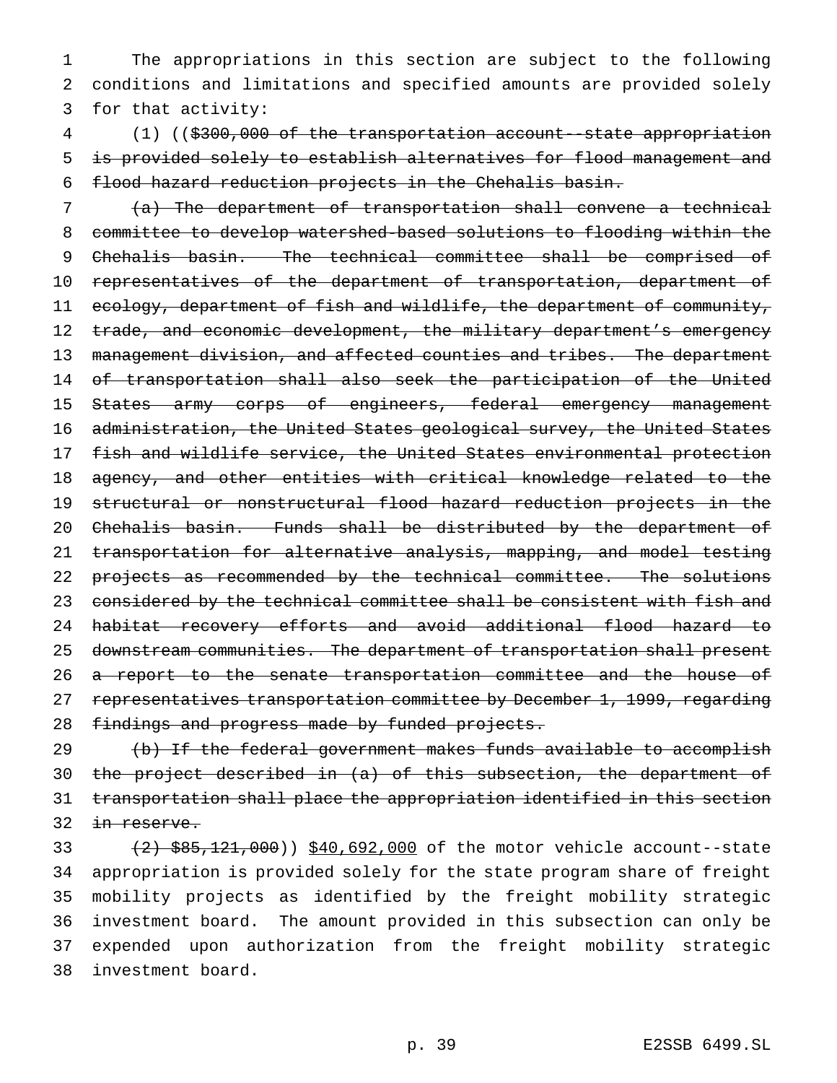The appropriations in this section are subject to the following conditions and limitations and specified amounts are provided solely for that activity:

 (1) ((\$300,000 of the transportation account--state appropriation is provided solely to establish alternatives for flood management and flood hazard reduction projects in the Chehalis basin.

 (a) The department of transportation shall convene a technical committee to develop watershed-based solutions to flooding within the 9 Chehalis basin. The technical committee shall be comprised of 10 representatives of the department of transportation, department of 11 ecology, department of fish and wildlife, the department of community, 12 trade, and economic development, the military department's emergency 13 management division, and affected counties and tribes. The department of transportation shall also seek the participation of the United 15 States army corps of engineers, federal emergency management administration, the United States geological survey, the United States fish and wildlife service, the United States environmental protection agency, and other entities with critical knowledge related to the structural or nonstructural flood hazard reduction projects in the Chehalis basin. Funds shall be distributed by the department of transportation for alternative analysis, mapping, and model testing 22 projects as recommended by the technical committee. The solutions 23 considered by the technical committee shall be consistent with fish and habitat recovery efforts and avoid additional flood hazard to downstream communities. The department of transportation shall present 26 a report to the senate transportation committee and the house of 27 representatives transportation committee by December 1, 1999, regarding 28 findings and progress made by funded projects.

29 (b) If the federal government makes funds available to accomplish the project described in (a) of this subsection, the department of transportation shall place the appropriation identified in this section 32 in reserve.

 $(2)$   $$85,121,000)$   $$40,692,000$  of the motor vehicle account--state appropriation is provided solely for the state program share of freight mobility projects as identified by the freight mobility strategic investment board. The amount provided in this subsection can only be expended upon authorization from the freight mobility strategic investment board.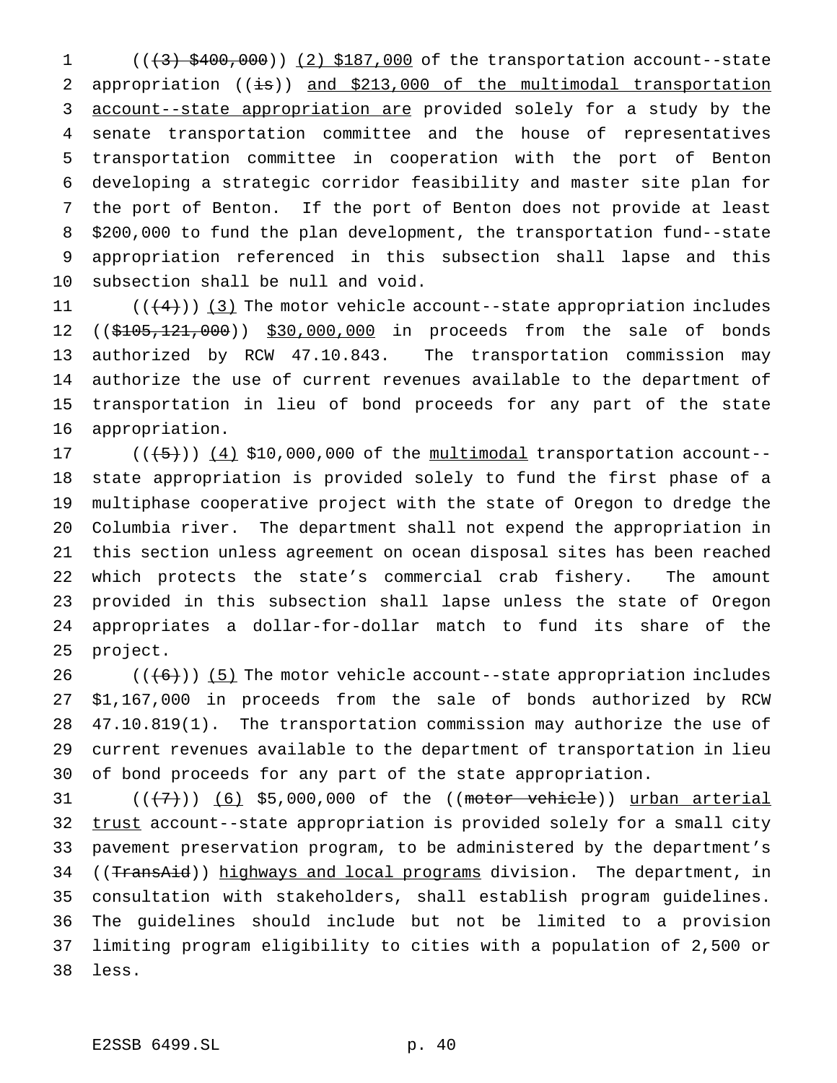1 (( $(3)$  \$400,000)) (2) \$187,000 of the transportation account--state 2 appropriation  $((\frac{1}{15}))$  and \$213,000 of the multimodal transportation account--state appropriation are provided solely for a study by the senate transportation committee and the house of representatives transportation committee in cooperation with the port of Benton developing a strategic corridor feasibility and master site plan for the port of Benton. If the port of Benton does not provide at least \$200,000 to fund the plan development, the transportation fund--state appropriation referenced in this subsection shall lapse and this subsection shall be null and void.

 $((+4))$  (3) The motor vehicle account--state appropriation includes 12 ((\$105,121,000)) \$30,000,000 in proceeds from the sale of bonds authorized by RCW 47.10.843. The transportation commission may authorize the use of current revenues available to the department of transportation in lieu of bond proceeds for any part of the state appropriation.

 $((+5))$   $(4)$  \$10,000,000 of the multimodal transportation account-- state appropriation is provided solely to fund the first phase of a multiphase cooperative project with the state of Oregon to dredge the Columbia river. The department shall not expend the appropriation in this section unless agreement on ocean disposal sites has been reached which protects the state's commercial crab fishery. The amount provided in this subsection shall lapse unless the state of Oregon appropriates a dollar-for-dollar match to fund its share of the project.

 $((+6))$  (5) The motor vehicle account--state appropriation includes \$1,167,000 in proceeds from the sale of bonds authorized by RCW 47.10.819(1). The transportation commission may authorize the use of current revenues available to the department of transportation in lieu of bond proceeds for any part of the state appropriation.

  $((+7))$   $(6)$  \$5,000,000 of the ((motor vehicle)) urban arterial 32 trust account--state appropriation is provided solely for a small city pavement preservation program, to be administered by the department's 34 ((TransAid)) highways and local programs division. The department, in consultation with stakeholders, shall establish program guidelines. The guidelines should include but not be limited to a provision limiting program eligibility to cities with a population of 2,500 or less.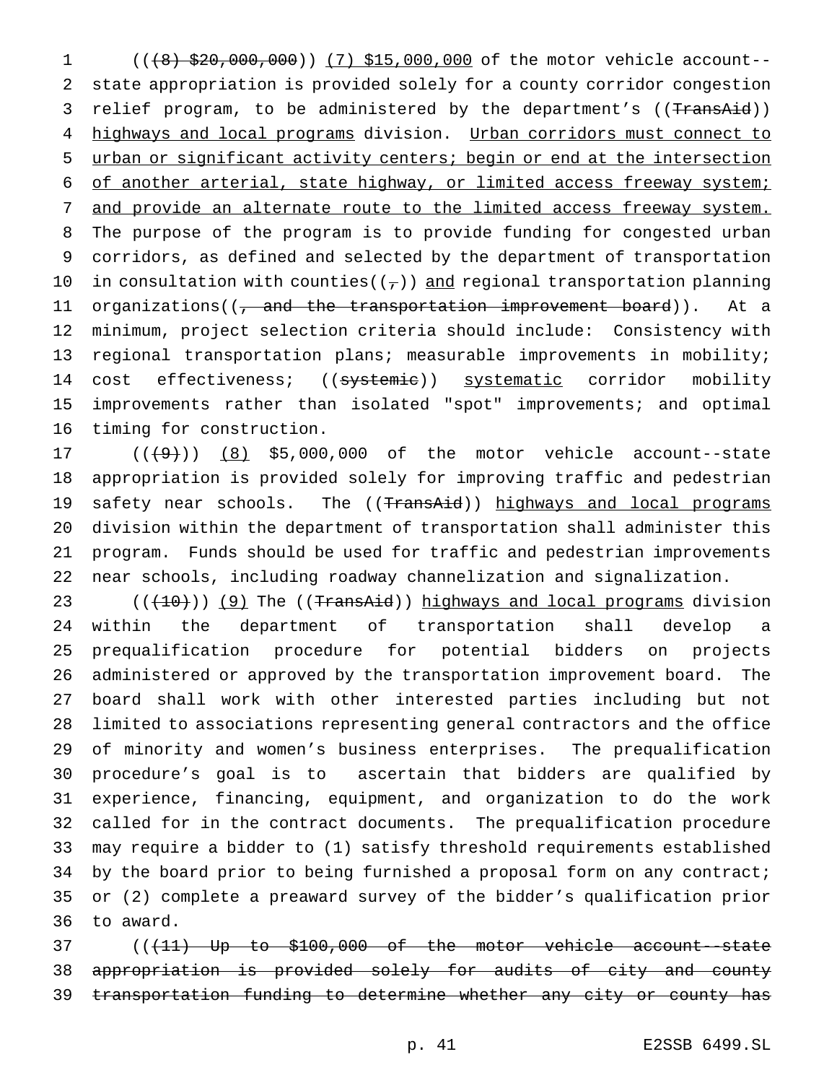1 (((8) \$20,000,000)) (7) \$15,000,000 of the motor vehicle account-- state appropriation is provided solely for a county corridor congestion 3 relief program, to be administered by the department's ((TransAid)) 4 highways and local programs division. Urban corridors must connect to urban or significant activity centers; begin or end at the intersection of another arterial, state highway, or limited access freeway system; and provide an alternate route to the limited access freeway system. The purpose of the program is to provide funding for congested urban corridors, as defined and selected by the department of transportation 10 in consultation with counties( $(\tau)$ ) and regional transportation planning 11 organizations((<del>, and the transportation improvement board</del>)). At a minimum, project selection criteria should include: Consistency with regional transportation plans; measurable improvements in mobility; 14 cost effectiveness; ((systemie)) systematic corridor mobility improvements rather than isolated "spot" improvements; and optimal timing for construction.

 $((+9))$   $(8)$  \$5,000,000 of the motor vehicle account--state appropriation is provided solely for improving traffic and pedestrian 19 safety near schools. The ((TransAid)) highways and local programs division within the department of transportation shall administer this program. Funds should be used for traffic and pedestrian improvements near schools, including roadway channelization and signalization.

 $((+10))$  (9) The ((TransAid)) highways and local programs division within the department of transportation shall develop a prequalification procedure for potential bidders on projects administered or approved by the transportation improvement board. The board shall work with other interested parties including but not limited to associations representing general contractors and the office of minority and women's business enterprises. The prequalification procedure's goal is to ascertain that bidders are qualified by experience, financing, equipment, and organization to do the work called for in the contract documents. The prequalification procedure may require a bidder to (1) satisfy threshold requirements established 34 by the board prior to being furnished a proposal form on any contract; or (2) complete a preaward survey of the bidder's qualification prior to award.

37 (( $(11)$  Up to \$100,000 of the motor vehicle account--state appropriation is provided solely for audits of city and county transportation funding to determine whether any city or county has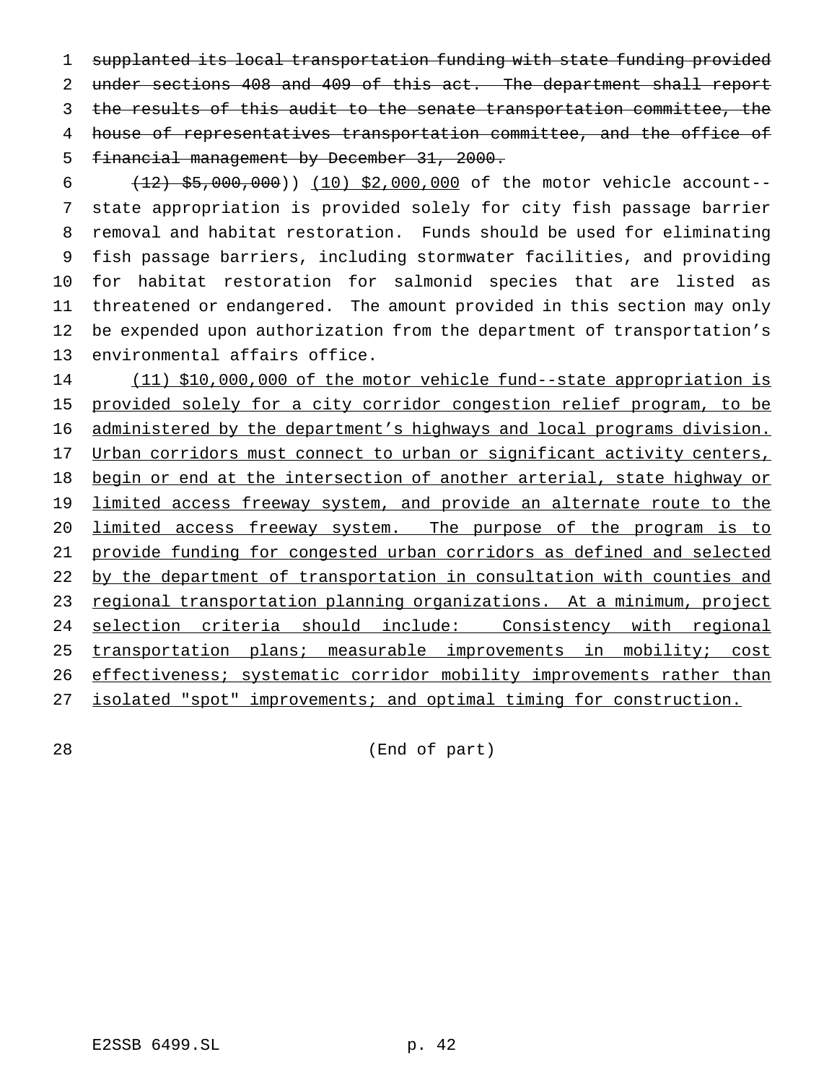supplanted its local transportation funding with state funding provided under sections 408 and 409 of this act. The department shall report 3 the results of this audit to the senate transportation committee, the house of representatives transportation committee, and the office of financial management by December 31, 2000.

 $(12)$  \$5,000,000)) (10) \$2,000,000 of the motor vehicle account-- state appropriation is provided solely for city fish passage barrier removal and habitat restoration. Funds should be used for eliminating fish passage barriers, including stormwater facilities, and providing for habitat restoration for salmonid species that are listed as threatened or endangered. The amount provided in this section may only be expended upon authorization from the department of transportation's environmental affairs office.

 (11) \$10,000,000 of the motor vehicle fund--state appropriation is 15 provided solely for a city corridor congestion relief program, to be administered by the department's highways and local programs division. 17 Urban corridors must connect to urban or significant activity centers, 18 begin or end at the intersection of another arterial, state highway or 19 limited access freeway system, and provide an alternate route to the limited access freeway system. The purpose of the program is to provide funding for congested urban corridors as defined and selected 22 by the department of transportation in consultation with counties and regional transportation planning organizations. At a minimum, project selection criteria should include: Consistency with regional 25 transportation plans; measurable improvements in mobility; cost 26 effectiveness; systematic corridor mobility improvements rather than isolated "spot" improvements; and optimal timing for construction.

(End of part)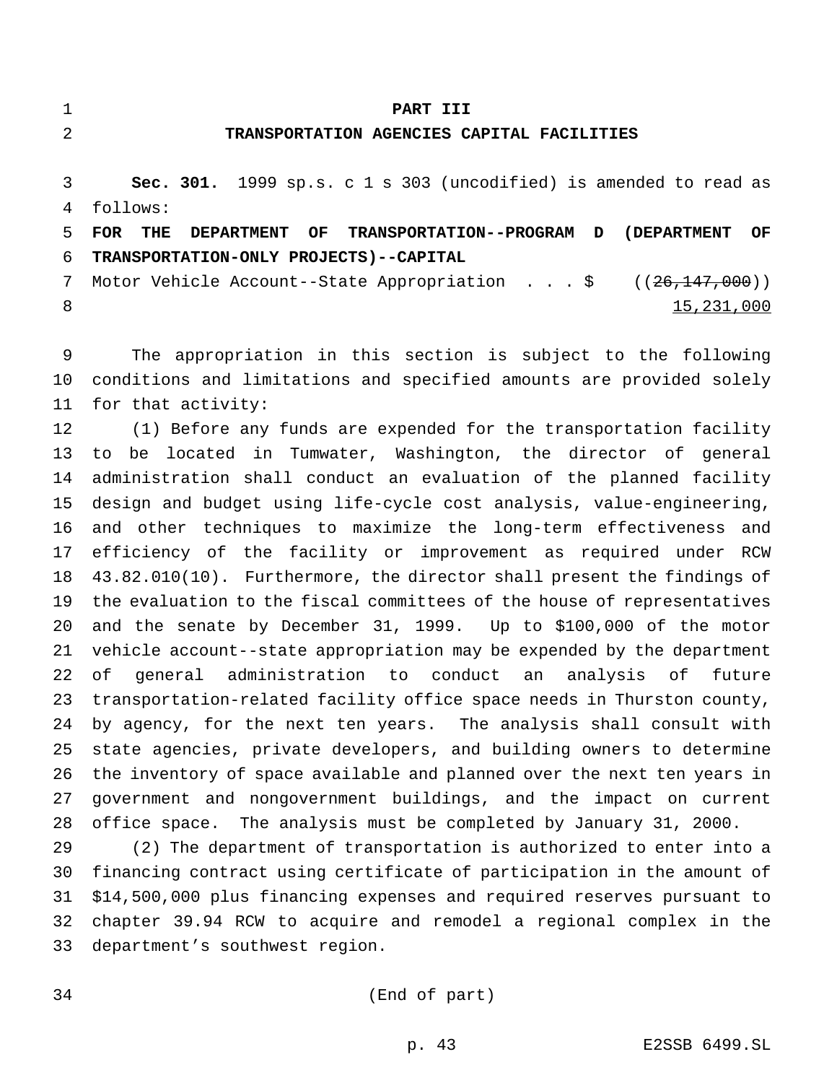# **PART III**

## **TRANSPORTATION AGENCIES CAPITAL FACILITIES**

 **Sec. 301.** 1999 sp.s. c 1 s 303 (uncodified) is amended to read as follows:

 **FOR THE DEPARTMENT OF TRANSPORTATION--PROGRAM D (DEPARTMENT OF TRANSPORTATION-ONLY PROJECTS)--CAPITAL**

7 Motor Vehicle Account--State Appropriation . . . \$ ((26,147,000)) 8 15,231,000

 The appropriation in this section is subject to the following conditions and limitations and specified amounts are provided solely for that activity:

 (1) Before any funds are expended for the transportation facility to be located in Tumwater, Washington, the director of general administration shall conduct an evaluation of the planned facility design and budget using life-cycle cost analysis, value-engineering, and other techniques to maximize the long-term effectiveness and efficiency of the facility or improvement as required under RCW 43.82.010(10). Furthermore, the director shall present the findings of the evaluation to the fiscal committees of the house of representatives and the senate by December 31, 1999. Up to \$100,000 of the motor vehicle account--state appropriation may be expended by the department of general administration to conduct an analysis of future transportation-related facility office space needs in Thurston county, by agency, for the next ten years. The analysis shall consult with state agencies, private developers, and building owners to determine the inventory of space available and planned over the next ten years in government and nongovernment buildings, and the impact on current office space. The analysis must be completed by January 31, 2000.

 (2) The department of transportation is authorized to enter into a financing contract using certificate of participation in the amount of \$14,500,000 plus financing expenses and required reserves pursuant to chapter 39.94 RCW to acquire and remodel a regional complex in the department's southwest region.

(End of part)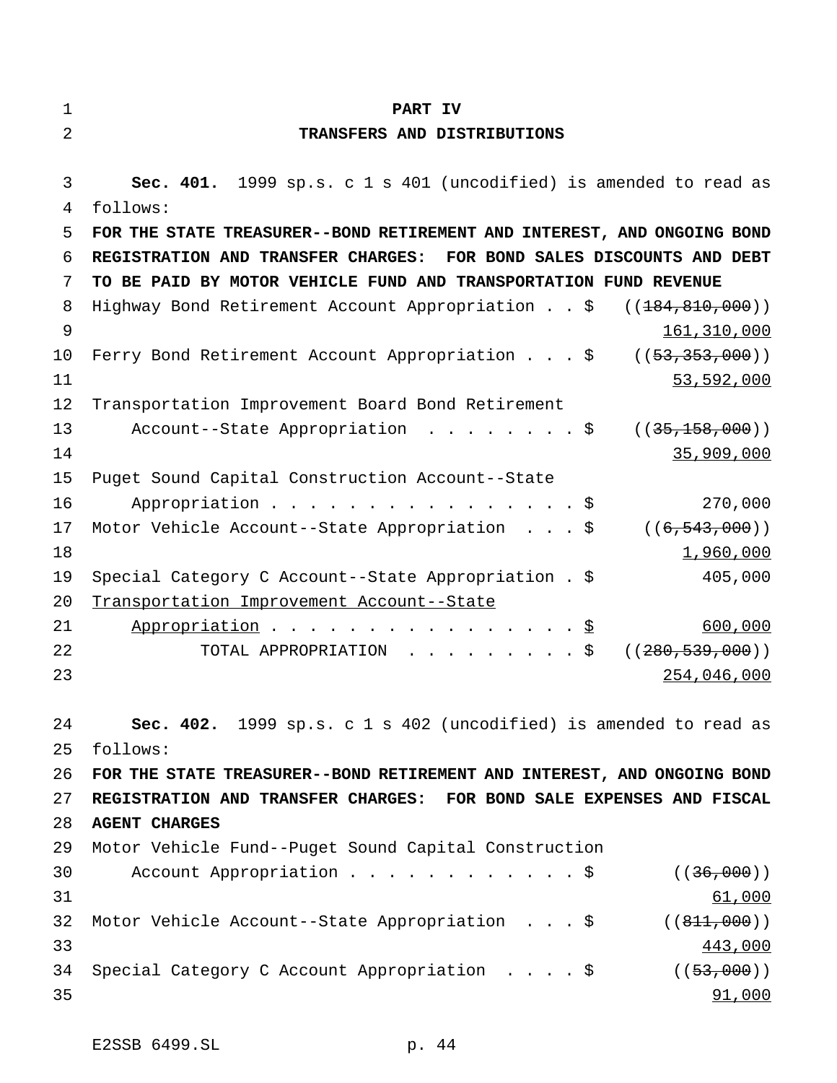**TRANSFERS AND DISTRIBUTIONS Sec. 401.** 1999 sp.s. c 1 s 401 (uncodified) is amended to read as follows: **FOR THE STATE TREASURER--BOND RETIREMENT AND INTEREST, AND ONGOING BOND REGISTRATION AND TRANSFER CHARGES: FOR BOND SALES DISCOUNTS AND DEBT TO BE PAID BY MOTOR VEHICLE FUND AND TRANSPORTATION FUND REVENUE** 8 Highway Bond Retirement Account Appropriation . . \$ ((184,810,000)) 161,310,000 10 Ferry Bond Retirement Account Appropriation . . . \$ ((53,353,000)) 53,592,000 Transportation Improvement Board Bond Retirement 13 Account--State Appropriation . . . . . . . \$ ((35,158,000)) 35,909,000 Puget Sound Capital Construction Account--State 16 Appropriation . . . . . . . . . . . . . . . \$ 270,000 17 Motor Vehicle Account--State Appropriation . . . \$ ((6,543,000))  $1,960,000$  Special Category C Account--State Appropriation . \$ 405,000 Transportation Improvement Account--State 21 Appropriation . . . . . . . . . . . . . . . \$ 600,000 22 TOTAL APPROPRIATION . . . . . . . . \$ ((280,539,000)) 254,046,000 **Sec. 402.** 1999 sp.s. c 1 s 402 (uncodified) is amended to read as follows: **FOR THE STATE TREASURER--BOND RETIREMENT AND INTEREST, AND ONGOING BOND REGISTRATION AND TRANSFER CHARGES: FOR BOND SALE EXPENSES AND FISCAL AGENT CHARGES** Motor Vehicle Fund--Puget Sound Capital Construction 30 Account Appropriation . . . . . . . . . . \$ ((36,000)) 31 61,000 32 Motor Vehicle Account--State Appropriation . . . \$ ((811,000)) 443,000 34 Special Category C Account Appropriation . . . . \$ ((53,000)) 35 91,000

**PART IV**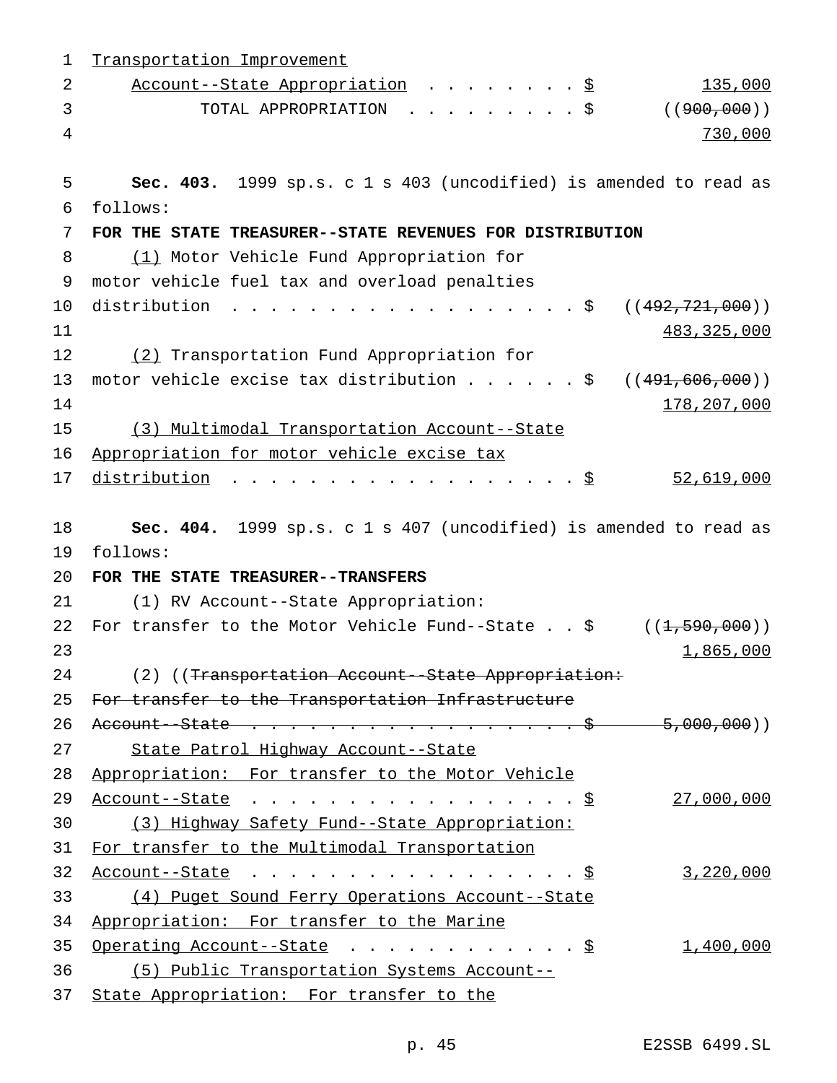| 1  | Transportation Improvement                                             |
|----|------------------------------------------------------------------------|
| 2  | 135,000<br>Account--State Appropriation \$                             |
| 3  | TOTAL APPROPRIATION \$<br>( (900, 000) )                               |
| 4  | 730,000                                                                |
| 5  | Sec. 403. 1999 sp.s. c 1 s 403 (uncodified) is amended to read as      |
| 6  | follows:                                                               |
| 7  | FOR THE STATE TREASURER--STATE REVENUES FOR DISTRIBUTION               |
| 8  | (1) Motor Vehicle Fund Appropriation for                               |
| 9  | motor vehicle fuel tax and overload penalties                          |
| 10 | distribution<br>. \$<br>(( <del>492,721,000</del> ))                   |
| 11 | 483, 325, 000                                                          |
| 12 | (2) Transportation Fund Appropriation for                              |
| 13 | motor vehicle excise tax distribution $\frac{1}{5}$ ((491,606,000))    |
| 14 | 178,207,000                                                            |
| 15 | (3) Multimodal Transportation Account--State                           |
| 16 | Appropriation for motor vehicle excise tax                             |
| 17 | distribution<br>52,619,000                                             |
|    |                                                                        |
| 18 | Sec. 404. 1999 sp.s. c 1 s 407 (uncodified) is amended to read as      |
| 19 | follows:                                                               |
| 20 | FOR THE STATE TREASURER--TRANSFERS                                     |
| 21 | (1) RV Account--State Appropriation:                                   |
| 22 | For transfer to the Motor Vehicle Fund--State $. 5$<br>((1, 590, 000)) |
| 23 | 1,865,000                                                              |
| 24 | (2) ((Transportation Account--State Appropriation:                     |
| 25 | For transfer to the Transportation Infrastructure                      |
| 26 | Account--State \$ 5,000,000)                                           |
| 27 | State Patrol Highway Account--State                                    |
| 28 | Appropriation: For transfer to the Motor Vehicle                       |
| 29 | 27,000,000                                                             |
| 30 | (3) Highway Safety Fund--State Appropriation:                          |
| 31 | For transfer to the Multimodal Transportation                          |
| 32 | 3,220,000                                                              |
| 33 | (4) Puget Sound Ferry Operations Account--State                        |
| 34 | Appropriation: For transfer to the Marine                              |
| 35 | 1,400,000<br>Operating Account--State $\ldots$ $\S$                    |
| 36 | (5) Public Transportation Systems Account--                            |
| 37 | State Appropriation: For transfer to the                               |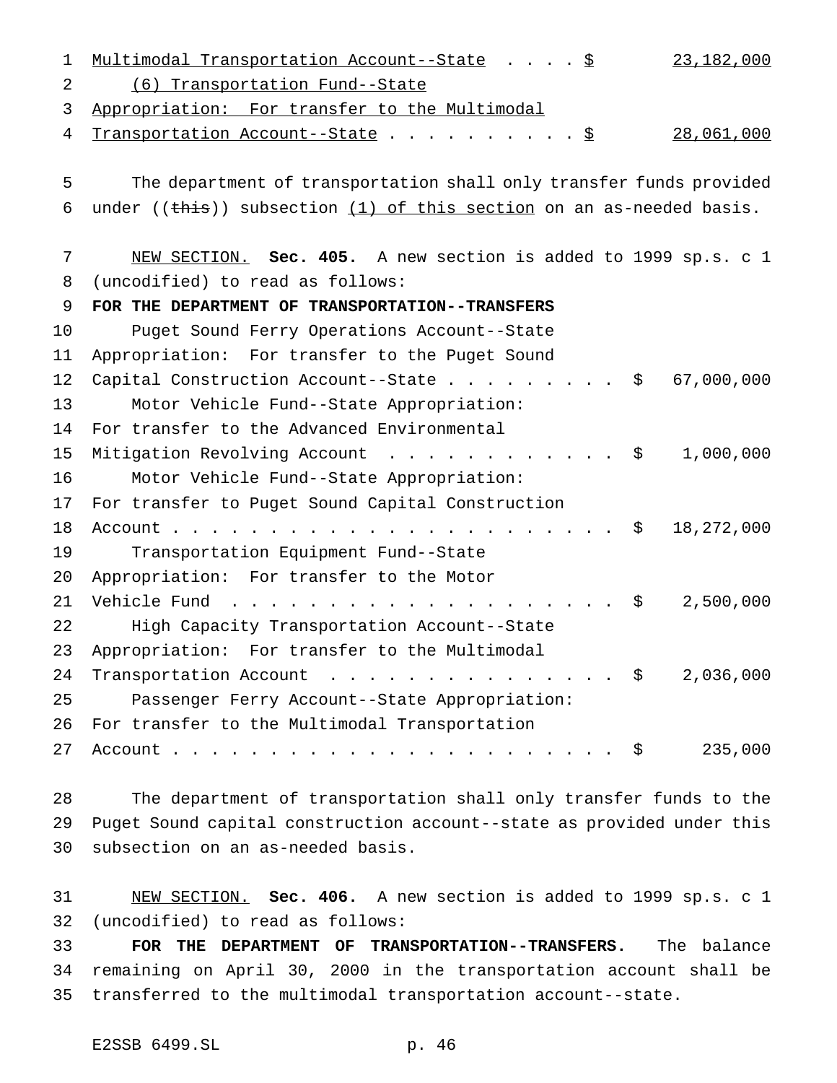| Multimodal Transportation Account--State \$<br>23,182,000                                                                                                                                                                                                                 |                                                                                                                                                           |
|---------------------------------------------------------------------------------------------------------------------------------------------------------------------------------------------------------------------------------------------------------------------------|-----------------------------------------------------------------------------------------------------------------------------------------------------------|
| (6) Transportation Fund--State                                                                                                                                                                                                                                            |                                                                                                                                                           |
| Appropriation: For transfer to the Multimodal                                                                                                                                                                                                                             |                                                                                                                                                           |
| 28,061,000<br>Transportation Account--State \$                                                                                                                                                                                                                            |                                                                                                                                                           |
|                                                                                                                                                                                                                                                                           |                                                                                                                                                           |
|                                                                                                                                                                                                                                                                           |                                                                                                                                                           |
|                                                                                                                                                                                                                                                                           |                                                                                                                                                           |
| NEW SECTION. Sec. 405. A new section is added to 1999 sp.s. c 1                                                                                                                                                                                                           |                                                                                                                                                           |
| (uncodified) to read as follows:                                                                                                                                                                                                                                          |                                                                                                                                                           |
| FOR THE DEPARTMENT OF TRANSPORTATION--TRANSFERS                                                                                                                                                                                                                           |                                                                                                                                                           |
| Puget Sound Ferry Operations Account--State                                                                                                                                                                                                                               |                                                                                                                                                           |
| Appropriation: For transfer to the Puget Sound                                                                                                                                                                                                                            |                                                                                                                                                           |
| Capital Construction Account--State \$<br>67,000,000                                                                                                                                                                                                                      |                                                                                                                                                           |
| Motor Vehicle Fund--State Appropriation:                                                                                                                                                                                                                                  |                                                                                                                                                           |
| For transfer to the Advanced Environmental                                                                                                                                                                                                                                |                                                                                                                                                           |
| 1,000,000<br>Mitigation Revolving Account \$                                                                                                                                                                                                                              |                                                                                                                                                           |
| Motor Vehicle Fund--State Appropriation:                                                                                                                                                                                                                                  |                                                                                                                                                           |
| For transfer to Puget Sound Capital Construction                                                                                                                                                                                                                          |                                                                                                                                                           |
| 18,272,000<br>\$                                                                                                                                                                                                                                                          |                                                                                                                                                           |
| Transportation Equipment Fund--State                                                                                                                                                                                                                                      |                                                                                                                                                           |
| Appropriation: For transfer to the Motor                                                                                                                                                                                                                                  |                                                                                                                                                           |
| 2,500,000<br>Vehicle Fund<br>. \$<br><u>na na manana na manana na manana na manana na manana na manana na manana na manana na manana na manana na manana na manana na manana na manana na manana na manana na manana na manana na manana na manana na manana na manan</u> |                                                                                                                                                           |
| High Capacity Transportation Account--State                                                                                                                                                                                                                               |                                                                                                                                                           |
| Appropriation: For transfer to the Multimodal                                                                                                                                                                                                                             |                                                                                                                                                           |
| 2,036,000<br>Transportation Account $\cdot \cdot \cdot \cdot \cdot \cdot \cdot \cdot \cdot \cdot \cdot \cdot \cdot \cdot$                                                                                                                                                 |                                                                                                                                                           |
| Passenger Ferry Account--State Appropriation:                                                                                                                                                                                                                             |                                                                                                                                                           |
| For transfer to the Multimodal Transportation                                                                                                                                                                                                                             |                                                                                                                                                           |
| 235,000<br>Ş.                                                                                                                                                                                                                                                             |                                                                                                                                                           |
|                                                                                                                                                                                                                                                                           | The department of transportation shall only transfer funds provided<br>under (( $\frac{this}{s}$ )) subsection (1) of this section on an as-needed basis. |

 The department of transportation shall only transfer funds to the Puget Sound capital construction account--state as provided under this subsection on an as-needed basis.

 NEW SECTION. **Sec. 406.** A new section is added to 1999 sp.s. c 1 (uncodified) to read as follows:

 **FOR THE DEPARTMENT OF TRANSPORTATION--TRANSFERS.** The balance remaining on April 30, 2000 in the transportation account shall be transferred to the multimodal transportation account--state.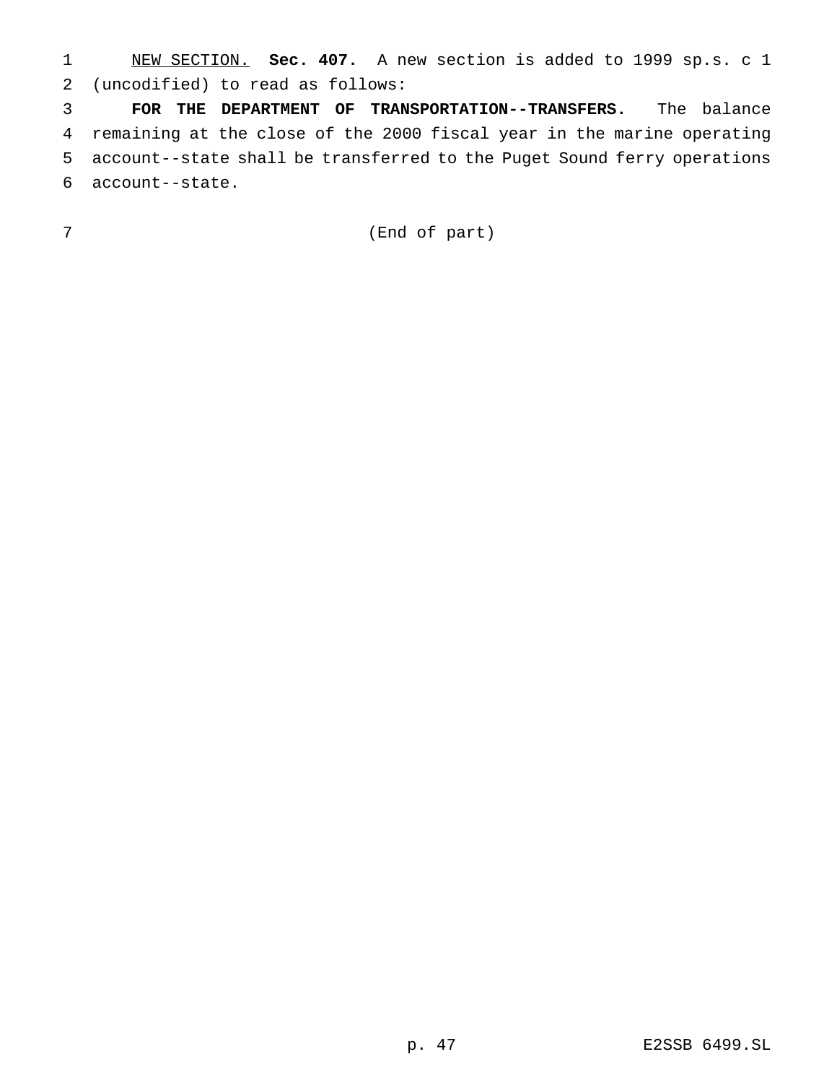NEW SECTION. **Sec. 407.** A new section is added to 1999 sp.s. c 1 (uncodified) to read as follows:

 **FOR THE DEPARTMENT OF TRANSPORTATION--TRANSFERS.** The balance remaining at the close of the 2000 fiscal year in the marine operating account--state shall be transferred to the Puget Sound ferry operations account--state.

(End of part)

p. 47 E2SSB 6499.SL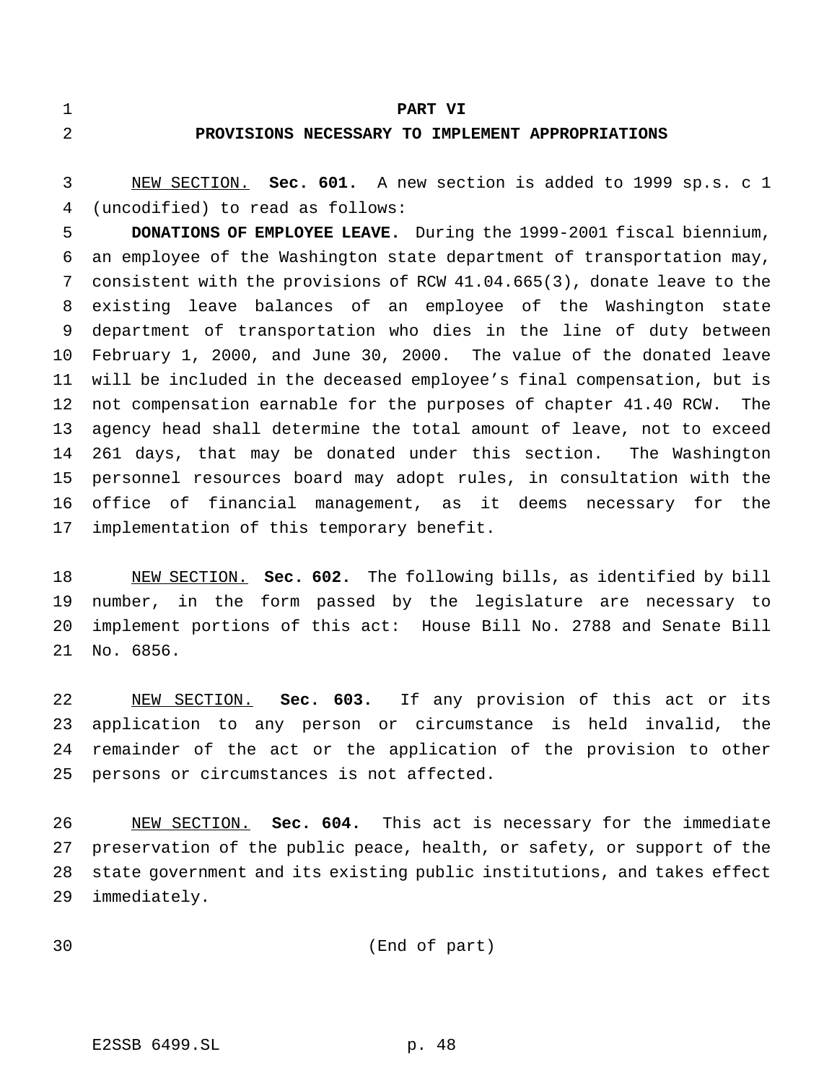#### **PART VI**

## **PROVISIONS NECESSARY TO IMPLEMENT APPROPRIATIONS**

 NEW SECTION. **Sec. 601.** A new section is added to 1999 sp.s. c 1 (uncodified) to read as follows:

 **DONATIONS OF EMPLOYEE LEAVE.** During the 1999-2001 fiscal biennium, an employee of the Washington state department of transportation may, consistent with the provisions of RCW 41.04.665(3), donate leave to the existing leave balances of an employee of the Washington state department of transportation who dies in the line of duty between February 1, 2000, and June 30, 2000. The value of the donated leave will be included in the deceased employee's final compensation, but is not compensation earnable for the purposes of chapter 41.40 RCW. The agency head shall determine the total amount of leave, not to exceed 261 days, that may be donated under this section. The Washington personnel resources board may adopt rules, in consultation with the office of financial management, as it deems necessary for the implementation of this temporary benefit.

 NEW SECTION. **Sec. 602.** The following bills, as identified by bill number, in the form passed by the legislature are necessary to implement portions of this act: House Bill No. 2788 and Senate Bill No. 6856.

 NEW SECTION. **Sec. 603.** If any provision of this act or its application to any person or circumstance is held invalid, the remainder of the act or the application of the provision to other persons or circumstances is not affected.

 NEW SECTION. **Sec. 604.** This act is necessary for the immediate preservation of the public peace, health, or safety, or support of the state government and its existing public institutions, and takes effect immediately.

(End of part)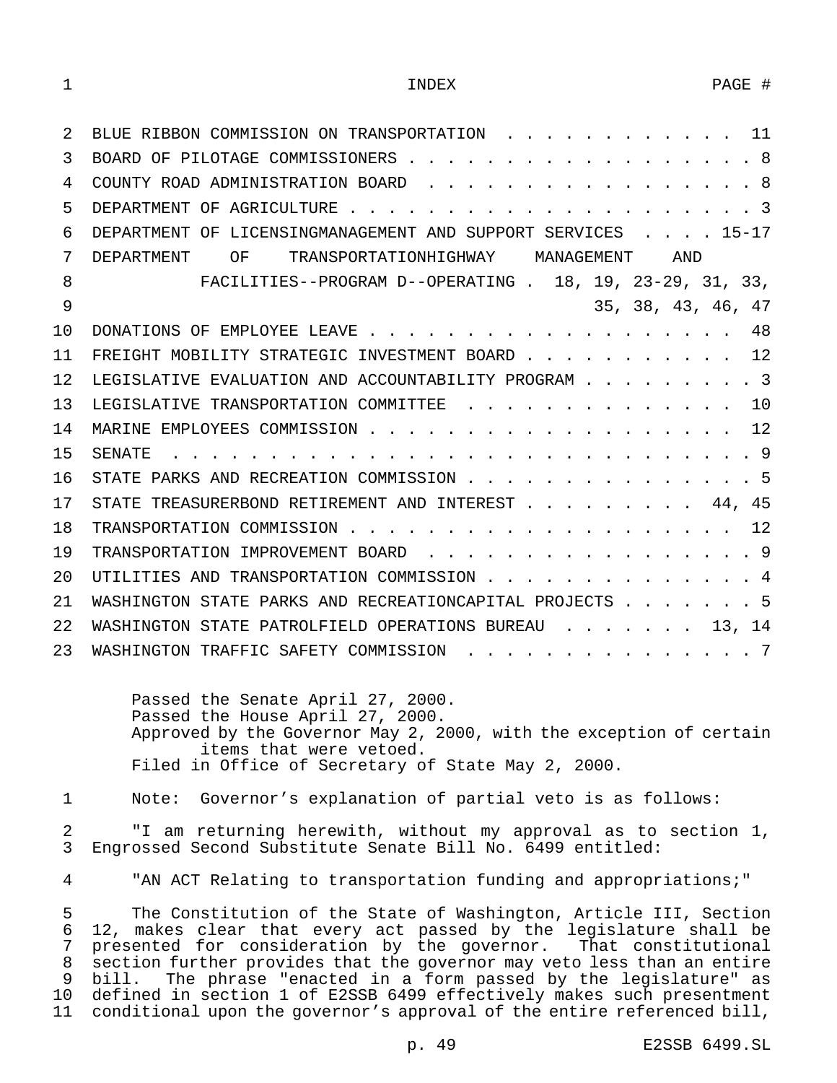| 2   | BLUE RIBBON COMMISSION ON TRANSPORTATION<br>11                      |
|-----|---------------------------------------------------------------------|
| 3   | -8<br>BOARD OF PILOTAGE COMMISSIONERS.                              |
| 4   | -8<br>COUNTY ROAD ADMINISTRATION BOARD                              |
| 5   | - 3<br>DEPARTMENT OF AGRICULTURE                                    |
| 6   | DEPARTMENT OF LICENSINGMANAGEMENT AND SUPPORT SERVICES<br>$15 - 17$ |
| 7   | ΟF<br>TRANSPORTATIONHIGHWAY MANAGEMENT<br>AND<br>DEPARTMENT         |
| 8   | FACILITIES--PROGRAM D--OPERATING . 18, 19, 23-29, 31, 33,           |
| 9   | 35, 38, 43, 46,<br>47                                               |
| 10  | 48<br>DONATIONS OF EMPLOYEE LEAVE                                   |
| 11  | 12<br>FREIGHT MOBILITY STRATEGIC INVESTMENT BOARD                   |
| 12. | $\sim$ 3<br>LEGISLATIVE EVALUATION AND ACCOUNTABILITY PROGRAM.      |
| 13  | 1 O<br>LEGISLATIVE TRANSPORTATION COMMITTEE                         |
| 14  | 12<br>MARINE EMPLOYEES COMMISSION                                   |
| 15  | 9<br><b>SENATE</b>                                                  |
| 16  | STATE PARKS AND RECREATION COMMISSION.<br>. 5                       |
| 17  | 45<br>STATE TREASURERBOND RETIREMENT AND INTEREST<br>44.            |
| 18  | 12<br>TRANSPORTATION COMMISSION                                     |
| 19  | - 9<br>TRANSPORTATION IMPROVEMENT BOARD                             |
| 20  | UTILITIES AND TRANSPORTATION COMMISSION<br>-4                       |
| 21  | WASHINGTON STATE PARKS AND RECREATIONCAPITAL PROJECTS<br>- 5        |
| 22  | WASHINGTON STATE PATROLFIELD OPERATIONS BUREAU<br>14                |
| 23  | WASHINGTON TRAFFIC SAFETY COMMISSION<br>7                           |

Passed the Senate April 27, 2000. Passed the House April 27, 2000. Approved by the Governor May 2, 2000, with the exception of certain items that were vetoed. Filed in Office of Secretary of State May 2, 2000.

1 Note: Governor's explanation of partial veto is as follows:

2 "I am returning herewith, without my approval as to section 1, 3 Engrossed Second Substitute Senate Bill No. 6499 entitled:

4 "AN ACT Relating to transportation funding and appropriations;"

 The Constitution of the State of Washington, Article III, Section 12, makes clear that every act passed by the legislature shall be presented for consideration by the governor. That constitutional section further provides that the governor may veto less than an entire bill. The phrase "enacted in a form passed by the legislature" as defined in section 1 of E2SSB 6499 effectively makes such presentment conditional upon the governor's approval of the entire referenced bill,